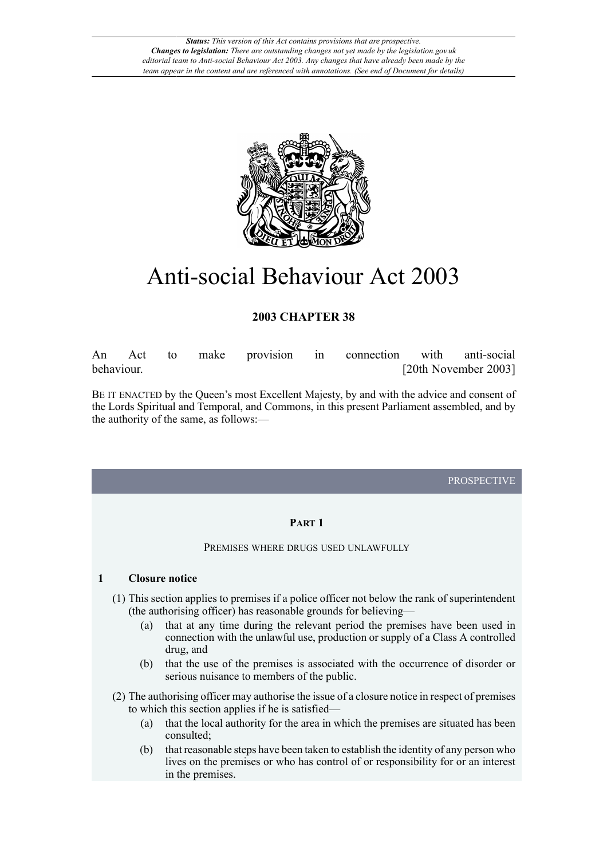

# Anti-social Behaviour Act 2003

# **2003 CHAPTER 38**

An Act to make provision in connection with anti-social behaviour. [20th November 2003]

BE IT ENACTED by the Queen's most Excellent Majesty, by and with the advice and consent of the Lords Spiritual and Temporal, and Commons, in this present Parliament assembled, and by the authority of the same, as follows:—

PROSPECTIVE

## **PART 1**

#### PREMISES WHERE DRUGS USED UNLAWFULLY

## **1 Closure notice**

- (1) This section applies to premises if a police officer not below the rank of superintendent (the authorising officer) has reasonable grounds for believing—
	- (a) that at any time during the relevant period the premises have been used in connection with the unlawful use, production or supply of a Class A controlled drug, and
	- (b) that the use of the premises is associated with the occurrence of disorder or serious nuisance to members of the public.
- (2) The authorising officer may authorise the issue of a closure notice in respect of premises to which this section applies if he is satisfied—
	- (a) that the local authority for the area in which the premises are situated has been consulted;
	- (b) that reasonable steps have been taken to establish the identity of any person who lives on the premises or who has control of or responsibility for or an interest in the premises.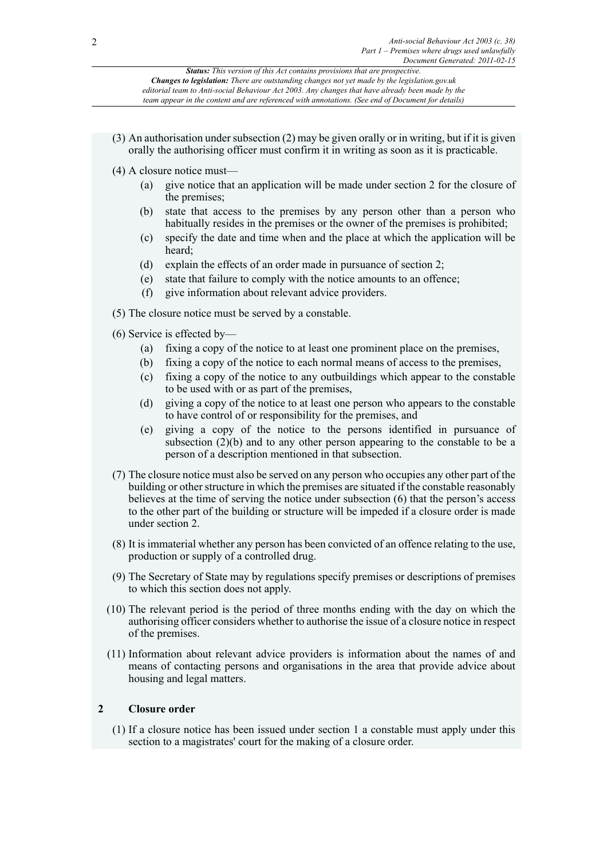- (3) An authorisation under subsection (2) may be given orally or in writing, but if it is given orally the authorising officer must confirm it in writing as soon as it is practicable.
- (4) A closure notice must—
	- (a) give notice that an application will be made under section 2 for the closure of the premises;
	- (b) state that access to the premises by any person other than a person who habitually resides in the premises or the owner of the premises is prohibited;
	- (c) specify the date and time when and the place at which the application will be heard;
	- (d) explain the effects of an order made in pursuance of section 2;
	- (e) state that failure to comply with the notice amounts to an offence;
	- (f) give information about relevant advice providers.
- (5) The closure notice must be served by a constable.
- (6) Service is effected by—
	- (a) fixing a copy of the notice to at least one prominent place on the premises,
	- (b) fixing a copy of the notice to each normal means of access to the premises,
	- (c) fixing a copy of the notice to any outbuildings which appear to the constable to be used with or as part of the premises,
	- (d) giving a copy of the notice to at least one person who appears to the constable to have control of or responsibility for the premises, and
	- (e) giving a copy of the notice to the persons identified in pursuance of subsection  $(2)(b)$  and to any other person appearing to the constable to be a person of a description mentioned in that subsection.
- (7) The closure notice must also be served on any person who occupies any other part of the building or other structure in which the premises are situated if the constable reasonably believes at the time of serving the notice under subsection (6) that the person's access to the other part of the building or structure will be impeded if a closure order is made under section 2.
- (8) It is immaterial whether any person has been convicted of an offence relating to the use, production or supply of a controlled drug.
- (9) The Secretary of State may by regulations specify premises or descriptions of premises to which this section does not apply.
- (10) The relevant period is the period of three months ending with the day on which the authorising officer considers whether to authorise the issue of a closure notice in respect of the premises.
- (11) Information about relevant advice providers is information about the names of and means of contacting persons and organisations in the area that provide advice about housing and legal matters.

## **2 Closure order**

(1) If a closure notice has been issued under section 1 a constable must apply under this section to a magistrates' court for the making of a closure order.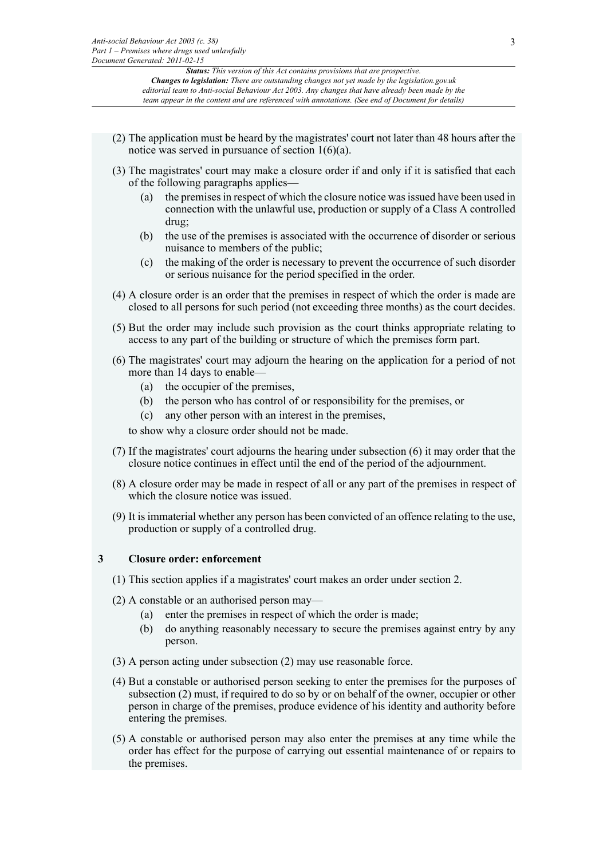- (2) The application must be heard by the magistrates' court not later than 48 hours after the notice was served in pursuance of section 1(6)(a).
- (3) The magistrates' court may make a closure order if and only if it is satisfied that each of the following paragraphs applies—
	- (a) the premises in respect of which the closure notice was issued have been used in connection with the unlawful use, production or supply of a Class A controlled drug;
	- (b) the use of the premises is associated with the occurrence of disorder or serious nuisance to members of the public;
	- (c) the making of the order is necessary to prevent the occurrence of such disorder or serious nuisance for the period specified in the order.
- (4) A closure order is an order that the premises in respect of which the order is made are closed to all persons for such period (not exceeding three months) as the court decides.
- (5) But the order may include such provision as the court thinks appropriate relating to access to any part of the building or structure of which the premises form part.
- (6) The magistrates' court may adjourn the hearing on the application for a period of not more than 14 days to enable—
	- (a) the occupier of the premises,
	- (b) the person who has control of or responsibility for the premises, or
	- (c) any other person with an interest in the premises,

to show why a closure order should not be made.

- (7) If the magistrates' court adjourns the hearing under subsection (6) it may order that the closure notice continues in effect until the end of the period of the adjournment.
- (8) A closure order may be made in respect of all or any part of the premises in respect of which the closure notice was issued.
- (9) It is immaterial whether any person has been convicted of an offence relating to the use, production or supply of a controlled drug.

#### **3 Closure order: enforcement**

- (1) This section applies if a magistrates' court makes an order under section 2.
- (2) A constable or an authorised person may—
	- (a) enter the premises in respect of which the order is made;
	- (b) do anything reasonably necessary to secure the premises against entry by any person.
- (3) A person acting under subsection (2) may use reasonable force.
- (4) But a constable or authorised person seeking to enter the premises for the purposes of subsection (2) must, if required to do so by or on behalf of the owner, occupier or other person in charge of the premises, produce evidence of his identity and authority before entering the premises.
- (5) A constable or authorised person may also enter the premises at any time while the order has effect for the purpose of carrying out essential maintenance of or repairs to the premises.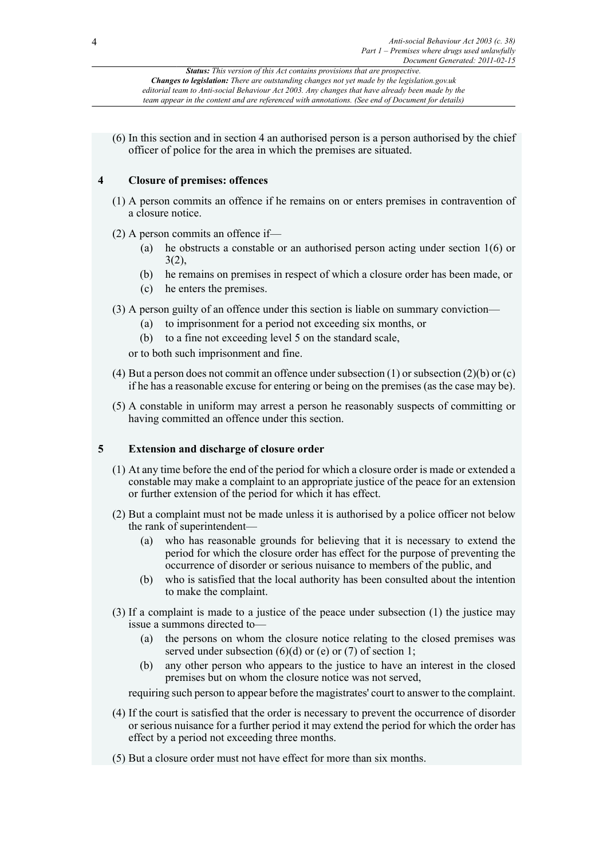(6) In this section and in section 4 an authorised person is a person authorised by the chief officer of police for the area in which the premises are situated.

## **4 Closure of premises: offences**

- (1) A person commits an offence if he remains on or enters premises in contravention of a closure notice.
- (2) A person commits an offence if—
	- (a) he obstructs a constable or an authorised person acting under section 1(6) or  $3(2)$ ,
	- (b) he remains on premises in respect of which a closure order has been made, or
	- (c) he enters the premises.
- (3) A person guilty of an offence under this section is liable on summary conviction—
	- (a) to imprisonment for a period not exceeding six months, or
	- (b) to a fine not exceeding level 5 on the standard scale,

or to both such imprisonment and fine.

- (4) But a person does not commit an offence under subsection (1) or subsection (2)(b) or (c) if he has a reasonable excuse for entering or being on the premises (as the case may be).
- (5) A constable in uniform may arrest a person he reasonably suspects of committing or having committed an offence under this section.

## **5 Extension and discharge of closure order**

- (1) At any time before the end of the period for which a closure order is made or extended a constable may make a complaint to an appropriate justice of the peace for an extension or further extension of the period for which it has effect.
- (2) But a complaint must not be made unless it is authorised by a police officer not below the rank of superintendent—
	- (a) who has reasonable grounds for believing that it is necessary to extend the period for which the closure order has effect for the purpose of preventing the occurrence of disorder or serious nuisance to members of the public, and
	- (b) who is satisfied that the local authority has been consulted about the intention to make the complaint.
- (3) If a complaint is made to a justice of the peace under subsection (1) the justice may issue a summons directed to—
	- (a) the persons on whom the closure notice relating to the closed premises was served under subsection  $(6)(d)$  or  $(e)$  or  $(7)$  of section 1;
	- (b) any other person who appears to the justice to have an interest in the closed premises but on whom the closure notice was not served,

requiring such person to appear before the magistrates' court to answer to the complaint.

- (4) If the court is satisfied that the order is necessary to prevent the occurrence of disorder or serious nuisance for a further period it may extend the period for which the order has effect by a period not exceeding three months.
- (5) But a closure order must not have effect for more than six months.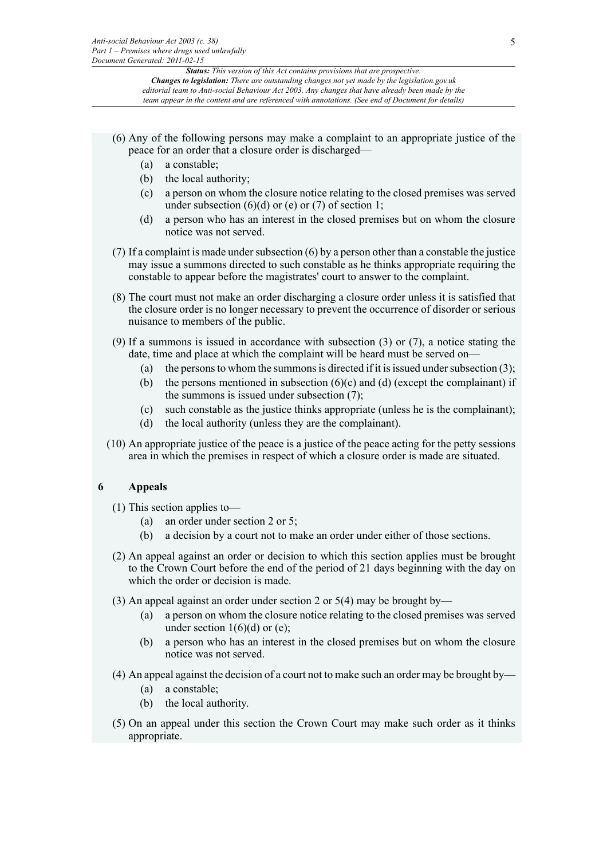- (6) Any of the following persons may make a complaint to an appropriate justice of the peace for an order that a closure order is discharged—
	- (a) a constable;
	- (b) the local authority;
	- (c) a person on whom the closure notice relating to the closed premises was served under subsection  $(6)(d)$  or  $(e)$  or  $(7)$  of section 1;
	- (d) a person who has an interest in the closed premises but on whom the closure notice was not served.
- (7) If a complaint is made under subsection (6) by a person other than a constable the justice may issue a summons directed to such constable as he thinks appropriate requiring the constable to appear before the magistrates' court to answer to the complaint.
- (8) The court must not make an order discharging a closure order unless it is satisfied that the closure order is no longer necessary to prevent the occurrence of disorder or serious nuisance to members of the public.
- (9) If a summons is issued in accordance with subsection (3) or (7), a notice stating the date, time and place at which the complaint will be heard must be served on—
	- (a) the persons to whom the summons is directed if it is issued under subsection  $(3)$ ;
	- (b) the persons mentioned in subsection  $(6)(c)$  and  $(d)$  (except the complainant) if the summons is issued under subsection (7);
	- (c) such constable as the justice thinks appropriate (unless he is the complainant);
	- (d) the local authority (unless they are the complainant).
- (10) An appropriate justice of the peace is a justice of the peace acting for the petty sessions area in which the premises in respect of which a closure order is made are situated.

## **6 Appeals**

- (1) This section applies to—
	- (a) an order under section 2 or 5;
	- (b) a decision by a court not to make an order under either of those sections.
- (2) An appeal against an order or decision to which this section applies must be brought to the Crown Court before the end of the period of 21 days beginning with the day on which the order or decision is made.
- (3) An appeal against an order under section 2 or 5(4) may be brought by—
	- (a) a person on whom the closure notice relating to the closed premises was served under section  $1(6)(d)$  or (e);
	- (b) a person who has an interest in the closed premises but on whom the closure notice was not served.
- (4) An appeal against the decision of a court not to make such an order may be brought by—
	- (a) a constable;
	- (b) the local authority.
- (5) On an appeal under this section the Crown Court may make such order as it thinks appropriate.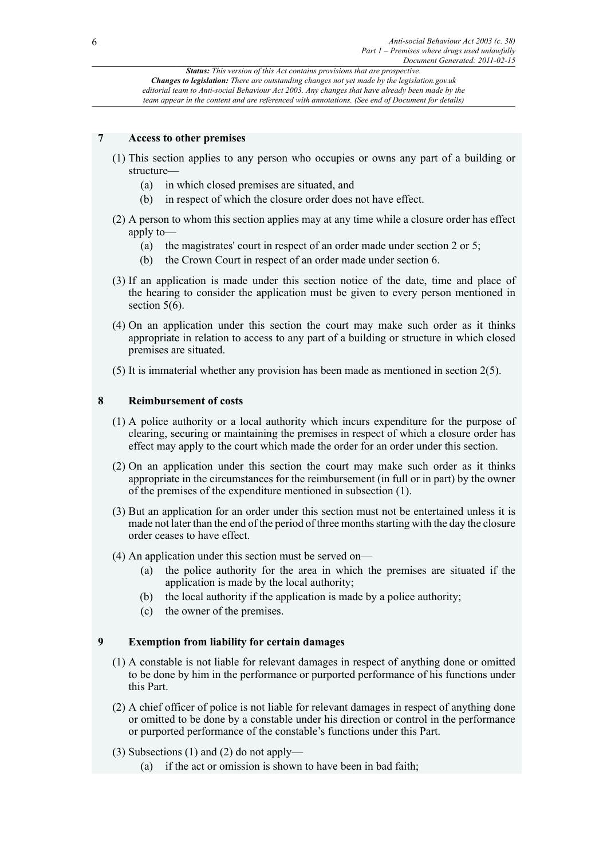## **7 Access to other premises**

- (1) This section applies to any person who occupies or owns any part of a building or structure—
	- (a) in which closed premises are situated, and
	- (b) in respect of which the closure order does not have effect.
- (2) A person to whom this section applies may at any time while a closure order has effect apply to—
	- (a) the magistrates' court in respect of an order made under section 2 or 5;
	- (b) the Crown Court in respect of an order made under section 6.
- (3) If an application is made under this section notice of the date, time and place of the hearing to consider the application must be given to every person mentioned in section  $5(6)$ .
- (4) On an application under this section the court may make such order as it thinks appropriate in relation to access to any part of a building or structure in which closed premises are situated.
- (5) It is immaterial whether any provision has been made as mentioned in section 2(5).

#### **8 Reimbursement of costs**

- (1) A police authority or a local authority which incurs expenditure for the purpose of clearing, securing or maintaining the premises in respect of which a closure order has effect may apply to the court which made the order for an order under this section.
- (2) On an application under this section the court may make such order as it thinks appropriate in the circumstances for the reimbursement (in full or in part) by the owner of the premises of the expenditure mentioned in subsection (1).
- (3) But an application for an order under this section must not be entertained unless it is made not later than the end of the period of three months starting with the day the closure order ceases to have effect.
- (4) An application under this section must be served on—
	- (a) the police authority for the area in which the premises are situated if the application is made by the local authority;
	- (b) the local authority if the application is made by a police authority;
	- (c) the owner of the premises.

#### **9 Exemption from liability for certain damages**

- (1) A constable is not liable for relevant damages in respect of anything done or omitted to be done by him in the performance or purported performance of his functions under this Part.
- (2) A chief officer of police is not liable for relevant damages in respect of anything done or omitted to be done by a constable under his direction or control in the performance or purported performance of the constable's functions under this Part.
- (3) Subsections (1) and (2) do not apply—
	- (a) if the act or omission is shown to have been in bad faith;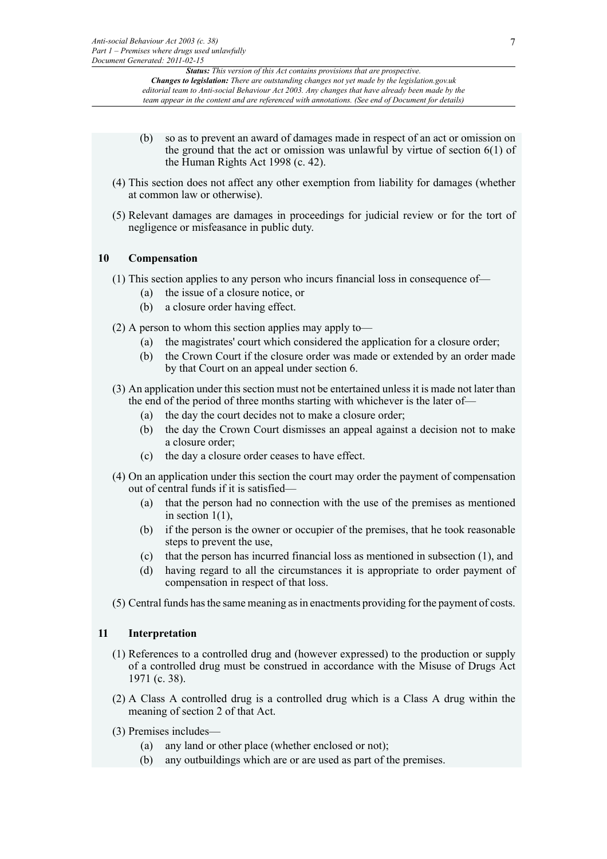- (b) so as to prevent an award of damages made in respect of an act or omission on the ground that the act or omission was unlawful by virtue of section  $6(1)$  of the Human Rights Act 1998 (c. 42).
- (4) This section does not affect any other exemption from liability for damages (whether at common law or otherwise).
- (5) Relevant damages are damages in proceedings for judicial review or for the tort of negligence or misfeasance in public duty.

## **10 Compensation**

- (1) This section applies to any person who incurs financial loss in consequence of—
	- (a) the issue of a closure notice, or
	- (b) a closure order having effect.
- (2) A person to whom this section applies may apply to—
	- (a) the magistrates' court which considered the application for a closure order;
	- (b) the Crown Court if the closure order was made or extended by an order made by that Court on an appeal under section 6.
- (3) An application under this section must not be entertained unless it is made not later than the end of the period of three months starting with whichever is the later of—
	- (a) the day the court decides not to make a closure order;
	- (b) the day the Crown Court dismisses an appeal against a decision not to make a closure order;
	- (c) the day a closure order ceases to have effect.
- (4) On an application under this section the court may order the payment of compensation out of central funds if it is satisfied—
	- (a) that the person had no connection with the use of the premises as mentioned in section  $1(1)$ ,
	- (b) if the person is the owner or occupier of the premises, that he took reasonable steps to prevent the use,
	- (c) that the person has incurred financial loss as mentioned in subsection (1), and
	- (d) having regard to all the circumstances it is appropriate to order payment of compensation in respect of that loss.
- (5) Central funds has the same meaning as in enactments providing for the payment of costs.

#### **11 Interpretation**

- (1) References to a controlled drug and (however expressed) to the production or supply of a controlled drug must be construed in accordance with the Misuse of Drugs Act 1971 (c. 38).
- (2) A Class A controlled drug is a controlled drug which is a Class A drug within the meaning of section 2 of that Act.
- (3) Premises includes—
	- (a) any land or other place (whether enclosed or not);
	- (b) any outbuildings which are or are used as part of the premises.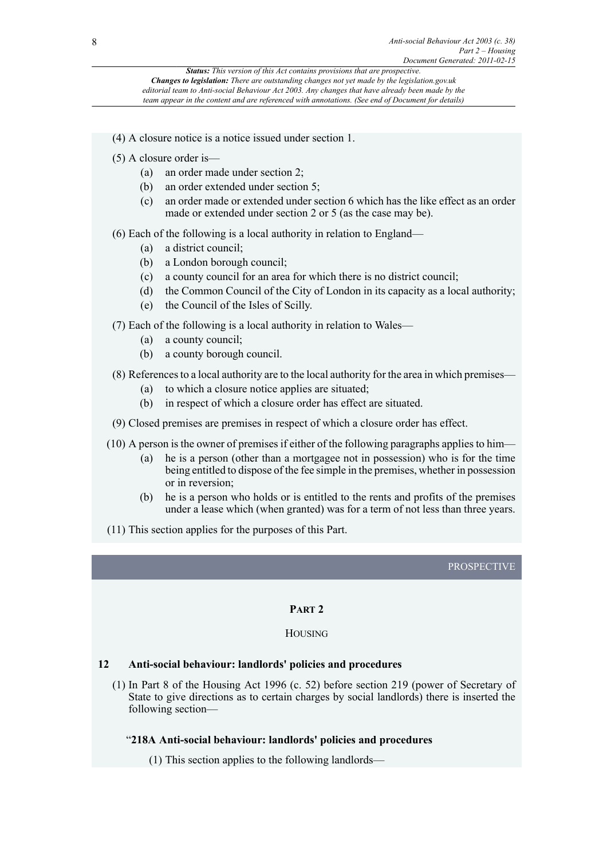- (4) A closure notice is a notice issued under section 1.
- (5) A closure order is—
	- (a) an order made under section 2;
	- (b) an order extended under section 5;
	- (c) an order made or extended under section 6 which has the like effect as an order made or extended under section 2 or 5 (as the case may be).
- (6) Each of the following is a local authority in relation to England—
	- (a) a district council;
	- (b) a London borough council;
	- (c) a county council for an area for which there is no district council;
	- (d) the Common Council of the City of London in its capacity as a local authority;
	- (e) the Council of the Isles of Scilly.
- (7) Each of the following is a local authority in relation to Wales—
	- (a) a county council;
	- (b) a county borough council.
- (8) References to a local authority are to the local authority for the area in which premises—
	- (a) to which a closure notice applies are situated;
	- (b) in respect of which a closure order has effect are situated.
- (9) Closed premises are premises in respect of which a closure order has effect.
- (10) A person is the owner of premises if either of the following paragraphs applies to him—
	- (a) he is a person (other than a mortgagee not in possession) who is for the time being entitled to dispose of the fee simple in the premises, whether in possession or in reversion;
	- (b) he is a person who holds or is entitled to the rents and profits of the premises under a lease which (when granted) was for a term of not less than three years.
- (11) This section applies for the purposes of this Part.

## **PROSPECTIVE**

## **PART 2**

#### **HOUSING**

#### **12 Anti-social behaviour: landlords' policies and procedures**

(1) In Part 8 of the Housing Act 1996 (c. 52) before section 219 (power of Secretary of State to give directions as to certain charges by social landlords) there is inserted the following section—

#### "**218A Anti-social behaviour: landlords' policies and procedures**

(1) This section applies to the following landlords—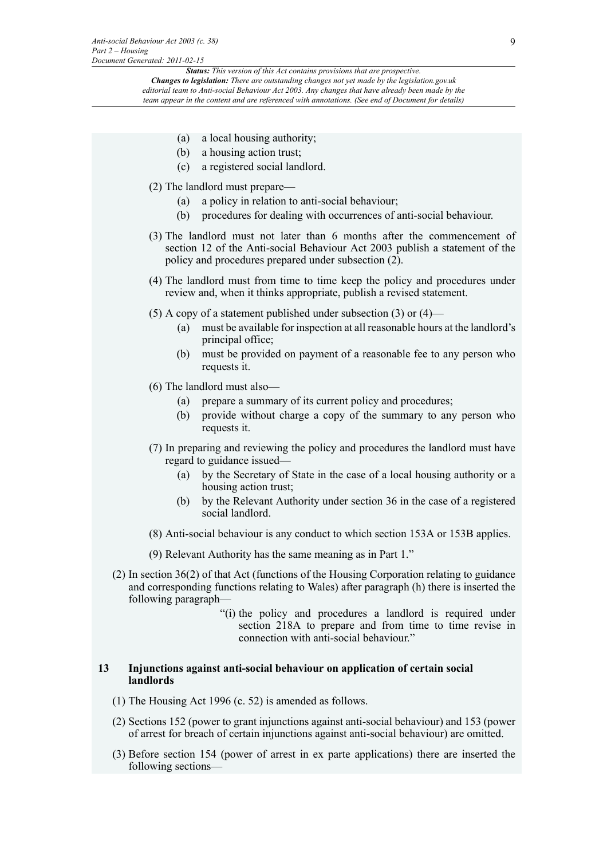*Status: This version of this Act contains provisions that are prospective. Changes to legislation: There are outstanding changes not yet made by the legislation.gov.uk*

*editorial team to Anti-social Behaviour Act 2003. Any changes that have already been made by the team appear in the content and are referenced with annotations. (See end of Document for details)*

- (a) a local housing authority;
- (b) a housing action trust;
- (c) a registered social landlord.
- (2) The landlord must prepare—
	- (a) a policy in relation to anti-social behaviour;
	- (b) procedures for dealing with occurrences of anti-social behaviour.
- (3) The landlord must not later than 6 months after the commencement of section 12 of the Anti-social Behaviour Act 2003 publish a statement of the policy and procedures prepared under subsection (2).
- (4) The landlord must from time to time keep the policy and procedures under review and, when it thinks appropriate, publish a revised statement.
- (5) A copy of a statement published under subsection (3) or  $(4)$ 
	- (a) must be available for inspection at all reasonable hours at the landlord's principal office;
	- (b) must be provided on payment of a reasonable fee to any person who requests it.
- (6) The landlord must also—
	- (a) prepare a summary of its current policy and procedures;
	- (b) provide without charge a copy of the summary to any person who requests it.
- (7) In preparing and reviewing the policy and procedures the landlord must have regard to guidance issued—
	- (a) by the Secretary of State in the case of a local housing authority or a housing action trust;
	- (b) by the Relevant Authority under section 36 in the case of a registered social landlord.
- (8) Anti-social behaviour is any conduct to which section 153A or 153B applies.
- (9) Relevant Authority has the same meaning as in Part 1."
- (2) In section 36(2) of that Act (functions of the Housing Corporation relating to guidance and corresponding functions relating to Wales) after paragraph (h) there is inserted the following paragraph—
	- "(i) the policy and procedures a landlord is required under section 218A to prepare and from time to time revise in connection with anti-social behaviour."

#### **13 Injunctions against anti-social behaviour on application of certain social landlords**

- (1) The Housing Act 1996 (c. 52) is amended as follows.
- (2) Sections 152 (power to grant injunctions against anti-social behaviour) and 153 (power of arrest for breach of certain injunctions against anti-social behaviour) are omitted.
- (3) Before section 154 (power of arrest in ex parte applications) there are inserted the following sections—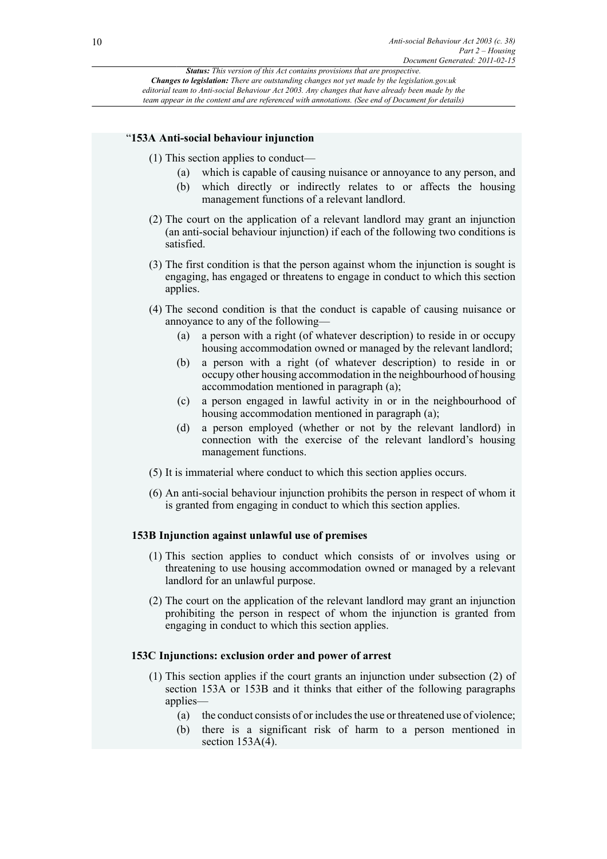#### "**153A Anti-social behaviour injunction**

- (1) This section applies to conduct—
	- (a) which is capable of causing nuisance or annoyance to any person, and
	- (b) which directly or indirectly relates to or affects the housing management functions of a relevant landlord.
- (2) The court on the application of a relevant landlord may grant an injunction (an anti-social behaviour injunction) if each of the following two conditions is satisfied.
- (3) The first condition is that the person against whom the injunction is sought is engaging, has engaged or threatens to engage in conduct to which this section applies.
- (4) The second condition is that the conduct is capable of causing nuisance or annoyance to any of the following—
	- (a) a person with a right (of whatever description) to reside in or occupy housing accommodation owned or managed by the relevant landlord;
	- (b) a person with a right (of whatever description) to reside in or occupy other housing accommodation in the neighbourhood of housing accommodation mentioned in paragraph (a);
	- (c) a person engaged in lawful activity in or in the neighbourhood of housing accommodation mentioned in paragraph (a);
	- (d) a person employed (whether or not by the relevant landlord) in connection with the exercise of the relevant landlord's housing management functions.
- (5) It is immaterial where conduct to which this section applies occurs.
- (6) An anti-social behaviour injunction prohibits the person in respect of whom it is granted from engaging in conduct to which this section applies.

#### **153B Injunction against unlawful use of premises**

- (1) This section applies to conduct which consists of or involves using or threatening to use housing accommodation owned or managed by a relevant landlord for an unlawful purpose.
- (2) The court on the application of the relevant landlord may grant an injunction prohibiting the person in respect of whom the injunction is granted from engaging in conduct to which this section applies.

#### **153C Injunctions: exclusion order and power of arrest**

- (1) This section applies if the court grants an injunction under subsection (2) of section 153A or 153B and it thinks that either of the following paragraphs applies—
	- (a) the conduct consists of or includes the use or threatened use of violence;
	- (b) there is a significant risk of harm to a person mentioned in section  $153A(4)$ .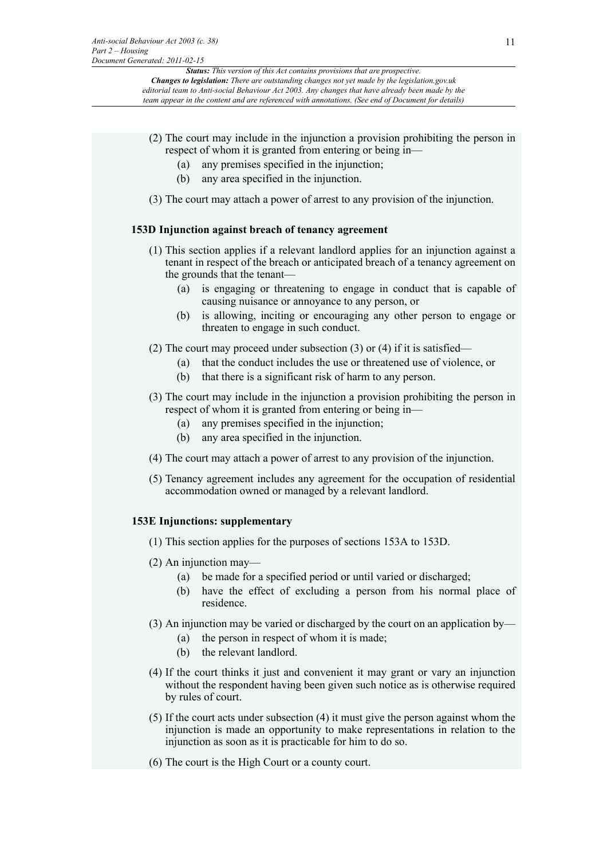- (2) The court may include in the injunction a provision prohibiting the person in respect of whom it is granted from entering or being in—
	- (a) any premises specified in the injunction;
	- (b) any area specified in the injunction.
- (3) The court may attach a power of arrest to any provision of the injunction.

## **153D Injunction against breach of tenancy agreement**

- (1) This section applies if a relevant landlord applies for an injunction against a tenant in respect of the breach or anticipated breach of a tenancy agreement on the grounds that the tenant—
	- (a) is engaging or threatening to engage in conduct that is capable of causing nuisance or annoyance to any person, or
	- (b) is allowing, inciting or encouraging any other person to engage or threaten to engage in such conduct.
- (2) The court may proceed under subsection (3) or (4) if it is satisfied—
	- (a) that the conduct includes the use or threatened use of violence, or
	- (b) that there is a significant risk of harm to any person.
- (3) The court may include in the injunction a provision prohibiting the person in respect of whom it is granted from entering or being in—
	- (a) any premises specified in the injunction;
	- (b) any area specified in the injunction.
- (4) The court may attach a power of arrest to any provision of the injunction.
- (5) Tenancy agreement includes any agreement for the occupation of residential accommodation owned or managed by a relevant landlord.

## **153E Injunctions: supplementary**

- (1) This section applies for the purposes of sections 153A to 153D.
- (2) An injunction may—
	- (a) be made for a specified period or until varied or discharged;
	- (b) have the effect of excluding a person from his normal place of residence.
- (3) An injunction may be varied or discharged by the court on an application by—
	- (a) the person in respect of whom it is made;
	- (b) the relevant landlord.
- (4) If the court thinks it just and convenient it may grant or vary an injunction without the respondent having been given such notice as is otherwise required by rules of court.
- (5) If the court acts under subsection (4) it must give the person against whom the injunction is made an opportunity to make representations in relation to the injunction as soon as it is practicable for him to do so.
- (6) The court is the High Court or a county court.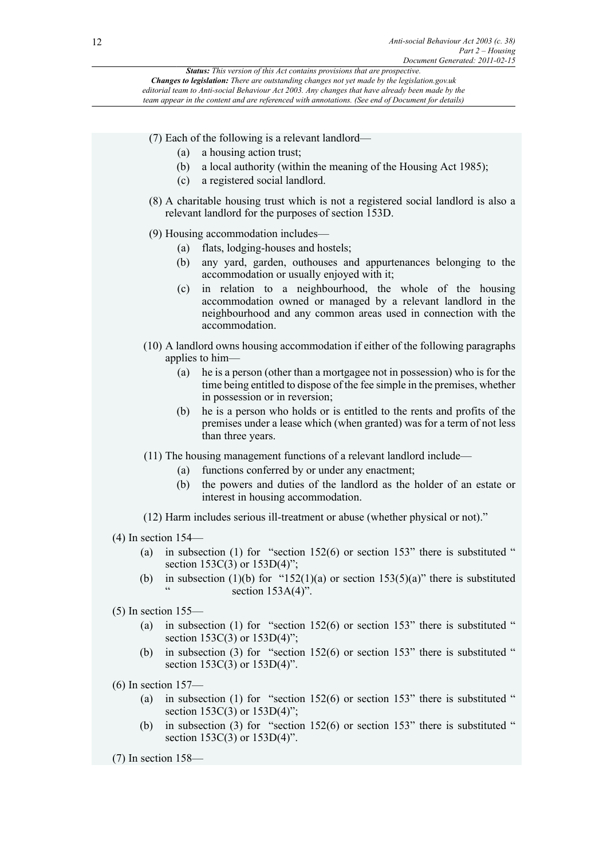*Status: This version of this Act contains provisions that are prospective. Changes to legislation: There are outstanding changes not yet made by the legislation.gov.uk*

*editorial team to Anti-social Behaviour Act 2003. Any changes that have already been made by the team appear in the content and are referenced with annotations. (See end of Document for details)*

- (7) Each of the following is a relevant landlord—
	- (a) a housing action trust;
	- (b) a local authority (within the meaning of the Housing Act 1985);
	- (c) a registered social landlord.
- (8) A charitable housing trust which is not a registered social landlord is also a relevant landlord for the purposes of section 153D.
- (9) Housing accommodation includes—
	- (a) flats, lodging-houses and hostels;
	- (b) any yard, garden, outhouses and appurtenances belonging to the accommodation or usually enjoyed with it;
	- (c) in relation to a neighbourhood, the whole of the housing accommodation owned or managed by a relevant landlord in the neighbourhood and any common areas used in connection with the accommodation.
- (10) A landlord owns housing accommodation if either of the following paragraphs applies to him—
	- (a) he is a person (other than a mortgagee not in possession) who is for the time being entitled to dispose of the fee simple in the premises, whether in possession or in reversion;
	- (b) he is a person who holds or is entitled to the rents and profits of the premises under a lease which (when granted) was for a term of not less than three years.
- (11) The housing management functions of a relevant landlord include—
	- (a) functions conferred by or under any enactment;
	- (b) the powers and duties of the landlord as the holder of an estate or interest in housing accommodation.
- (12) Harm includes serious ill-treatment or abuse (whether physical or not)."
- (4) In section 154—
	- (a) in subsection (1) for "section  $152(6)$  or section  $153$ " there is substituted " section 153C(3) or 153D(4)";
	- (b) in subsection (1)(b) for "152(1)(a) or section 153(5)(a)" there is substituted section  $153A(4)$ ".
- (5) In section 155—
	- (a) in subsection (1) for "section  $152(6)$  or section  $153$ " there is substituted " section  $153C(3)$  or  $153D(4)$ ";
	- (b) in subsection (3) for "section  $152(6)$  or section  $153$ " there is substituted " section 153C(3) or 153D(4)".
- (6) In section 157—
	- (a) in subsection (1) for "section  $152(6)$  or section  $153$ " there is substituted " section 153C(3) or 153D(4)";
	- (b) in subsection (3) for "section 152(6) or section 153" there is substituted " section 153C(3) or 153D(4)".
- (7) In section 158—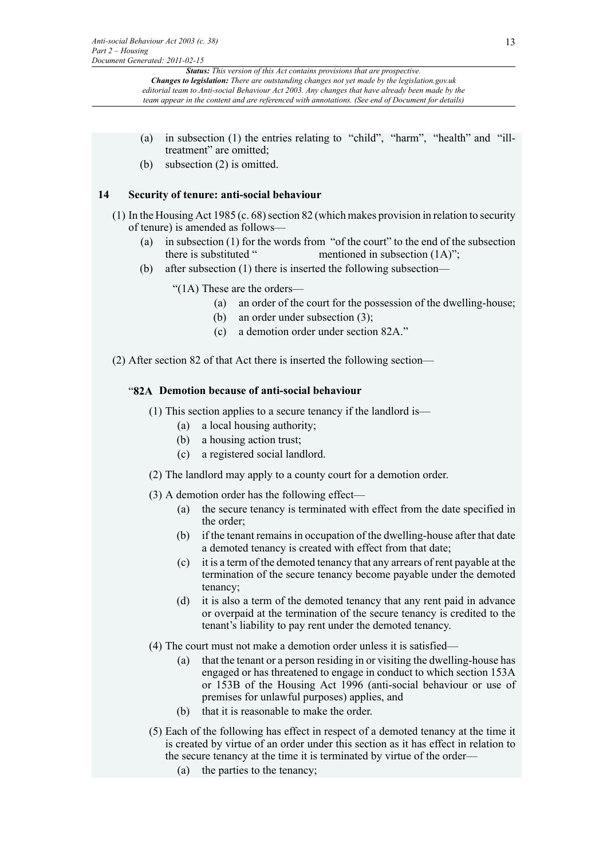- (a) in subsection (1) the entries relating to "child", "harm", "health" and "illtreatment" are omitted;
- (b) subsection (2) is omitted.

## **14 Security of tenure: anti-social behaviour**

- (1) In the Housing Act 1985 (c. 68) section 82 (which makes provision in relation to security of tenure) is amended as follows—
	- (a) in subsection (1) for the words from "of the court" to the end of the subsection there is substituted "neutioned in subsection  $(1A)$ ": mentioned in subsection  $(1A)$ ";
	- (b) after subsection (1) there is inserted the following subsection—

"(1A) These are the orders—

- (a) an order of the court for the possession of the dwelling-house;
- (b) an order under subsection (3);
- (c) a demotion order under section 82A."
- (2) After section 82 of that Act there is inserted the following section—

## "**82A Demotion because of anti-social behaviour**

- (1) This section applies to a secure tenancy if the landlord is—
	- (a) a local housing authority;
	- (b) a housing action trust;
	- (c) a registered social landlord.
- (2) The landlord may apply to a county court for a demotion order.
- (3) A demotion order has the following effect—
	- (a) the secure tenancy is terminated with effect from the date specified in the order;
	- (b) if the tenant remains in occupation of the dwelling-house after that date a demoted tenancy is created with effect from that date;
	- (c) it is a term of the demoted tenancy that any arrears of rent payable at the termination of the secure tenancy become payable under the demoted tenancy;
	- (d) it is also a term of the demoted tenancy that any rent paid in advance or overpaid at the termination of the secure tenancy is credited to the tenant's liability to pay rent under the demoted tenancy.
- (4) The court must not make a demotion order unless it is satisfied—
	- (a) that the tenant or a person residing in or visiting the dwelling-house has engaged or has threatened to engage in conduct to which section 153A or 153B of the Housing Act 1996 (anti-social behaviour or use of premises for unlawful purposes) applies, and
	- (b) that it is reasonable to make the order.
- (5) Each of the following has effect in respect of a demoted tenancy at the time it is created by virtue of an order under this section as it has effect in relation to the secure tenancy at the time it is terminated by virtue of the order—
	- (a) the parties to the tenancy;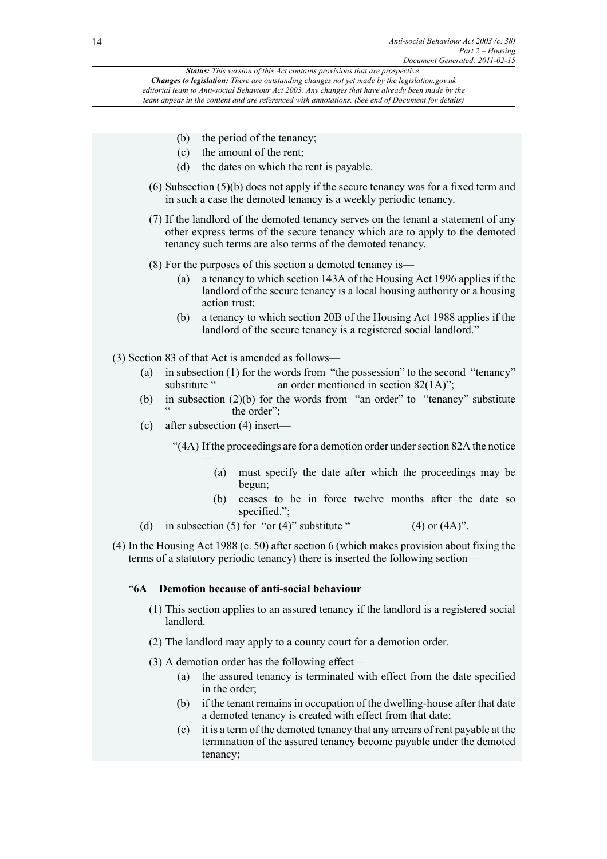- (b) the period of the tenancy;
	- (c) the amount of the rent;
	- (d) the dates on which the rent is payable.
- (6) Subsection (5)(b) does not apply if the secure tenancy was for a fixed term and in such a case the demoted tenancy is a weekly periodic tenancy.
- (7) If the landlord of the demoted tenancy serves on the tenant a statement of any other express terms of the secure tenancy which are to apply to the demoted tenancy such terms are also terms of the demoted tenancy.
- (8) For the purposes of this section a demoted tenancy is—
	- (a) a tenancy to which section 143A of the Housing Act 1996 applies if the landlord of the secure tenancy is a local housing authority or a housing action trust;
	- (b) a tenancy to which section 20B of the Housing Act 1988 applies if the landlord of the secure tenancy is a registered social landlord."
- (3) Section 83 of that Act is amended as follows—
	- (a) in subsection (1) for the words from "the possession" to the second "tenancy" substitute " an order mentioned in section  $82(1A)$ ": an order mentioned in section  $82(1A)$ ";
	- (b) in subsection (2)(b) for the words from "an order" to "tenancy" substitute the order":
	- (c) after subsection (4) insert—

"(4A) If the proceedings are for a demotion order under section 82A the notice —

- (a) must specify the date after which the proceedings may be begun;
- (b) ceases to be in force twelve months after the date so specified.";
- (d) in subsection (5) for "or (4)" substitute "  $(4)$  or  $(4A)$ ".
- (4) In the Housing Act 1988 (c. 50) after section 6 (which makes provision about fixing the terms of a statutory periodic tenancy) there is inserted the following section—

## "**6A Demotion because of anti-social behaviour**

- (1) This section applies to an assured tenancy if the landlord is a registered social landlord.
- (2) The landlord may apply to a county court for a demotion order.
- (3) A demotion order has the following effect—
	- (a) the assured tenancy is terminated with effect from the date specified in the order;
	- (b) if the tenant remains in occupation of the dwelling-house after that date a demoted tenancy is created with effect from that date;
	- (c) it is a term of the demoted tenancy that any arrears of rent payable at the termination of the assured tenancy become payable under the demoted tenancy;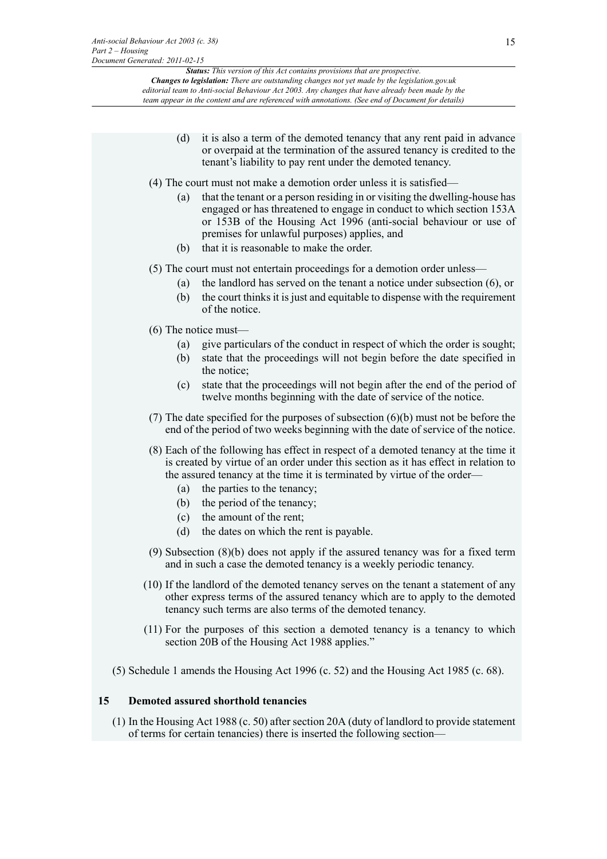- (d) it is also a term of the demoted tenancy that any rent paid in advance or overpaid at the termination of the assured tenancy is credited to the tenant's liability to pay rent under the demoted tenancy.
- (4) The court must not make a demotion order unless it is satisfied—
	- (a) that the tenant or a person residing in or visiting the dwelling-house has engaged or has threatened to engage in conduct to which section 153A or 153B of the Housing Act 1996 (anti-social behaviour or use of premises for unlawful purposes) applies, and
	- (b) that it is reasonable to make the order.
- (5) The court must not entertain proceedings for a demotion order unless—
	- (a) the landlord has served on the tenant a notice under subsection (6), or
	- (b) the court thinks it is just and equitable to dispense with the requirement of the notice.
- (6) The notice must—
	- (a) give particulars of the conduct in respect of which the order is sought;
	- (b) state that the proceedings will not begin before the date specified in the notice;
	- (c) state that the proceedings will not begin after the end of the period of twelve months beginning with the date of service of the notice.
- (7) The date specified for the purposes of subsection (6)(b) must not be before the end of the period of two weeks beginning with the date of service of the notice.
- (8) Each of the following has effect in respect of a demoted tenancy at the time it is created by virtue of an order under this section as it has effect in relation to the assured tenancy at the time it is terminated by virtue of the order—
	- (a) the parties to the tenancy;
	- (b) the period of the tenancy;
	- (c) the amount of the rent;
	- (d) the dates on which the rent is payable.
- (9) Subsection (8)(b) does not apply if the assured tenancy was for a fixed term and in such a case the demoted tenancy is a weekly periodic tenancy.
- (10) If the landlord of the demoted tenancy serves on the tenant a statement of any other express terms of the assured tenancy which are to apply to the demoted tenancy such terms are also terms of the demoted tenancy.
- (11) For the purposes of this section a demoted tenancy is a tenancy to which section 20B of the Housing Act 1988 applies."
- (5) Schedule 1 amends the Housing Act 1996 (c. 52) and the Housing Act 1985 (c. 68).

#### **15 Demoted assured shorthold tenancies**

(1) In the Housing Act 1988 (c. 50) after section 20A (duty of landlord to provide statement of terms for certain tenancies) there is inserted the following section—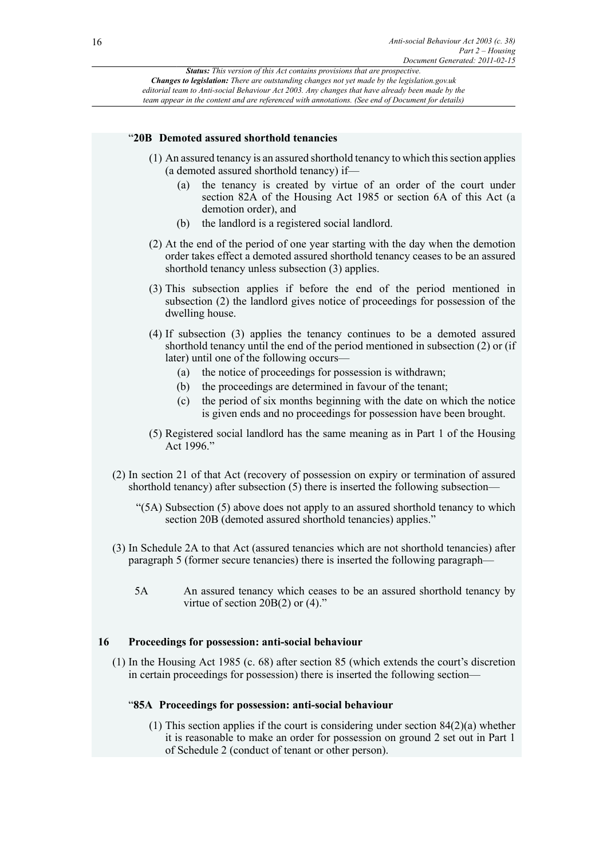#### "**20B Demoted assured shorthold tenancies**

- (1) An assured tenancy is an assured shorthold tenancy to which this section applies (a demoted assured shorthold tenancy) if—
	- (a) the tenancy is created by virtue of an order of the court under section 82A of the Housing Act 1985 or section 6A of this Act (a demotion order), and
	- (b) the landlord is a registered social landlord.
- (2) At the end of the period of one year starting with the day when the demotion order takes effect a demoted assured shorthold tenancy ceases to be an assured shorthold tenancy unless subsection (3) applies.
- (3) This subsection applies if before the end of the period mentioned in subsection (2) the landlord gives notice of proceedings for possession of the dwelling house.
- (4) If subsection (3) applies the tenancy continues to be a demoted assured shorthold tenancy until the end of the period mentioned in subsection (2) or (if later) until one of the following occurs—
	- (a) the notice of proceedings for possession is withdrawn;
	- (b) the proceedings are determined in favour of the tenant;
	- (c) the period of six months beginning with the date on which the notice is given ends and no proceedings for possession have been brought.
- (5) Registered social landlord has the same meaning as in Part 1 of the Housing Act 1996."
- (2) In section 21 of that Act (recovery of possession on expiry or termination of assured shorthold tenancy) after subsection (5) there is inserted the following subsection—
	- "(5A) Subsection (5) above does not apply to an assured shorthold tenancy to which section 20B (demoted assured shorthold tenancies) applies."
- (3) In Schedule 2A to that Act (assured tenancies which are not shorthold tenancies) after paragraph 5 (former secure tenancies) there is inserted the following paragraph—
	- 5A An assured tenancy which ceases to be an assured shorthold tenancy by virtue of section 20B(2) or (4)."

#### **16 Proceedings for possession: anti-social behaviour**

(1) In the Housing Act 1985 (c. 68) after section 85 (which extends the court's discretion in certain proceedings for possession) there is inserted the following section—

#### "**85A Proceedings for possession: anti-social behaviour**

(1) This section applies if the court is considering under section 84(2)(a) whether it is reasonable to make an order for possession on ground 2 set out in Part 1 of Schedule 2 (conduct of tenant or other person).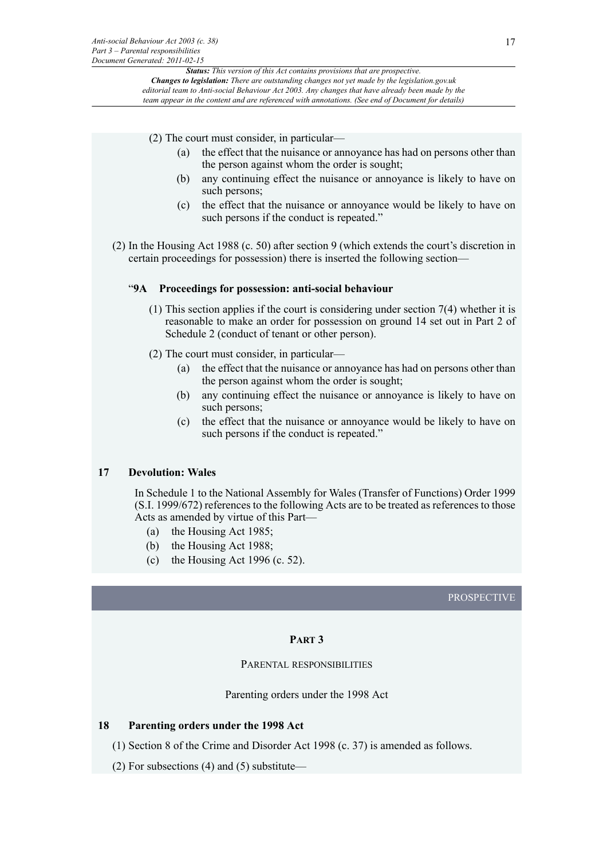(2) The court must consider, in particular—

- (a) the effect that the nuisance or annoyance has had on persons other than the person against whom the order is sought;
- (b) any continuing effect the nuisance or annoyance is likely to have on such persons;
- (c) the effect that the nuisance or annoyance would be likely to have on such persons if the conduct is repeated."
- (2) In the Housing Act 1988 (c. 50) after section 9 (which extends the court's discretion in certain proceedings for possession) there is inserted the following section—

#### "**9A Proceedings for possession: anti-social behaviour**

- (1) This section applies if the court is considering under section 7(4) whether it is reasonable to make an order for possession on ground 14 set out in Part 2 of Schedule 2 (conduct of tenant or other person).
- (2) The court must consider, in particular—
	- (a) the effect that the nuisance or annoyance has had on persons other than the person against whom the order is sought;
	- (b) any continuing effect the nuisance or annoyance is likely to have on such persons;
	- (c) the effect that the nuisance or annoyance would be likely to have on such persons if the conduct is repeated."

#### **17 Devolution: Wales**

In Schedule 1 to the National Assembly for Wales (Transfer of Functions) Order 1999 (S.I. 1999/672) references to the following Acts are to be treated as references to those Acts as amended by virtue of this Part—

- (a) the Housing Act 1985;
- (b) the Housing Act 1988;
- (c) the Housing Act 1996 (c. 52).

#### PROSPECTIVE

#### **PART 3**

#### PARENTAL RESPONSIBILITIES

Parenting orders under the 1998 Act

#### **18 Parenting orders under the 1998 Act**

- (1) Section 8 of the Crime and Disorder Act 1998 (c. 37) is amended as follows.
- (2) For subsections (4) and (5) substitute—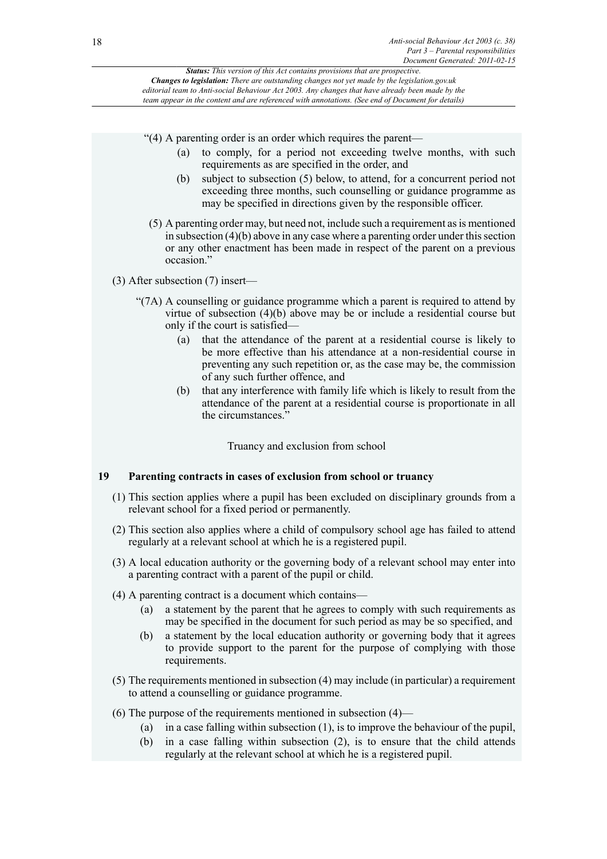"(4) A parenting order is an order which requires the parent—

- (a) to comply, for a period not exceeding twelve months, with such requirements as are specified in the order, and
- (b) subject to subsection (5) below, to attend, for a concurrent period not exceeding three months, such counselling or guidance programme as may be specified in directions given by the responsible officer.
- (5) A parenting order may, but need not, include such a requirement as is mentioned in subsection (4)(b) above in any case where a parenting order under this section or any other enactment has been made in respect of the parent on a previous occasion."

## (3) After subsection (7) insert—

- "(7A) A counselling or guidance programme which a parent is required to attend by virtue of subsection (4)(b) above may be or include a residential course but only if the court is satisfied—
	- (a) that the attendance of the parent at a residential course is likely to be more effective than his attendance at a non-residential course in preventing any such repetition or, as the case may be, the commission of any such further offence, and
	- (b) that any interference with family life which is likely to result from the attendance of the parent at a residential course is proportionate in all the circumstances."

Truancy and exclusion from school

## **19 Parenting contracts in cases of exclusion from school or truancy**

- (1) This section applies where a pupil has been excluded on disciplinary grounds from a relevant school for a fixed period or permanently.
- (2) This section also applies where a child of compulsory school age has failed to attend regularly at a relevant school at which he is a registered pupil.
- (3) A local education authority or the governing body of a relevant school may enter into a parenting contract with a parent of the pupil or child.
- (4) A parenting contract is a document which contains—
	- (a) a statement by the parent that he agrees to comply with such requirements as may be specified in the document for such period as may be so specified, and
	- (b) a statement by the local education authority or governing body that it agrees to provide support to the parent for the purpose of complying with those requirements.
- (5) The requirements mentioned in subsection (4) may include (in particular) a requirement to attend a counselling or guidance programme.
- (6) The purpose of the requirements mentioned in subsection (4)—
	- (a) in a case falling within subsection (1), is to improve the behaviour of the pupil,
	- (b) in a case falling within subsection (2), is to ensure that the child attends regularly at the relevant school at which he is a registered pupil.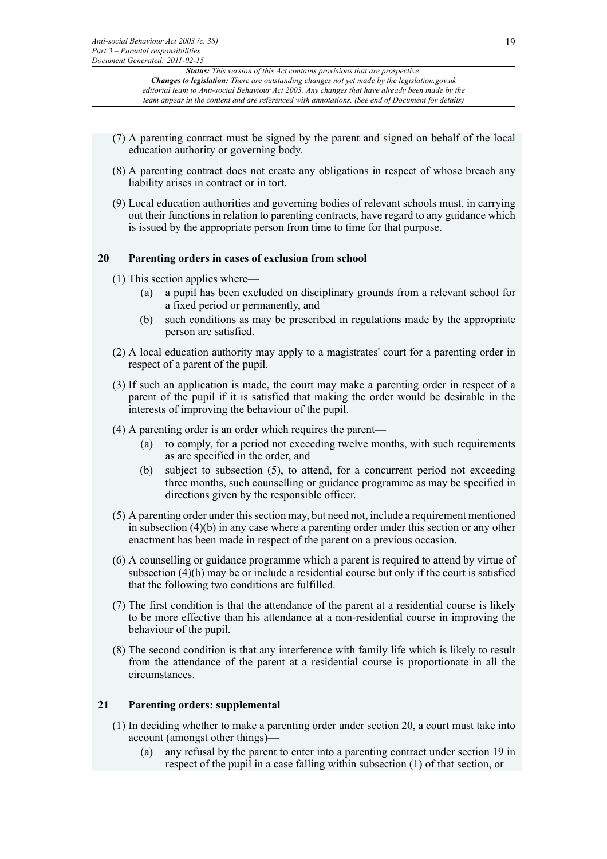- (7) A parenting contract must be signed by the parent and signed on behalf of the local education authority or governing body.
- (8) A parenting contract does not create any obligations in respect of whose breach any liability arises in contract or in tort.
- (9) Local education authorities and governing bodies of relevant schools must, in carrying out their functions in relation to parenting contracts, have regard to any guidance which is issued by the appropriate person from time to time for that purpose.

#### **20 Parenting orders in cases of exclusion from school**

- (1) This section applies where—
	- (a) a pupil has been excluded on disciplinary grounds from a relevant school for a fixed period or permanently, and
	- (b) such conditions as may be prescribed in regulations made by the appropriate person are satisfied.
- (2) A local education authority may apply to a magistrates' court for a parenting order in respect of a parent of the pupil.
- (3) If such an application is made, the court may make a parenting order in respect of a parent of the pupil if it is satisfied that making the order would be desirable in the interests of improving the behaviour of the pupil.
- (4) A parenting order is an order which requires the parent—
	- (a) to comply, for a period not exceeding twelve months, with such requirements as are specified in the order, and
	- (b) subject to subsection (5), to attend, for a concurrent period not exceeding three months, such counselling or guidance programme as may be specified in directions given by the responsible officer.
- (5) A parenting order under this section may, but need not, include a requirement mentioned in subsection (4)(b) in any case where a parenting order under this section or any other enactment has been made in respect of the parent on a previous occasion.
- (6) A counselling or guidance programme which a parent is required to attend by virtue of subsection (4)(b) may be or include a residential course but only if the court is satisfied that the following two conditions are fulfilled.
- (7) The first condition is that the attendance of the parent at a residential course is likely to be more effective than his attendance at a non-residential course in improving the behaviour of the pupil.
- (8) The second condition is that any interference with family life which is likely to result from the attendance of the parent at a residential course is proportionate in all the circumstances.

#### **21 Parenting orders: supplemental**

- (1) In deciding whether to make a parenting order under section 20, a court must take into account (amongst other things)—
	- (a) any refusal by the parent to enter into a parenting contract under section 19 in respect of the pupil in a case falling within subsection (1) of that section, or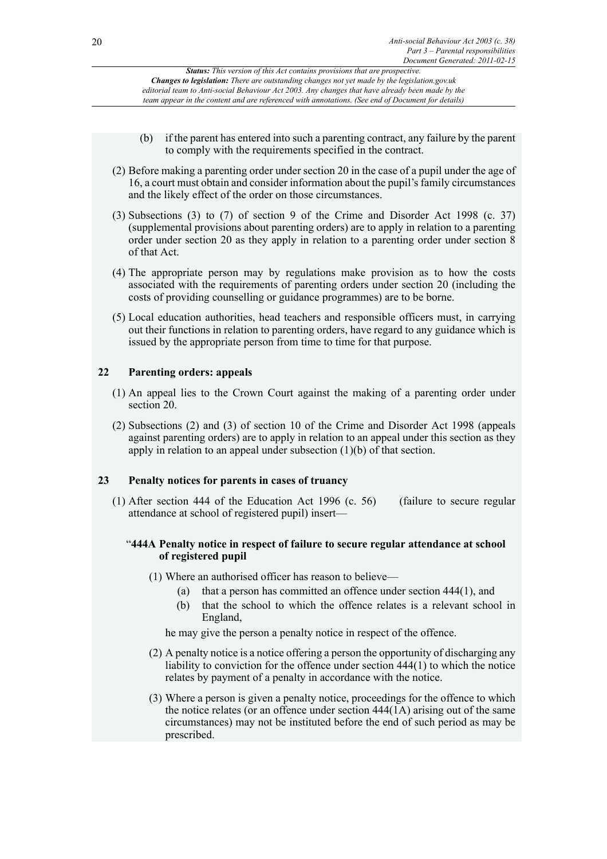- (b) if the parent has entered into such a parenting contract, any failure by the parent to comply with the requirements specified in the contract.
- (2) Before making a parenting order under section 20 in the case of a pupil under the age of 16, a court must obtain and consider information about the pupil's family circumstances and the likely effect of the order on those circumstances.
- (3) Subsections (3) to (7) of section 9 of the Crime and Disorder Act 1998 (c. 37) (supplemental provisions about parenting orders) are to apply in relation to a parenting order under section 20 as they apply in relation to a parenting order under section 8 of that Act.
- (4) The appropriate person may by regulations make provision as to how the costs associated with the requirements of parenting orders under section 20 (including the costs of providing counselling or guidance programmes) are to be borne.
- (5) Local education authorities, head teachers and responsible officers must, in carrying out their functions in relation to parenting orders, have regard to any guidance which is issued by the appropriate person from time to time for that purpose.

## **22 Parenting orders: appeals**

- (1) An appeal lies to the Crown Court against the making of a parenting order under section 20.
- (2) Subsections (2) and (3) of section 10 of the Crime and Disorder Act 1998 (appeals against parenting orders) are to apply in relation to an appeal under this section as they apply in relation to an appeal under subsection (1)(b) of that section.

## **23 Penalty notices for parents in cases of truancy**

(1) After section 444 of the Education Act 1996 (c. 56) (failure to secure regular attendance at school of registered pupil) insert—

## "**444A Penalty notice in respect of failure to secure regular attendance at school of registered pupil**

(1) Where an authorised officer has reason to believe—

- (a) that a person has committed an offence under section 444(1), and
- (b) that the school to which the offence relates is a relevant school in England,

he may give the person a penalty notice in respect of the offence.

- (2) A penalty notice is a notice offering a person the opportunity of discharging any liability to conviction for the offence under section 444(1) to which the notice relates by payment of a penalty in accordance with the notice.
- (3) Where a person is given a penalty notice, proceedings for the offence to which the notice relates (or an offence under section 444(1A) arising out of the same circumstances) may not be instituted before the end of such period as may be prescribed.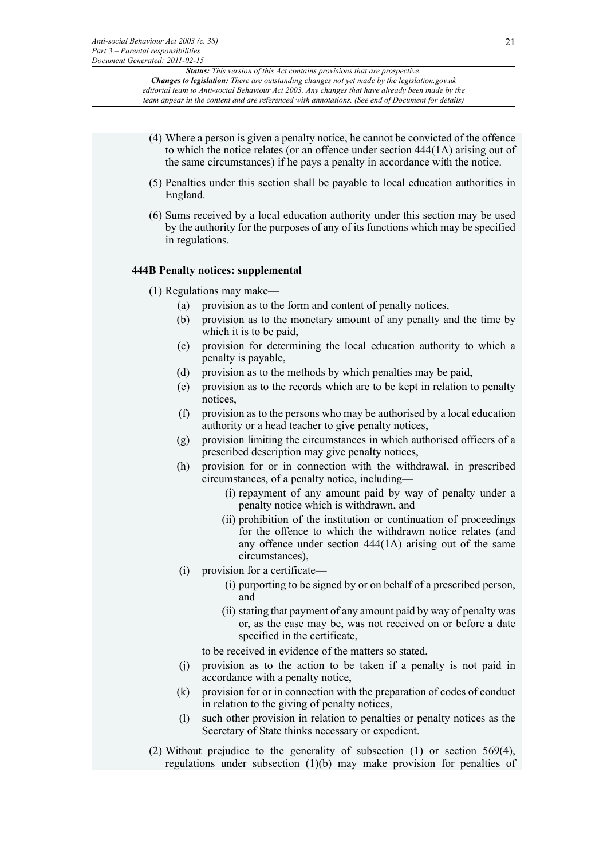- (4) Where a person is given a penalty notice, he cannot be convicted of the offence to which the notice relates (or an offence under section 444(1A) arising out of the same circumstances) if he pays a penalty in accordance with the notice.
- (5) Penalties under this section shall be payable to local education authorities in England.
- (6) Sums received by a local education authority under this section may be used by the authority for the purposes of any of its functions which may be specified in regulations.

#### **444B Penalty notices: supplemental**

- (1) Regulations may make—
	- (a) provision as to the form and content of penalty notices,
	- (b) provision as to the monetary amount of any penalty and the time by which it is to be paid,
	- (c) provision for determining the local education authority to which a penalty is payable,
	- (d) provision as to the methods by which penalties may be paid,
	- (e) provision as to the records which are to be kept in relation to penalty notices,
	- (f) provision as to the persons who may be authorised by a local education authority or a head teacher to give penalty notices,
	- (g) provision limiting the circumstances in which authorised officers of a prescribed description may give penalty notices,
	- (h) provision for or in connection with the withdrawal, in prescribed circumstances, of a penalty notice, including—
		- (i) repayment of any amount paid by way of penalty under a penalty notice which is withdrawn, and
		- (ii) prohibition of the institution or continuation of proceedings for the offence to which the withdrawn notice relates (and any offence under section 444(1A) arising out of the same circumstances),
	- (i) provision for a certificate—
		- (i) purporting to be signed by or on behalf of a prescribed person, and
		- (ii) stating that payment of any amount paid by way of penalty was or, as the case may be, was not received on or before a date specified in the certificate,

to be received in evidence of the matters so stated,

- (j) provision as to the action to be taken if a penalty is not paid in accordance with a penalty notice,
- (k) provision for or in connection with the preparation of codes of conduct in relation to the giving of penalty notices,
- (l) such other provision in relation to penalties or penalty notices as the Secretary of State thinks necessary or expedient.
- (2) Without prejudice to the generality of subsection (1) or section 569(4), regulations under subsection (1)(b) may make provision for penalties of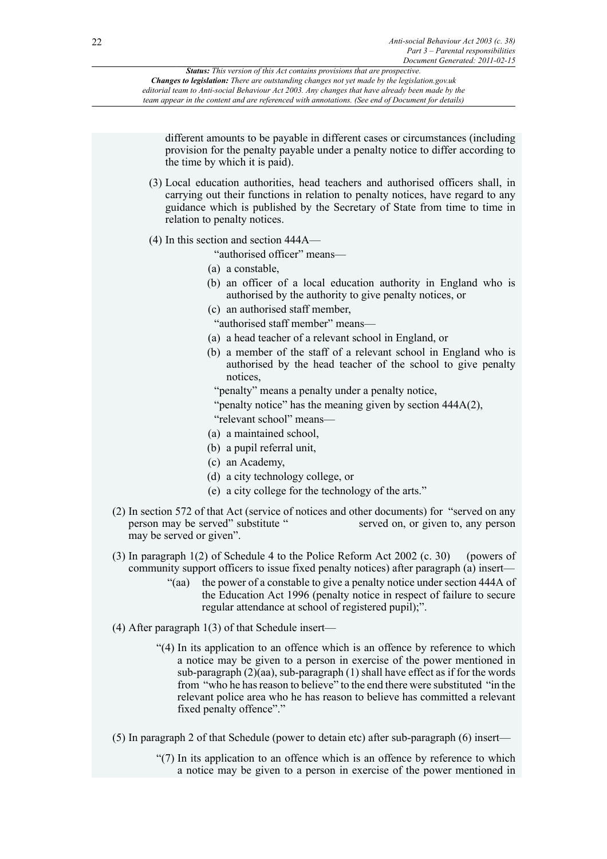different amounts to be payable in different cases or circumstances (including provision for the penalty payable under a penalty notice to differ according to the time by which it is paid).

- (3) Local education authorities, head teachers and authorised officers shall, in carrying out their functions in relation to penalty notices, have regard to any guidance which is published by the Secretary of State from time to time in relation to penalty notices.
- (4) In this section and section 444A—

"authorised officer" means—

- (a) a constable,
- (b) an officer of a local education authority in England who is authorised by the authority to give penalty notices, or
- (c) an authorised staff member,

"authorised staff member" means—

- (a) a head teacher of a relevant school in England, or
- (b) a member of the staff of a relevant school in England who is authorised by the head teacher of the school to give penalty notices,
	- "penalty" means a penalty under a penalty notice,
	- "penalty notice" has the meaning given by section 444A(2),
	- "relevant school" means—
- (a) a maintained school,
- (b) a pupil referral unit,
- (c) an Academy,
- (d) a city technology college, or
- (e) a city college for the technology of the arts."
- (2) In section 572 of that Act (service of notices and other documents) for "served on any person may be served" substitute " served on, or given to, any person may be served or given".
- (3) In paragraph 1(2) of Schedule 4 to the Police Reform Act 2002 (c. 30) (powers of community support officers to issue fixed penalty notices) after paragraph (a) insert—
	- "(aa) the power of a constable to give a penalty notice under section 444A of the Education Act 1996 (penalty notice in respect of failure to secure regular attendance at school of registered pupil);".
- (4) After paragraph 1(3) of that Schedule insert—
	- "(4) In its application to an offence which is an offence by reference to which a notice may be given to a person in exercise of the power mentioned in sub-paragraph  $(2)(aa)$ , sub-paragraph  $(1)$  shall have effect as if for the words from "who he has reason to believe" to the end there were substituted "in the relevant police area who he has reason to believe has committed a relevant fixed penalty offence"."
- (5) In paragraph 2 of that Schedule (power to detain etc) after sub-paragraph (6) insert—
	- "(7) In its application to an offence which is an offence by reference to which a notice may be given to a person in exercise of the power mentioned in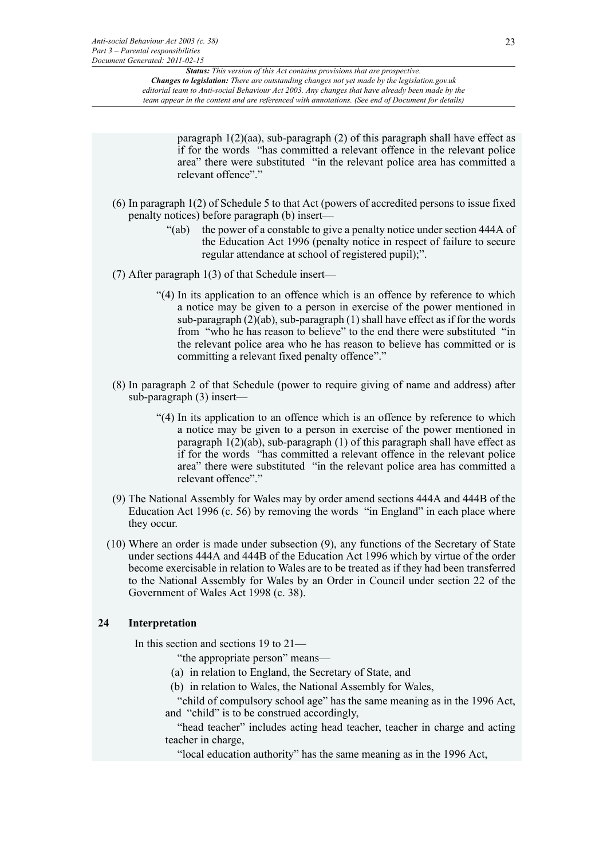> paragraph 1(2)(aa), sub-paragraph (2) of this paragraph shall have effect as if for the words "has committed a relevant offence in the relevant police area" there were substituted "in the relevant police area has committed a relevant offence"."

- (6) In paragraph 1(2) of Schedule 5 to that Act (powers of accredited persons to issue fixed penalty notices) before paragraph (b) insert—
	- "(ab) the power of a constable to give a penalty notice under section 444A of the Education Act 1996 (penalty notice in respect of failure to secure regular attendance at school of registered pupil);".
- (7) After paragraph 1(3) of that Schedule insert—
	- "(4) In its application to an offence which is an offence by reference to which a notice may be given to a person in exercise of the power mentioned in sub-paragraph  $(2)(ab)$ , sub-paragraph  $(1)$  shall have effect as if for the words from "who he has reason to believe" to the end there were substituted "in the relevant police area who he has reason to believe has committed or is committing a relevant fixed penalty offence"."
- (8) In paragraph 2 of that Schedule (power to require giving of name and address) after sub-paragraph (3) insert—
	- "(4) In its application to an offence which is an offence by reference to which a notice may be given to a person in exercise of the power mentioned in paragraph  $1(2)(ab)$ , sub-paragraph  $(1)$  of this paragraph shall have effect as if for the words "has committed a relevant offence in the relevant police area" there were substituted "in the relevant police area has committed a relevant offence".'
- (9) The National Assembly for Wales may by order amend sections 444A and 444B of the Education Act 1996 (c. 56) by removing the words "in England" in each place where they occur.
- (10) Where an order is made under subsection (9), any functions of the Secretary of State under sections 444A and 444B of the Education Act 1996 which by virtue of the order become exercisable in relation to Wales are to be treated as if they had been transferred to the National Assembly for Wales by an Order in Council under section 22 of the Government of Wales Act 1998 (c. 38).

#### **24 Interpretation**

In this section and sections 19 to 21—

- "the appropriate person" means—
- (a) in relation to England, the Secretary of State, and
- (b) in relation to Wales, the National Assembly for Wales,

"child of compulsory school age" has the same meaning as in the 1996 Act, and "child" is to be construed accordingly,

"head teacher" includes acting head teacher, teacher in charge and acting teacher in charge,

"local education authority" has the same meaning as in the 1996 Act,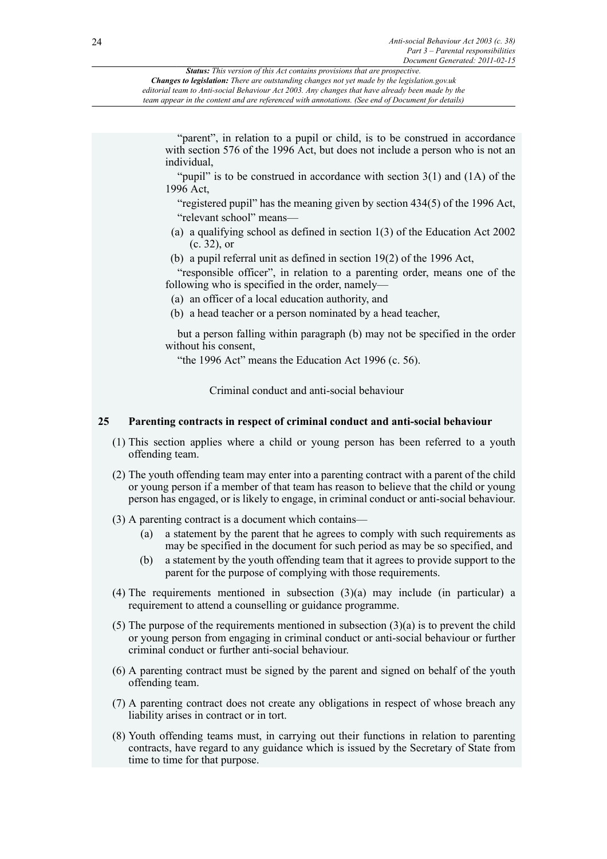| <b>Status:</b> This version of this Act contains provisions that are prospective.                   |
|-----------------------------------------------------------------------------------------------------|
| <b>Changes to legislation:</b> There are outstanding changes not yet made by the legislation.gov.uk |
| editorial team to Anti-social Behaviour Act 2003. Any changes that have already been made by the    |
| team appear in the content and are referenced with annotations. (See end of Document for details)   |
|                                                                                                     |

"parent", in relation to a pupil or child, is to be construed in accordance with section 576 of the 1996 Act, but does not include a person who is not an individual,

"pupil" is to be construed in accordance with section  $3(1)$  and  $(1A)$  of the 1996 Act,

"registered pupil" has the meaning given by section 434(5) of the 1996 Act, "relevant school" means—

- (a) a qualifying school as defined in section 1(3) of the Education Act 2002 (c. 32), or
- (b) a pupil referral unit as defined in section 19(2) of the 1996 Act,

"responsible officer", in relation to a parenting order, means one of the following who is specified in the order, namely—

- (a) an officer of a local education authority, and
- (b) a head teacher or a person nominated by a head teacher,

but a person falling within paragraph (b) may not be specified in the order without his consent,

"the 1996 Act" means the Education Act 1996 (c. 56).

Criminal conduct and anti-social behaviour

## **25 Parenting contracts in respect of criminal conduct and anti-social behaviour**

- (1) This section applies where a child or young person has been referred to a youth offending team.
- (2) The youth offending team may enter into a parenting contract with a parent of the child or young person if a member of that team has reason to believe that the child or young person has engaged, or is likely to engage, in criminal conduct or anti-social behaviour.
- (3) A parenting contract is a document which contains—
	- (a) a statement by the parent that he agrees to comply with such requirements as may be specified in the document for such period as may be so specified, and
	- (b) a statement by the youth offending team that it agrees to provide support to the parent for the purpose of complying with those requirements.
- (4) The requirements mentioned in subsection (3)(a) may include (in particular) a requirement to attend a counselling or guidance programme.
- (5) The purpose of the requirements mentioned in subsection  $(3)(a)$  is to prevent the child or young person from engaging in criminal conduct or anti-social behaviour or further criminal conduct or further anti-social behaviour.
- (6) A parenting contract must be signed by the parent and signed on behalf of the youth offending team.
- (7) A parenting contract does not create any obligations in respect of whose breach any liability arises in contract or in tort.
- (8) Youth offending teams must, in carrying out their functions in relation to parenting contracts, have regard to any guidance which is issued by the Secretary of State from time to time for that purpose.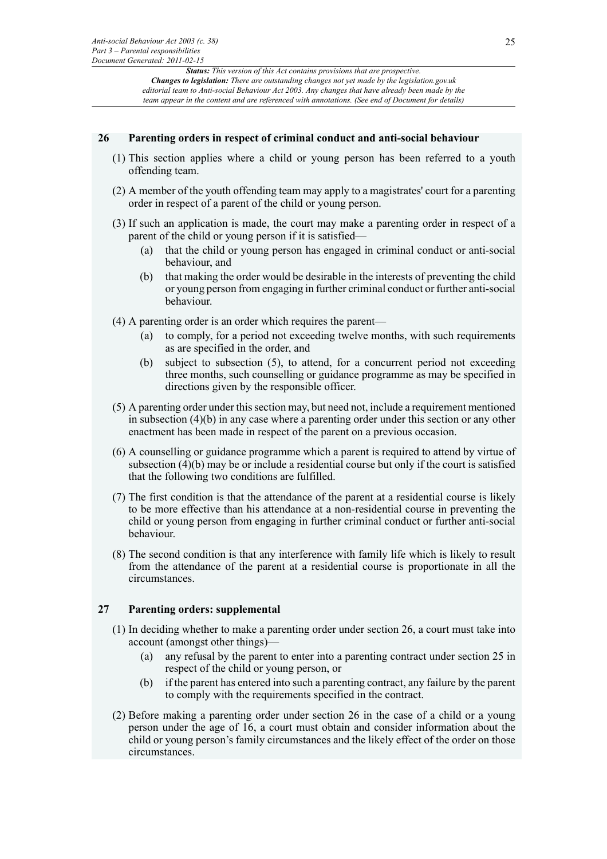#### **26 Parenting orders in respect of criminal conduct and anti-social behaviour**

- (1) This section applies where a child or young person has been referred to a youth offending team.
- (2) A member of the youth offending team may apply to a magistrates' court for a parenting order in respect of a parent of the child or young person.
- (3) If such an application is made, the court may make a parenting order in respect of a parent of the child or young person if it is satisfied—
	- (a) that the child or young person has engaged in criminal conduct or anti-social behaviour, and
	- (b) that making the order would be desirable in the interests of preventing the child or young person from engaging in further criminal conduct or further anti-social behaviour.
- (4) A parenting order is an order which requires the parent—
	- (a) to comply, for a period not exceeding twelve months, with such requirements as are specified in the order, and
	- (b) subject to subsection (5), to attend, for a concurrent period not exceeding three months, such counselling or guidance programme as may be specified in directions given by the responsible officer.
- (5) A parenting order under this section may, but need not, include a requirement mentioned in subsection (4)(b) in any case where a parenting order under this section or any other enactment has been made in respect of the parent on a previous occasion.
- (6) A counselling or guidance programme which a parent is required to attend by virtue of subsection (4)(b) may be or include a residential course but only if the court is satisfied that the following two conditions are fulfilled.
- (7) The first condition is that the attendance of the parent at a residential course is likely to be more effective than his attendance at a non-residential course in preventing the child or young person from engaging in further criminal conduct or further anti-social behaviour.
- (8) The second condition is that any interference with family life which is likely to result from the attendance of the parent at a residential course is proportionate in all the circumstances.

#### **27 Parenting orders: supplemental**

- (1) In deciding whether to make a parenting order under section 26, a court must take into account (amongst other things)—
	- (a) any refusal by the parent to enter into a parenting contract under section 25 in respect of the child or young person, or
	- (b) if the parent has entered into such a parenting contract, any failure by the parent to comply with the requirements specified in the contract.
- (2) Before making a parenting order under section 26 in the case of a child or a young person under the age of 16, a court must obtain and consider information about the child or young person's family circumstances and the likely effect of the order on those circumstances.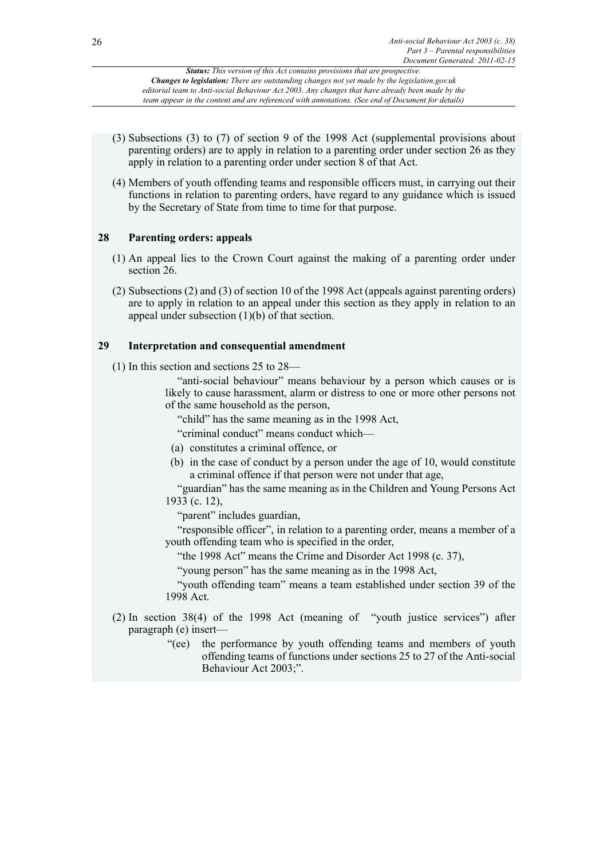- (3) Subsections (3) to (7) of section 9 of the 1998 Act (supplemental provisions about parenting orders) are to apply in relation to a parenting order under section 26 as they apply in relation to a parenting order under section 8 of that Act.
- (4) Members of youth offending teams and responsible officers must, in carrying out their functions in relation to parenting orders, have regard to any guidance which is issued by the Secretary of State from time to time for that purpose.

## **28 Parenting orders: appeals**

- (1) An appeal lies to the Crown Court against the making of a parenting order under section 26.
- (2) Subsections (2) and (3) of section 10 of the 1998 Act (appeals against parenting orders) are to apply in relation to an appeal under this section as they apply in relation to an appeal under subsection (1)(b) of that section.

## **29 Interpretation and consequential amendment**

(1) In this section and sections 25 to 28—

"anti-social behaviour" means behaviour by a person which causes or is likely to cause harassment, alarm or distress to one or more other persons not of the same household as the person,

"child" has the same meaning as in the 1998 Act,

"criminal conduct" means conduct which—

- (a) constitutes a criminal offence, or
- (b) in the case of conduct by a person under the age of 10, would constitute a criminal offence if that person were not under that age,

"guardian" has the same meaning as in the Children and Young Persons Act 1933 (c. 12),

"parent" includes guardian,

"responsible officer", in relation to a parenting order, means a member of a youth offending team who is specified in the order,

"the 1998 Act" means the Crime and Disorder Act 1998 (c. 37),

"young person" has the same meaning as in the 1998 Act,

"youth offending team" means a team established under section 39 of the 1998 Act.

- (2) In section 38(4) of the 1998 Act (meaning of "youth justice services") after paragraph (e) insert—
	- "(ee) the performance by youth offending teams and members of youth offending teams of functions under sections 25 to 27 of the Anti-social Behaviour Act 2003;".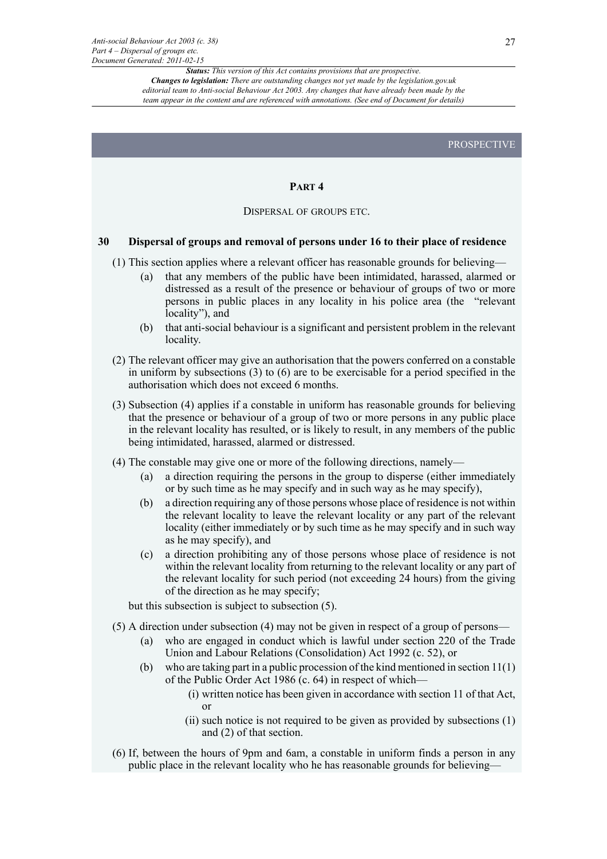PROSPECTIVE

#### **PART 4**

#### DISPERSAL OF GROUPS ETC.

## **30 Dispersal of groups and removal of persons under 16 to their place of residence**

- (1) This section applies where a relevant officer has reasonable grounds for believing—
	- (a) that any members of the public have been intimidated, harassed, alarmed or distressed as a result of the presence or behaviour of groups of two or more persons in public places in any locality in his police area (the "relevant locality"), and
	- (b) that anti-social behaviour is a significant and persistent problem in the relevant locality.
- (2) The relevant officer may give an authorisation that the powers conferred on a constable in uniform by subsections (3) to (6) are to be exercisable for a period specified in the authorisation which does not exceed 6 months.
- (3) Subsection (4) applies if a constable in uniform has reasonable grounds for believing that the presence or behaviour of a group of two or more persons in any public place in the relevant locality has resulted, or is likely to result, in any members of the public being intimidated, harassed, alarmed or distressed.
- (4) The constable may give one or more of the following directions, namely—
	- (a) a direction requiring the persons in the group to disperse (either immediately or by such time as he may specify and in such way as he may specify),
	- (b) a direction requiring any of those persons whose place of residence is not within the relevant locality to leave the relevant locality or any part of the relevant locality (either immediately or by such time as he may specify and in such way as he may specify), and
	- (c) a direction prohibiting any of those persons whose place of residence is not within the relevant locality from returning to the relevant locality or any part of the relevant locality for such period (not exceeding 24 hours) from the giving of the direction as he may specify;
	- but this subsection is subject to subsection (5).
- (5) A direction under subsection (4) may not be given in respect of a group of persons—
	- (a) who are engaged in conduct which is lawful under section 220 of the Trade Union and Labour Relations (Consolidation) Act 1992 (c. 52), or
	- (b) who are taking part in a public procession of the kind mentioned in section 11(1) of the Public Order Act 1986 (c. 64) in respect of which—
		- (i) written notice has been given in accordance with section 11 of that Act, or
		- (ii) such notice is not required to be given as provided by subsections (1) and (2) of that section.
- (6) If, between the hours of 9pm and 6am, a constable in uniform finds a person in any public place in the relevant locality who he has reasonable grounds for believing—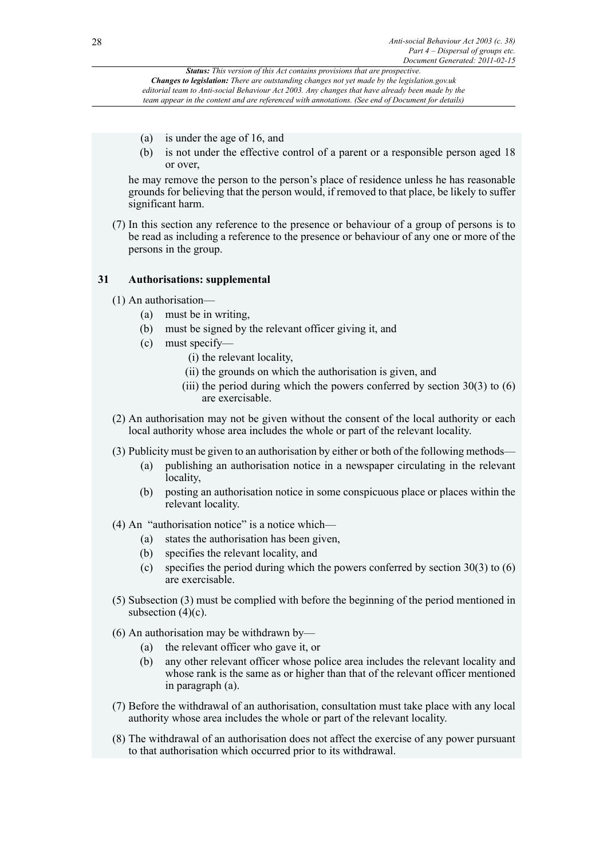- (a) is under the age of 16, and
- (b) is not under the effective control of a parent or a responsible person aged 18 or over,

he may remove the person to the person's place of residence unless he has reasonable grounds for believing that the person would, if removed to that place, be likely to suffer significant harm.

(7) In this section any reference to the presence or behaviour of a group of persons is to be read as including a reference to the presence or behaviour of any one or more of the persons in the group.

## **31 Authorisations: supplemental**

- (1) An authorisation—
	- (a) must be in writing,
	- (b) must be signed by the relevant officer giving it, and
	- (c) must specify—
		- (i) the relevant locality,
		- (ii) the grounds on which the authorisation is given, and
		- (iii) the period during which the powers conferred by section  $30(3)$  to  $(6)$ are exercisable.
- (2) An authorisation may not be given without the consent of the local authority or each local authority whose area includes the whole or part of the relevant locality.
- (3) Publicity must be given to an authorisation by either or both of the following methods—
	- (a) publishing an authorisation notice in a newspaper circulating in the relevant locality,
	- (b) posting an authorisation notice in some conspicuous place or places within the relevant locality.
- (4) An "authorisation notice" is a notice which—
	- (a) states the authorisation has been given,
	- (b) specifies the relevant locality, and
	- (c) specifies the period during which the powers conferred by section 30(3) to (6) are exercisable.
- (5) Subsection (3) must be complied with before the beginning of the period mentioned in subsection  $(4)(c)$ .
- (6) An authorisation may be withdrawn by—
	- (a) the relevant officer who gave it, or
	- (b) any other relevant officer whose police area includes the relevant locality and whose rank is the same as or higher than that of the relevant officer mentioned in paragraph (a).
- (7) Before the withdrawal of an authorisation, consultation must take place with any local authority whose area includes the whole or part of the relevant locality.
- (8) The withdrawal of an authorisation does not affect the exercise of any power pursuant to that authorisation which occurred prior to its withdrawal.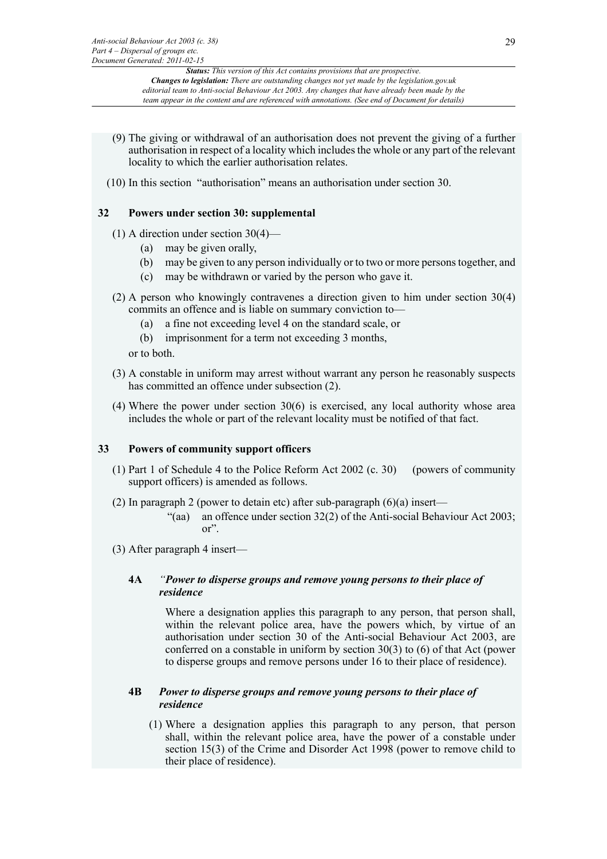- (9) The giving or withdrawal of an authorisation does not prevent the giving of a further authorisation in respect of a locality which includes the whole or any part of the relevant locality to which the earlier authorisation relates.
- (10) In this section "authorisation" means an authorisation under section 30.

## **32 Powers under section 30: supplemental**

- (1) A direction under section 30(4)—
	- (a) may be given orally,
	- (b) may be given to any person individually or to two or more persons together, and
	- (c) may be withdrawn or varied by the person who gave it.
- (2) A person who knowingly contravenes a direction given to him under section 30(4) commits an offence and is liable on summary conviction to—
	- (a) a fine not exceeding level 4 on the standard scale, or
	- (b) imprisonment for a term not exceeding 3 months,

or to both.

- (3) A constable in uniform may arrest without warrant any person he reasonably suspects has committed an offence under subsection (2).
- (4) Where the power under section 30(6) is exercised, any local authority whose area includes the whole or part of the relevant locality must be notified of that fact.

#### **33 Powers of community support officers**

- (1) Part 1 of Schedule 4 to the Police Reform Act 2002 (c. 30) (powers of community support officers) is amended as follows.
- (2) In paragraph 2 (power to detain etc) after sub-paragraph  $(6)(a)$  insert—
	- "(aa) an offence under section  $32(2)$  of the Anti-social Behaviour Act 2003; or".
- (3) After paragraph 4 insert—

## **4A** *"Power to disperse groups and remove young persons to their place of residence*

Where a designation applies this paragraph to any person, that person shall, within the relevant police area, have the powers which, by virtue of an authorisation under section 30 of the Anti-social Behaviour Act 2003, are conferred on a constable in uniform by section 30(3) to (6) of that Act (power to disperse groups and remove persons under 16 to their place of residence).

#### **4B** *Power to disperse groups and remove young persons to their place of residence*

(1) Where a designation applies this paragraph to any person, that person shall, within the relevant police area, have the power of a constable under section 15(3) of the Crime and Disorder Act 1998 (power to remove child to their place of residence).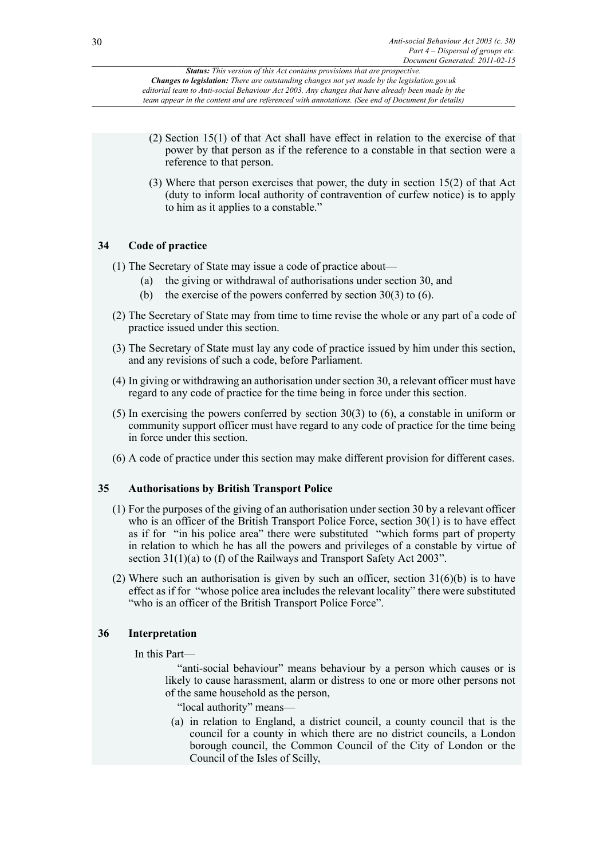- (2) Section 15(1) of that Act shall have effect in relation to the exercise of that power by that person as if the reference to a constable in that section were a reference to that person.
- (3) Where that person exercises that power, the duty in section 15(2) of that Act (duty to inform local authority of contravention of curfew notice) is to apply to him as it applies to a constable."

## **34 Code of practice**

- (1) The Secretary of State may issue a code of practice about—
	- (a) the giving or withdrawal of authorisations under section 30, and
	- (b) the exercise of the powers conferred by section  $30(3)$  to (6).
- (2) The Secretary of State may from time to time revise the whole or any part of a code of practice issued under this section.
- (3) The Secretary of State must lay any code of practice issued by him under this section, and any revisions of such a code, before Parliament.
- (4) In giving or withdrawing an authorisation under section 30, a relevant officer must have regard to any code of practice for the time being in force under this section.
- (5) In exercising the powers conferred by section 30(3) to (6), a constable in uniform or community support officer must have regard to any code of practice for the time being in force under this section.
- (6) A code of practice under this section may make different provision for different cases.

## **35 Authorisations by British Transport Police**

- (1) For the purposes of the giving of an authorisation under section 30 by a relevant officer who is an officer of the British Transport Police Force, section 30(1) is to have effect as if for "in his police area" there were substituted "which forms part of property in relation to which he has all the powers and privileges of a constable by virtue of section 31(1)(a) to (f) of the Railways and Transport Safety Act 2003".
- (2) Where such an authorisation is given by such an officer, section  $31(6)(b)$  is to have effect as if for "whose police area includes the relevant locality" there were substituted "who is an officer of the British Transport Police Force".

## **36 Interpretation**

In this Part—

"anti-social behaviour" means behaviour by a person which causes or is likely to cause harassment, alarm or distress to one or more other persons not of the same household as the person,

"local authority" means—

(a) in relation to England, a district council, a county council that is the council for a county in which there are no district councils, a London borough council, the Common Council of the City of London or the Council of the Isles of Scilly,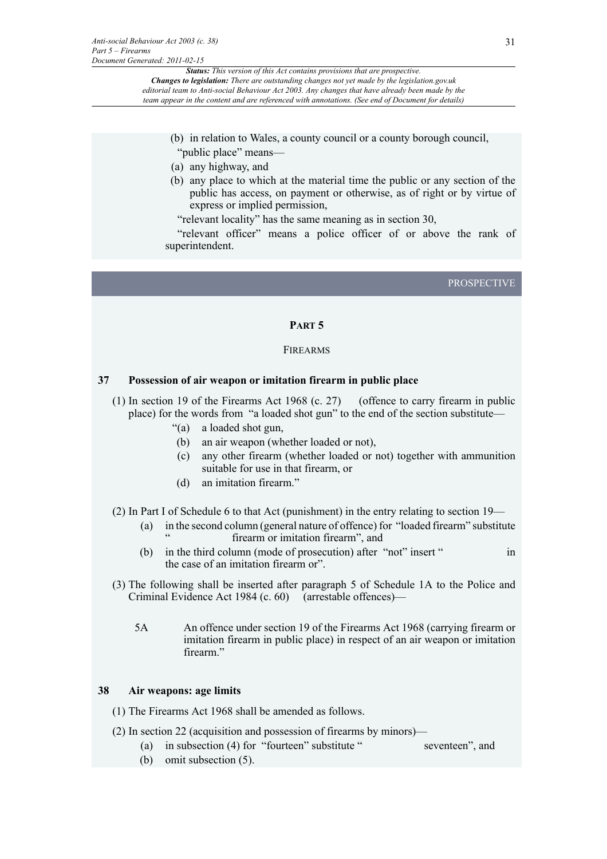- (b) in relation to Wales, a county council or a county borough council, "public place" means—
- (a) any highway, and
- (b) any place to which at the material time the public or any section of the public has access, on payment or otherwise, as of right or by virtue of express or implied permission,

"relevant locality" has the same meaning as in section 30,

"relevant officer" means a police officer of or above the rank of superintendent.

PROSPECTIVE

#### **PART 5**

#### FIREARMS

#### **37 Possession of air weapon or imitation firearm in public place**

- (1) In section 19 of the Firearms Act 1968 (c. 27) (offence to carry firearm in public place) for the words from "a loaded shot gun" to the end of the section substitute—
	- "(a) a loaded shot gun,
	- (b) an air weapon (whether loaded or not),
	- (c) any other firearm (whether loaded or not) together with ammunition suitable for use in that firearm, or
	- (d) an imitation firearm."
- (2) In Part I of Schedule 6 to that Act (punishment) in the entry relating to section 19—
	- (a) in the second column (general nature of offence) for "loaded firearm" substitute firearm or imitation firearm", and
	- (b) in the third column (mode of prosecution) after "not" insert " in the case of an imitation firearm or".
- (3) The following shall be inserted after paragraph 5 of Schedule 1A to the Police and Criminal Evidence Act 1984 (c. 60) (arrestable offences)—
	- 5A An offence under section 19 of the Firearms Act 1968 (carrying firearm or imitation firearm in public place) in respect of an air weapon or imitation firearm."

#### **38 Air weapons: age limits**

- (1) The Firearms Act 1968 shall be amended as follows.
- (2) In section 22 (acquisition and possession of firearms by minors)—
	- (a) in subsection (4) for "fourteen" substitute " seventeen", and
	- (b) omit subsection (5).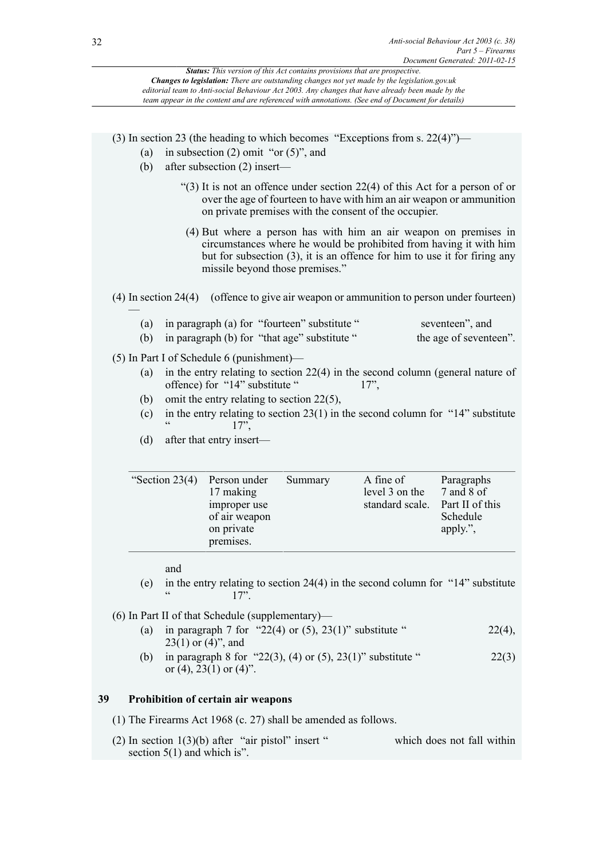| Document Generated: 2011-02-15                                                                                                                                                                                                                                                                                                                                                      |  |  |  |  |  |  |
|-------------------------------------------------------------------------------------------------------------------------------------------------------------------------------------------------------------------------------------------------------------------------------------------------------------------------------------------------------------------------------------|--|--|--|--|--|--|
| Status: This version of this Act contains provisions that are prospective.<br>Changes to legislation: There are outstanding changes not yet made by the legislation.gov.uk<br>editorial team to Anti-social Behaviour Act 2003. Any changes that have already been made by the<br>team appear in the content and are referenced with annotations. (See end of Document for details) |  |  |  |  |  |  |
|                                                                                                                                                                                                                                                                                                                                                                                     |  |  |  |  |  |  |
| (3) In section 23 (the heading to which becomes "Exceptions from s. $22(4)$ ")—<br>in subsection $(2)$ omit "or $(5)$ ", and<br>(a)<br>after subsection (2) insert-<br>(b)                                                                                                                                                                                                          |  |  |  |  |  |  |
| "(3) It is not an offence under section $22(4)$ of this Act for a person of or<br>over the age of fourteen to have with him an air weapon or ammunition<br>on private premises with the consent of the occupier.                                                                                                                                                                    |  |  |  |  |  |  |
| (4) But where a person has with him an air weapon on premises in<br>circumstances where he would be prohibited from having it with him<br>but for subsection (3), it is an offence for him to use it for firing any<br>missile beyond those premises."                                                                                                                              |  |  |  |  |  |  |
| (4) In section 24(4) (offence to give air weapon or ammunition to person under fourteen)                                                                                                                                                                                                                                                                                            |  |  |  |  |  |  |
| in paragraph (a) for "fourteen" substitute "<br>seventeen", and<br>(a)<br>the age of seventeen".<br>in paragraph (b) for "that age" substitute"<br>(b)                                                                                                                                                                                                                              |  |  |  |  |  |  |
| $(5)$ In Part I of Schedule 6 (punishment)—<br>in the entry relating to section $22(4)$ in the second column (general nature of<br>(a)<br>offence) for "14" substitute "<br>$17$ "<br>omit the entry relating to section $22(5)$ ,<br>(b)                                                                                                                                           |  |  |  |  |  |  |
| in the entry relating to section $23(1)$ in the second column for "14" substitute<br>(c)<br>$\zeta$ $\zeta$<br>17"<br>(d)<br>after that entry insert—                                                                                                                                                                                                                               |  |  |  |  |  |  |
|                                                                                                                                                                                                                                                                                                                                                                                     |  |  |  |  |  |  |

| "Section $23(4)$ | Person under<br>17 making<br>improper use<br>of air weapon<br>on private<br>premises. | Summary | A fine of<br>level 3 on the<br>standard scale. | Paragraphs<br>7 and 8 of<br>Part II of this<br>Schedule<br>apply.", |
|------------------|---------------------------------------------------------------------------------------|---------|------------------------------------------------|---------------------------------------------------------------------|
|------------------|---------------------------------------------------------------------------------------|---------|------------------------------------------------|---------------------------------------------------------------------|

and

(e) in the entry relating to section 24(4) in the second column for "14" substitute  $17"$ .

(6) In Part II of that Schedule (supplementary)—

- (a) in paragraph 7 for "22(4) or (5), 23(1)" substitute "  $22(4)$ ,  $23(1)$  or  $(4)$ ", and
- (b) in paragraph 8 for "22(3), (4) or (5), 23(1)" substitute "  $22(3)$ or  $(4)$ ,  $23(1)$  or  $(4)$ ".

# **39 Prohibition of certain air weapons**

(1) The Firearms Act 1968 (c. 27) shall be amended as follows.

(2) In section  $1(3)(b)$  after "air pistol" insert " which does not fall within section 5(1) and which is".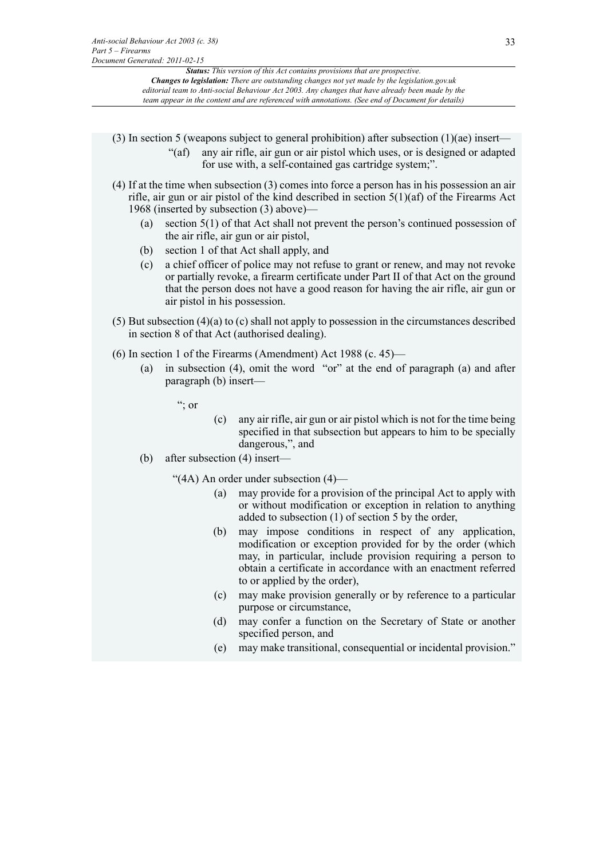- (3) In section 5 (weapons subject to general prohibition) after subsection (1)(ae) insert—
	- "(af) any air rifle, air gun or air pistol which uses, or is designed or adapted for use with, a self-contained gas cartridge system;".
- (4) If at the time when subsection (3) comes into force a person has in his possession an air rifle, air gun or air pistol of the kind described in section 5(1)(af) of the Firearms Act 1968 (inserted by subsection (3) above)—
	- (a) section 5(1) of that Act shall not prevent the person's continued possession of the air rifle, air gun or air pistol,
	- (b) section 1 of that Act shall apply, and
	- (c) a chief officer of police may not refuse to grant or renew, and may not revoke or partially revoke, a firearm certificate under Part II of that Act on the ground that the person does not have a good reason for having the air rifle, air gun or air pistol in his possession.
- (5) But subsection (4)(a) to (c) shall not apply to possession in the circumstances described in section 8 of that Act (authorised dealing).
- (6) In section 1 of the Firearms (Amendment) Act 1988 (c. 45)—
	- (a) in subsection (4), omit the word "or" at the end of paragraph (a) and after paragraph (b) insert—

 $\cdot$  or

- (c) any air rifle, air gun or air pistol which is not for the time being specified in that subsection but appears to him to be specially dangerous,", and
- (b) after subsection (4) insert—
	- "(4A) An order under subsection (4)—
		- (a) may provide for a provision of the principal Act to apply with or without modification or exception in relation to anything added to subsection (1) of section 5 by the order,
		- (b) may impose conditions in respect of any application, modification or exception provided for by the order (which may, in particular, include provision requiring a person to obtain a certificate in accordance with an enactment referred to or applied by the order),
		- (c) may make provision generally or by reference to a particular purpose or circumstance,
		- (d) may confer a function on the Secretary of State or another specified person, and
		- (e) may make transitional, consequential or incidental provision."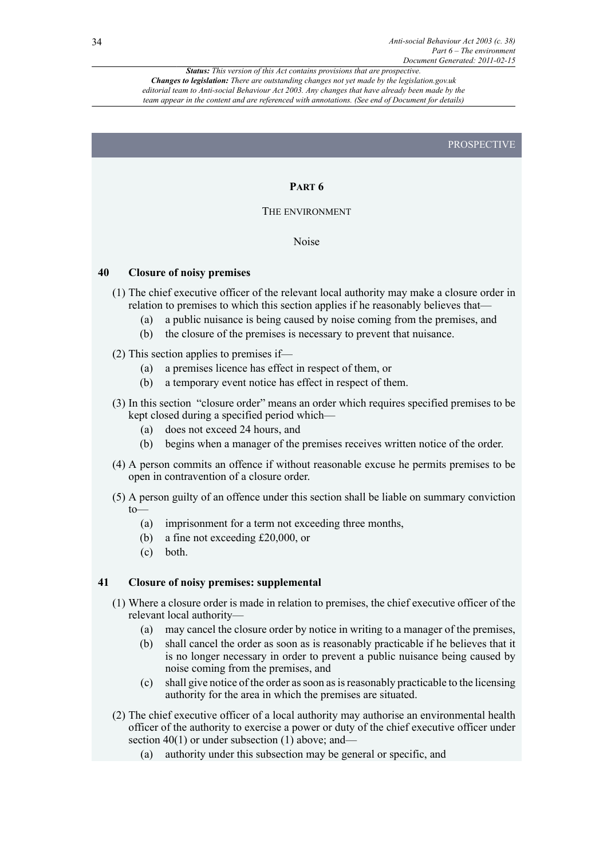#### PROSPECTIVE

#### **PART 6**

#### THE ENVIRONMENT

Noise

#### **40 Closure of noisy premises**

- (1) The chief executive officer of the relevant local authority may make a closure order in relation to premises to which this section applies if he reasonably believes that—
	- (a) a public nuisance is being caused by noise coming from the premises, and
	- (b) the closure of the premises is necessary to prevent that nuisance.
- (2) This section applies to premises if—
	- (a) a premises licence has effect in respect of them, or
	- (b) a temporary event notice has effect in respect of them.
- (3) In this section "closure order" means an order which requires specified premises to be kept closed during a specified period which—
	- (a) does not exceed 24 hours, and
	- (b) begins when a manager of the premises receives written notice of the order.
- (4) A person commits an offence if without reasonable excuse he permits premises to be open in contravention of a closure order.
- (5) A person guilty of an offence under this section shall be liable on summary conviction to—
	- (a) imprisonment for a term not exceeding three months,
	- (b) a fine not exceeding £20,000, or
	- (c) both.

#### **41 Closure of noisy premises: supplemental**

- (1) Where a closure order is made in relation to premises, the chief executive officer of the relevant local authority—
	- (a) may cancel the closure order by notice in writing to a manager of the premises,
	- (b) shall cancel the order as soon as is reasonably practicable if he believes that it is no longer necessary in order to prevent a public nuisance being caused by noise coming from the premises, and
	- (c) shall give notice of the order as soon as is reasonably practicable to the licensing authority for the area in which the premises are situated.
- (2) The chief executive officer of a local authority may authorise an environmental health officer of the authority to exercise a power or duty of the chief executive officer under section 40(1) or under subsection (1) above; and—
	- (a) authority under this subsection may be general or specific, and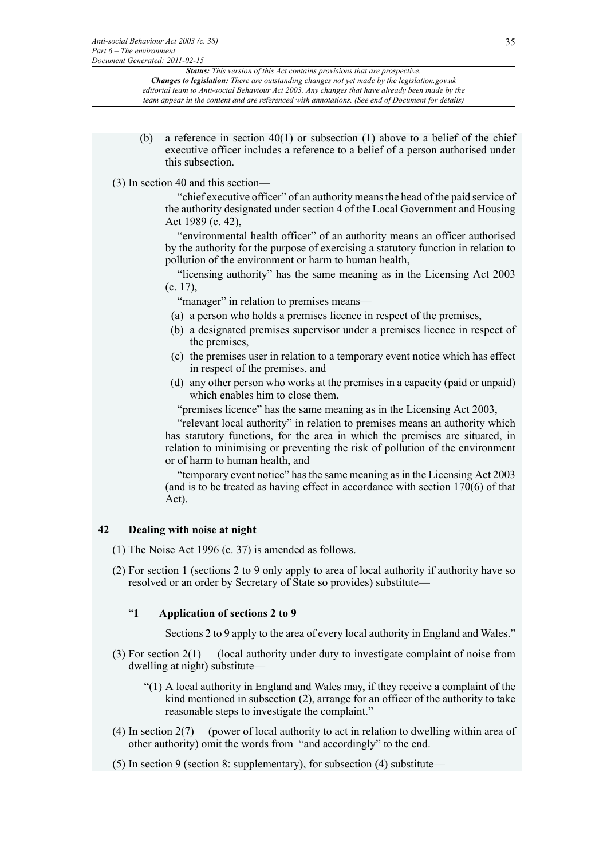(b) a reference in section  $40(1)$  or subsection (1) above to a belief of the chief executive officer includes a reference to a belief of a person authorised under this subsection.

#### (3) In section 40 and this section—

"chief executive officer" of an authority means the head of the paid service of the authority designated under section 4 of the Local Government and Housing Act 1989 (c. 42),

"environmental health officer" of an authority means an officer authorised by the authority for the purpose of exercising a statutory function in relation to pollution of the environment or harm to human health,

"licensing authority" has the same meaning as in the Licensing Act 2003 (c. 17),

"manager" in relation to premises means—

- (a) a person who holds a premises licence in respect of the premises,
- (b) a designated premises supervisor under a premises licence in respect of the premises,
- (c) the premises user in relation to a temporary event notice which has effect in respect of the premises, and
- (d) any other person who works at the premises in a capacity (paid or unpaid) which enables him to close them,

"premises licence" has the same meaning as in the Licensing Act 2003,

"relevant local authority" in relation to premises means an authority which has statutory functions, for the area in which the premises are situated, in relation to minimising or preventing the risk of pollution of the environment or of harm to human health, and

"temporary event notice" has the same meaning as in the Licensing Act 2003 (and is to be treated as having effect in accordance with section 170(6) of that Act).

#### **42 Dealing with noise at night**

- (1) The Noise Act 1996 (c. 37) is amended as follows.
- (2) For section 1 (sections 2 to 9 only apply to area of local authority if authority have so resolved or an order by Secretary of State so provides) substitute—

#### "**1 Application of sections 2 to 9**

Sections 2 to 9 apply to the area of every local authority in England and Wales."

- (3) For section 2(1) (local authority under duty to investigate complaint of noise from dwelling at night) substitute—
	- "(1) A local authority in England and Wales may, if they receive a complaint of the kind mentioned in subsection (2), arrange for an officer of the authority to take reasonable steps to investigate the complaint."
- (4) In section 2(7) (power of local authority to act in relation to dwelling within area of other authority) omit the words from "and accordingly" to the end.
- (5) In section 9 (section 8: supplementary), for subsection (4) substitute—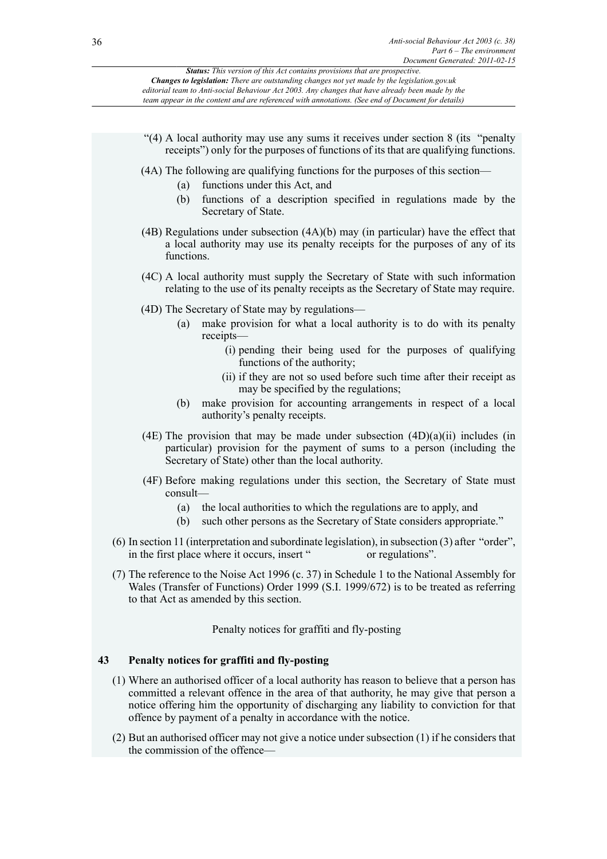

(2) But an authorised officer may not give a notice under subsection (1) if he considers that the commission of the offence—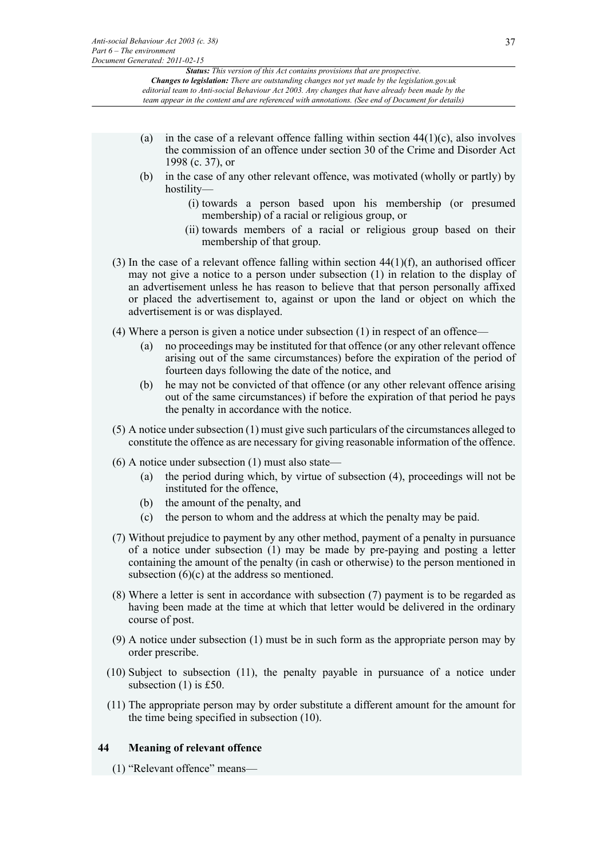- (a) in the case of a relevant offence falling within section  $44(1)(c)$ , also involves the commission of an offence under section 30 of the Crime and Disorder Act 1998 (c. 37), or
- (b) in the case of any other relevant offence, was motivated (wholly or partly) by hostility—
	- (i) towards a person based upon his membership (or presumed membership) of a racial or religious group, or
	- (ii) towards members of a racial or religious group based on their membership of that group.
- (3) In the case of a relevant offence falling within section  $44(1)(f)$ , an authorised officer may not give a notice to a person under subsection (1) in relation to the display of an advertisement unless he has reason to believe that that person personally affixed or placed the advertisement to, against or upon the land or object on which the advertisement is or was displayed.
- (4) Where a person is given a notice under subsection (1) in respect of an offence
	- no proceedings may be instituted for that offence (or any other relevant offence arising out of the same circumstances) before the expiration of the period of fourteen days following the date of the notice, and
	- (b) he may not be convicted of that offence (or any other relevant offence arising out of the same circumstances) if before the expiration of that period he pays the penalty in accordance with the notice.
- (5) A notice under subsection (1) must give such particulars of the circumstances alleged to constitute the offence as are necessary for giving reasonable information of the offence.
- (6) A notice under subsection (1) must also state—
	- (a) the period during which, by virtue of subsection (4), proceedings will not be instituted for the offence,
	- (b) the amount of the penalty, and
	- (c) the person to whom and the address at which the penalty may be paid.
- (7) Without prejudice to payment by any other method, payment of a penalty in pursuance of a notice under subsection (1) may be made by pre-paying and posting a letter containing the amount of the penalty (in cash or otherwise) to the person mentioned in subsection (6)(c) at the address so mentioned.
- (8) Where a letter is sent in accordance with subsection (7) payment is to be regarded as having been made at the time at which that letter would be delivered in the ordinary course of post.
- (9) A notice under subsection (1) must be in such form as the appropriate person may by order prescribe.
- (10) Subject to subsection (11), the penalty payable in pursuance of a notice under subsection (1) is £50.
- (11) The appropriate person may by order substitute a different amount for the amount for the time being specified in subsection (10).

# **44 Meaning of relevant offence**

(1) "Relevant offence" means—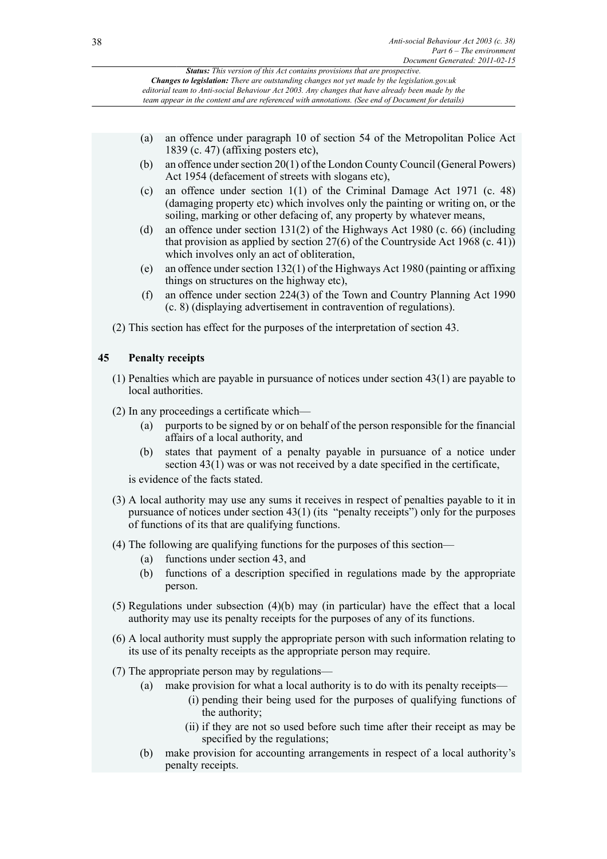|    |     | Document Generated. $2011 - 02 - 13$                                                                                                                                                                                                                                                                                                                                                       |
|----|-----|--------------------------------------------------------------------------------------------------------------------------------------------------------------------------------------------------------------------------------------------------------------------------------------------------------------------------------------------------------------------------------------------|
|    |     | Status: This version of this Act contains provisions that are prospective.<br><b>Changes to legislation:</b> There are outstanding changes not yet made by the legislation.gov.uk<br>editorial team to Anti-social Behaviour Act 2003. Any changes that have already been made by the<br>team appear in the content and are referenced with annotations. (See end of Document for details) |
|    |     |                                                                                                                                                                                                                                                                                                                                                                                            |
|    | (a) | an offence under paragraph 10 of section 54 of the Metropolitan Police Act<br>1839 (c. 47) (affixing posters etc),                                                                                                                                                                                                                                                                         |
|    | (b) | an offence under section 20(1) of the London County Council (General Powers)<br>Act 1954 (defacement of streets with slogans etc),                                                                                                                                                                                                                                                         |
|    | (c) | an offence under section $1(1)$ of the Criminal Damage Act 1971 (c. 48)<br>(damaging property etc) which involves only the painting or writing on, or the<br>soiling, marking or other defacing of, any property by whatever means,                                                                                                                                                        |
|    | (d) | an offence under section $131(2)$ of the Highways Act 1980 (c. 66) (including<br>that provision as applied by section $27(6)$ of the Countryside Act 1968 (c. 41))<br>which involves only an act of obliteration,                                                                                                                                                                          |
|    | (e) | an offence under section $132(1)$ of the Highways Act 1980 (painting or affixing<br>things on structures on the highway etc),                                                                                                                                                                                                                                                              |
|    | (f) | an offence under section 224(3) of the Town and Country Planning Act 1990<br>(c. 8) (displaying advertisement in contravention of regulations).                                                                                                                                                                                                                                            |
|    |     | (2) This section has effect for the purposes of the interpretation of section 43.                                                                                                                                                                                                                                                                                                          |
| 45 |     | <b>Penalty receipts</b>                                                                                                                                                                                                                                                                                                                                                                    |
|    |     | $(1)$ Penalties which are payable in pursuance of notices under section 43 $(1)$ are payable to<br>local authorities.                                                                                                                                                                                                                                                                      |
|    |     | (2) In any proceedings a certificate which—                                                                                                                                                                                                                                                                                                                                                |
|    | (a) | purports to be signed by or on behalf of the person responsible for the financial<br>affairs of a local authority, and                                                                                                                                                                                                                                                                     |
|    | (b) | states that payment of a penalty payable in pursuance of a notice under<br>section $43(1)$ was or was not received by a date specified in the certificate,                                                                                                                                                                                                                                 |
|    |     | is evidence of the facts stated.                                                                                                                                                                                                                                                                                                                                                           |
|    |     | (3) A local authority may use any sums it receives in respect of penalties payable to it in<br>pursuance of notices under section 43(1) (its "penalty receipts") only for the purposes<br>of functions of its that are qualifying functions.                                                                                                                                               |
|    | (a) | (4) The following are qualifying functions for the purposes of this section—<br>functions under section 43, and                                                                                                                                                                                                                                                                            |
|    | (b) | functions of a description specified in regulations made by the appropriate<br>person.                                                                                                                                                                                                                                                                                                     |
|    |     | $(5)$ Regulations under subsection $(4)(b)$ may (in particular) have the effect that a local<br>authority may use its penalty receipts for the purposes of any of its functions.                                                                                                                                                                                                           |
|    |     | (6) A local authority must supply the appropriate person with such information relating to<br>its use of its penalty receipts as the appropriate person may require.                                                                                                                                                                                                                       |
|    |     | (7) The appropriate person may by regulations—                                                                                                                                                                                                                                                                                                                                             |
|    | (a) | make provision for what a local authority is to do with its penalty receipts—<br>(i) pending their being used for the purposes of qualifying functions of<br>the authority;                                                                                                                                                                                                                |
|    |     | (ii) if they are not so used before such time after their receipt as may be<br>specified by the regulations;                                                                                                                                                                                                                                                                               |
|    | (b) | make provision for accounting arrangements in respect of a local authority's<br>penalty receipts.                                                                                                                                                                                                                                                                                          |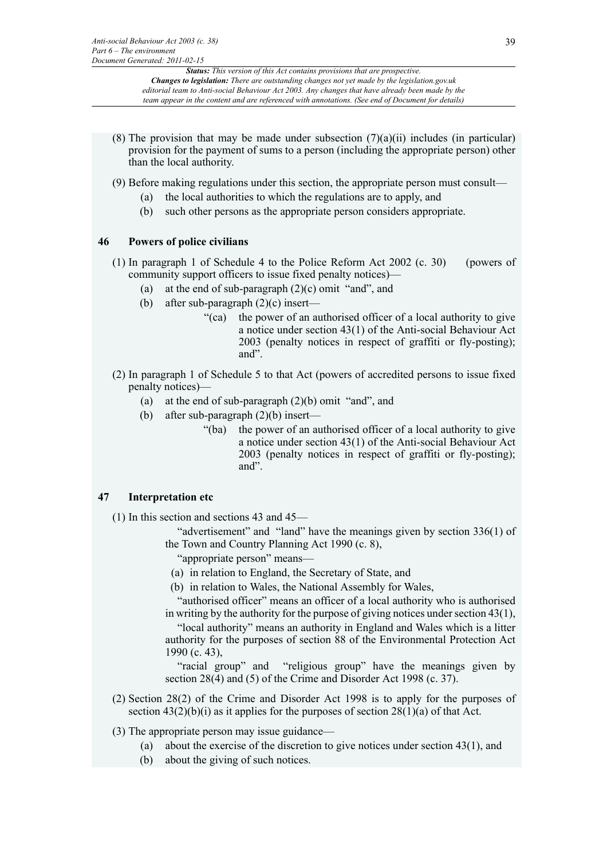- (8) The provision that may be made under subsection  $(7)(a)(ii)$  includes (in particular) provision for the payment of sums to a person (including the appropriate person) other than the local authority.
- (9) Before making regulations under this section, the appropriate person must consult—
	- (a) the local authorities to which the regulations are to apply, and
	- (b) such other persons as the appropriate person considers appropriate.

# **46 Powers of police civilians**

- (1) In paragraph 1 of Schedule 4 to the Police Reform Act 2002 (c. 30) (powers of community support officers to issue fixed penalty notices)
	- at the end of sub-paragraph  $(2)(c)$  omit "and", and
	- (b) after sub-paragraph  $(2)(c)$  insert—
		- "(ca) the power of an authorised officer of a local authority to give a notice under section 43(1) of the Anti-social Behaviour Act 2003 (penalty notices in respect of graffiti or fly-posting); and".
- (2) In paragraph 1 of Schedule 5 to that Act (powers of accredited persons to issue fixed penalty notices)—
	- (a) at the end of sub-paragraph (2)(b) omit "and", and
	- (b) after sub-paragraph (2)(b) insert—
		- "(ba) the power of an authorised officer of a local authority to give a notice under section 43(1) of the Anti-social Behaviour Act 2003 (penalty notices in respect of graffiti or fly-posting); and".

# **47 Interpretation etc**

- (1) In this section and sections 43 and 45—
	- "advertisement" and "land" have the meanings given by section 336(1) of the Town and Country Planning Act 1990 (c. 8),

"appropriate person" means—

- (a) in relation to England, the Secretary of State, and
- (b) in relation to Wales, the National Assembly for Wales,

"authorised officer" means an officer of a local authority who is authorised in writing by the authority for the purpose of giving notices under section 43(1),

"local authority" means an authority in England and Wales which is a litter authority for the purposes of section 88 of the Environmental Protection Act 1990 (c. 43),

"racial group" and "religious group" have the meanings given by section 28(4) and (5) of the Crime and Disorder Act 1998 (c. 37).

- (2) Section 28(2) of the Crime and Disorder Act 1998 is to apply for the purposes of section  $43(2)(b)(i)$  as it applies for the purposes of section  $28(1)(a)$  of that Act.
- (3) The appropriate person may issue guidance—
	- (a) about the exercise of the discretion to give notices under section 43(1), and
	- (b) about the giving of such notices.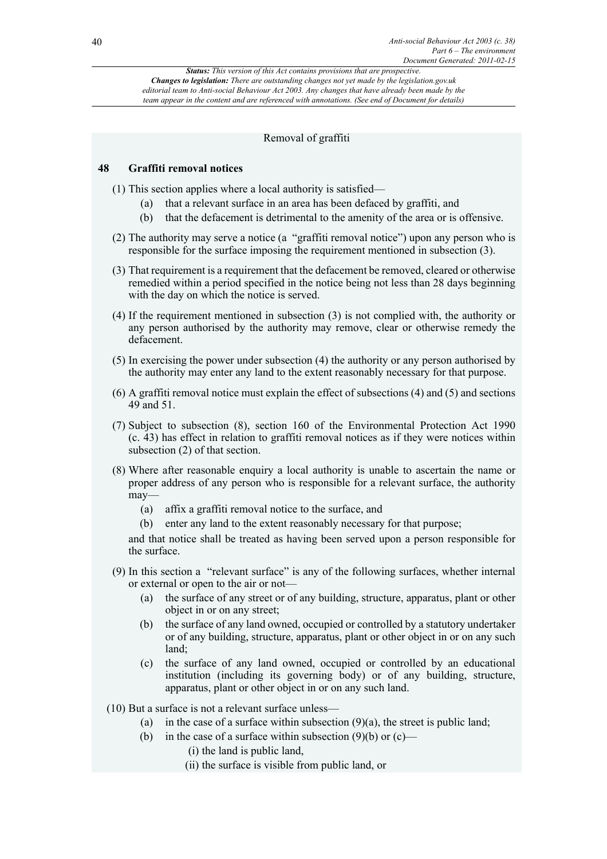# Removal of graffiti

# **48 Graffiti removal notices**

- (1) This section applies where a local authority is satisfied—
	- (a) that a relevant surface in an area has been defaced by graffiti, and
	- (b) that the defacement is detrimental to the amenity of the area or is offensive.
- (2) The authority may serve a notice (a "graffiti removal notice") upon any person who is responsible for the surface imposing the requirement mentioned in subsection (3).
- (3) That requirement is a requirement that the defacement be removed, cleared or otherwise remedied within a period specified in the notice being not less than 28 days beginning with the day on which the notice is served.
- (4) If the requirement mentioned in subsection (3) is not complied with, the authority or any person authorised by the authority may remove, clear or otherwise remedy the defacement.
- (5) In exercising the power under subsection (4) the authority or any person authorised by the authority may enter any land to the extent reasonably necessary for that purpose.
- (6) A graffiti removal notice must explain the effect of subsections (4) and (5) and sections 49 and 51.
- (7) Subject to subsection (8), section 160 of the Environmental Protection Act 1990 (c. 43) has effect in relation to graffiti removal notices as if they were notices within subsection (2) of that section.
- (8) Where after reasonable enquiry a local authority is unable to ascertain the name or proper address of any person who is responsible for a relevant surface, the authority may—
	- (a) affix a graffiti removal notice to the surface, and
	- (b) enter any land to the extent reasonably necessary for that purpose;

and that notice shall be treated as having been served upon a person responsible for the surface.

- (9) In this section a "relevant surface" is any of the following surfaces, whether internal or external or open to the air or not—
	- (a) the surface of any street or of any building, structure, apparatus, plant or other object in or on any street;
	- (b) the surface of any land owned, occupied or controlled by a statutory undertaker or of any building, structure, apparatus, plant or other object in or on any such land;
	- (c) the surface of any land owned, occupied or controlled by an educational institution (including its governing body) or of any building, structure, apparatus, plant or other object in or on any such land.
- (10) But a surface is not a relevant surface unless—
	- (a) in the case of a surface within subsection  $(9)(a)$ , the street is public land;
	- (b) in the case of a surface within subsection  $(9)(b)$  or  $(c)$ 
		- (i) the land is public land,
		- (ii) the surface is visible from public land, or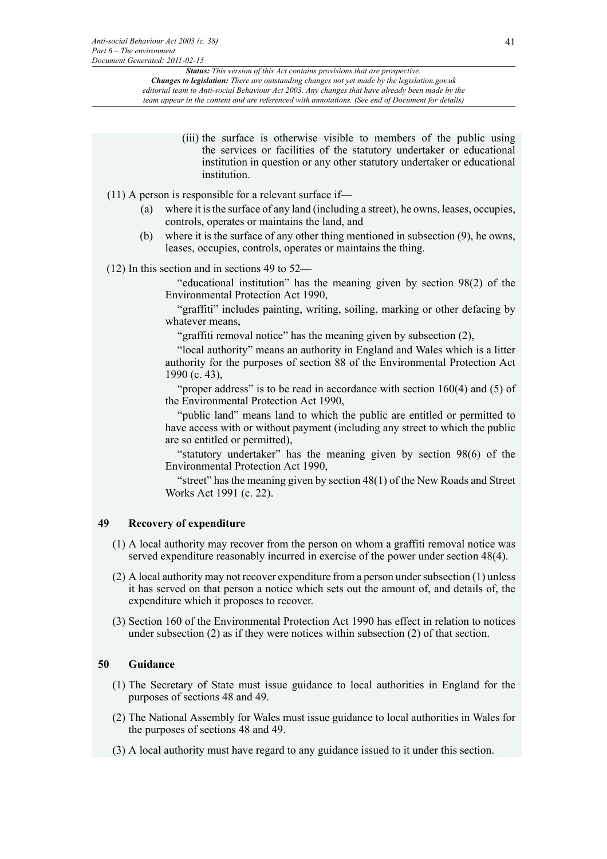> (iii) the surface is otherwise visible to members of the public using the services or facilities of the statutory undertaker or educational institution in question or any other statutory undertaker or educational institution.

# (11) A person is responsible for a relevant surface if—

- (a) where it is the surface of any land (including a street), he owns, leases, occupies, controls, operates or maintains the land, and
- (b) where it is the surface of any other thing mentioned in subsection (9), he owns, leases, occupies, controls, operates or maintains the thing.

### (12) In this section and in sections 49 to 52—

"educational institution" has the meaning given by section 98(2) of the Environmental Protection Act 1990,

"graffiti" includes painting, writing, soiling, marking or other defacing by whatever means,

"graffiti removal notice" has the meaning given by subsection (2),

"local authority" means an authority in England and Wales which is a litter authority for the purposes of section 88 of the Environmental Protection Act 1990 (c. 43),

"proper address" is to be read in accordance with section 160(4) and (5) of the Environmental Protection Act 1990,

"public land" means land to which the public are entitled or permitted to have access with or without payment (including any street to which the public are so entitled or permitted),

"statutory undertaker" has the meaning given by section 98(6) of the Environmental Protection Act 1990,

"street" has the meaning given by section 48(1) of the New Roads and Street Works Act 1991 (c. 22).

### **49 Recovery of expenditure**

- (1) A local authority may recover from the person on whom a graffiti removal notice was served expenditure reasonably incurred in exercise of the power under section 48(4).
- (2) A local authority may not recover expenditure from a person under subsection (1) unless it has served on that person a notice which sets out the amount of, and details of, the expenditure which it proposes to recover.
- (3) Section 160 of the Environmental Protection Act 1990 has effect in relation to notices under subsection (2) as if they were notices within subsection (2) of that section.

### **50 Guidance**

- (1) The Secretary of State must issue guidance to local authorities in England for the purposes of sections 48 and 49.
- (2) The National Assembly for Wales must issue guidance to local authorities in Wales for the purposes of sections 48 and 49.
- (3) A local authority must have regard to any guidance issued to it under this section.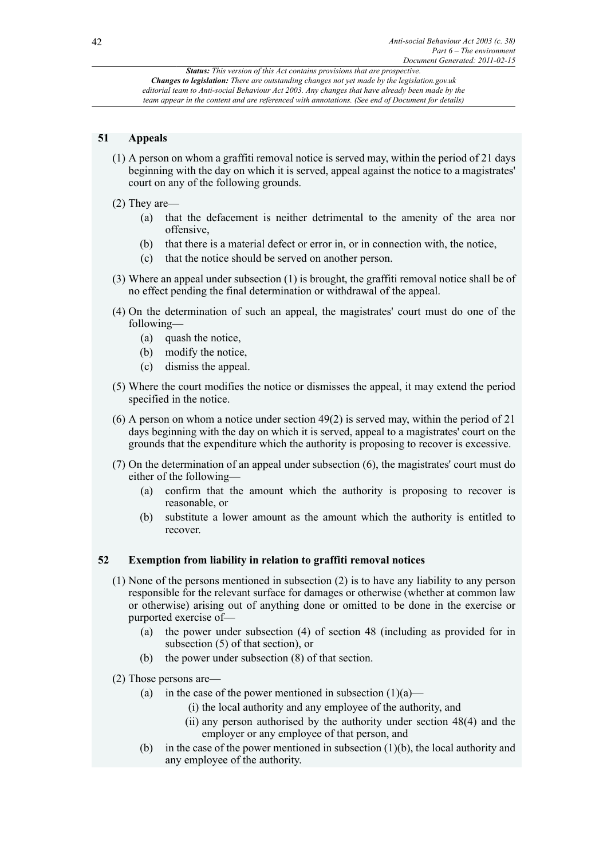# **51 Appeals**

- (1) A person on whom a graffiti removal notice is served may, within the period of 21 days beginning with the day on which it is served, appeal against the notice to a magistrates' court on any of the following grounds.
- (2) They are—
	- (a) that the defacement is neither detrimental to the amenity of the area nor offensive,
	- (b) that there is a material defect or error in, or in connection with, the notice,
	- (c) that the notice should be served on another person.
- (3) Where an appeal under subsection (1) is brought, the graffiti removal notice shall be of no effect pending the final determination or withdrawal of the appeal.
- (4) On the determination of such an appeal, the magistrates' court must do one of the following—
	- (a) quash the notice,
	- (b) modify the notice,
	- (c) dismiss the appeal.
- (5) Where the court modifies the notice or dismisses the appeal, it may extend the period specified in the notice.
- (6) A person on whom a notice under section 49(2) is served may, within the period of 21 days beginning with the day on which it is served, appeal to a magistrates' court on the grounds that the expenditure which the authority is proposing to recover is excessive.
- (7) On the determination of an appeal under subsection (6), the magistrates' court must do either of the following—
	- (a) confirm that the amount which the authority is proposing to recover is reasonable, or
	- (b) substitute a lower amount as the amount which the authority is entitled to recover.

# **52 Exemption from liability in relation to graffiti removal notices**

- (1) None of the persons mentioned in subsection (2) is to have any liability to any person responsible for the relevant surface for damages or otherwise (whether at common law or otherwise) arising out of anything done or omitted to be done in the exercise or purported exercise of—
	- (a) the power under subsection (4) of section 48 (including as provided for in subsection (5) of that section), or
	- (b) the power under subsection (8) of that section.
- (2) Those persons are—
	- (a) in the case of the power mentioned in subsection  $(1)(a)$ 
		- (i) the local authority and any employee of the authority, and
		- (ii) any person authorised by the authority under section 48(4) and the employer or any employee of that person, and
	- (b) in the case of the power mentioned in subsection (1)(b), the local authority and any employee of the authority.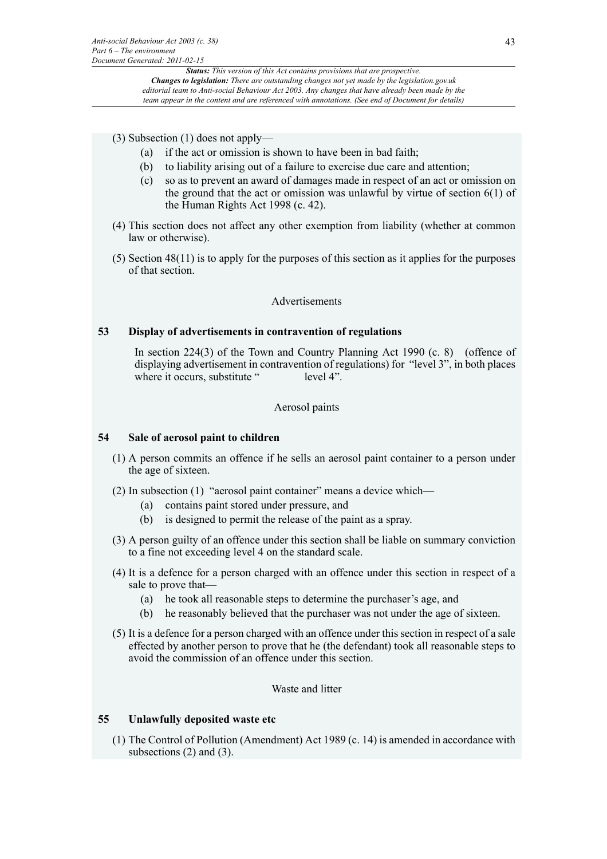(3) Subsection (1) does not apply—

- (a) if the act or omission is shown to have been in bad faith;
- (b) to liability arising out of a failure to exercise due care and attention;
- (c) so as to prevent an award of damages made in respect of an act or omission on the ground that the act or omission was unlawful by virtue of section 6(1) of the Human Rights Act 1998 (c. 42).
- (4) This section does not affect any other exemption from liability (whether at common law or otherwise).
- (5) Section 48(11) is to apply for the purposes of this section as it applies for the purposes of that section.

### Advertisements

# **53 Display of advertisements in contravention of regulations**

In section 224(3) of the Town and Country Planning Act 1990 (c. 8) (offence of displaying advertisement in contravention of regulations) for "level 3", in both places where it occurs, substitute " level 4".

# Aerosol paints

#### **54 Sale of aerosol paint to children**

- (1) A person commits an offence if he sells an aerosol paint container to a person under the age of sixteen.
- (2) In subsection (1) "aerosol paint container" means a device which—
	- (a) contains paint stored under pressure, and
	- (b) is designed to permit the release of the paint as a spray.
- (3) A person guilty of an offence under this section shall be liable on summary conviction to a fine not exceeding level 4 on the standard scale.
- (4) It is a defence for a person charged with an offence under this section in respect of a sale to prove that—
	- (a) he took all reasonable steps to determine the purchaser's age, and
	- (b) he reasonably believed that the purchaser was not under the age of sixteen.
- (5) It is a defence for a person charged with an offence under this section in respect of a sale effected by another person to prove that he (the defendant) took all reasonable steps to avoid the commission of an offence under this section.

Waste and litter

### **55 Unlawfully deposited waste etc**

(1) The Control of Pollution (Amendment) Act 1989 (c. 14) is amended in accordance with subsections  $(2)$  and  $(3)$ .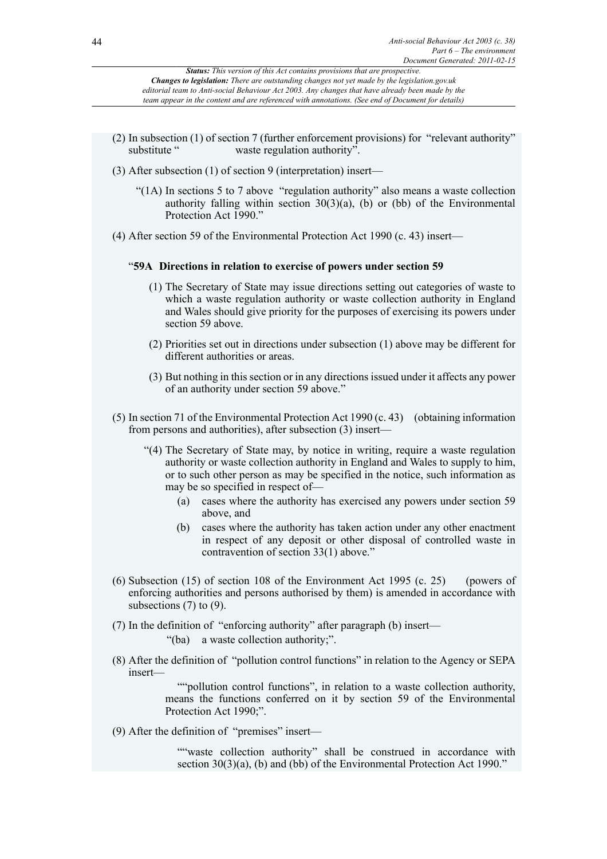- (2) In subsection (1) of section 7 (further enforcement provisions) for "relevant authority" waste regulation authority".
- (3) After subsection (1) of section 9 (interpretation) insert—
	- "(1A) In sections 5 to 7 above "regulation authority" also means a waste collection authority falling within section  $30(3)(a)$ , (b) or (bb) of the Environmental Protection Act 1990."
- (4) After section 59 of the Environmental Protection Act 1990 (c. 43) insert—

# "**59A Directions in relation to exercise of powers under section 59**

- (1) The Secretary of State may issue directions setting out categories of waste to which a waste regulation authority or waste collection authority in England and Wales should give priority for the purposes of exercising its powers under section 59 above.
- (2) Priorities set out in directions under subsection (1) above may be different for different authorities or areas.
- (3) But nothing in this section or in any directions issued under it affects any power of an authority under section 59 above."
- (5) In section 71 of the Environmental Protection Act 1990 (c. 43) (obtaining information from persons and authorities), after subsection (3) insert—
	- "(4) The Secretary of State may, by notice in writing, require a waste regulation authority or waste collection authority in England and Wales to supply to him, or to such other person as may be specified in the notice, such information as may be so specified in respect of—
		- (a) cases where the authority has exercised any powers under section 59 above, and
		- (b) cases where the authority has taken action under any other enactment in respect of any deposit or other disposal of controlled waste in contravention of section 33(1) above."
- (6) Subsection (15) of section 108 of the Environment Act 1995 (c. 25) (powers of enforcing authorities and persons authorised by them) is amended in accordance with subsections  $(7)$  to  $(9)$ .
- (7) In the definition of "enforcing authority" after paragraph (b) insert— "(ba) a waste collection authority;".
- (8) After the definition of "pollution control functions" in relation to the Agency or SEPA insert—

""pollution control functions", in relation to a waste collection authority, means the functions conferred on it by section 59 of the Environmental Protection Act 1990;".

(9) After the definition of "premises" insert—

""waste collection authority" shall be construed in accordance with section 30(3)(a), (b) and (bb) of the Environmental Protection Act 1990."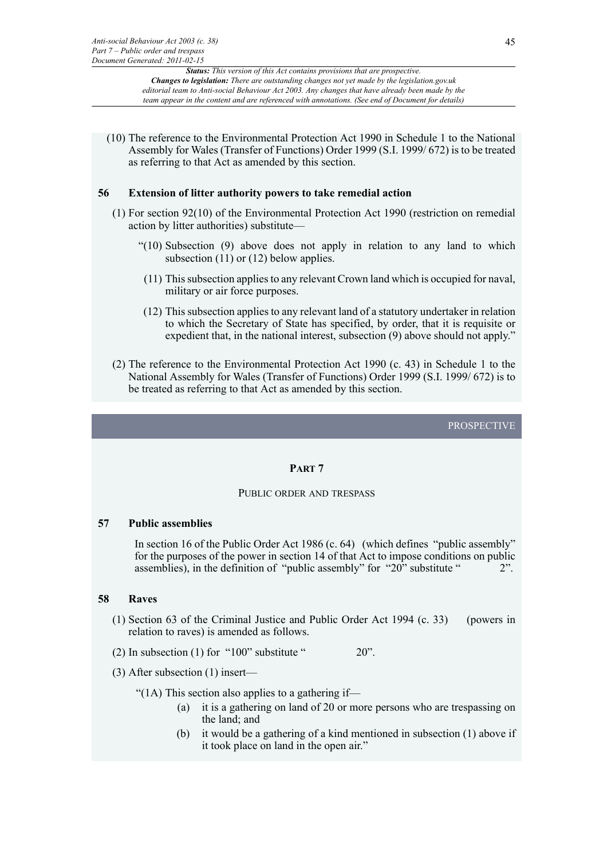(10) The reference to the Environmental Protection Act 1990 in Schedule 1 to the National Assembly for Wales (Transfer of Functions) Order 1999 (S.I. 1999/ 672) is to be treated as referring to that Act as amended by this section.

# **56 Extension of litter authority powers to take remedial action**

- (1) For section 92(10) of the Environmental Protection Act 1990 (restriction on remedial action by litter authorities) substitute—
	- "(10) Subsection (9) above does not apply in relation to any land to which subsection  $(11)$  or  $(12)$  below applies.
	- (11) This subsection applies to any relevant Crown land which is occupied for naval, military or air force purposes.
	- (12) This subsection applies to any relevant land of a statutory undertaker in relation to which the Secretary of State has specified, by order, that it is requisite or expedient that, in the national interest, subsection (9) above should not apply."
- (2) The reference to the Environmental Protection Act 1990 (c. 43) in Schedule 1 to the National Assembly for Wales (Transfer of Functions) Order 1999 (S.I. 1999/ 672) is to be treated as referring to that Act as amended by this section.

PROSPECTIVE

# **PART 7**

### PUBLIC ORDER AND TRESPASS

#### **57 Public assemblies**

In section 16 of the Public Order Act 1986 (c. 64) (which defines "public assembly" for the purposes of the power in section 14 of that Act to impose conditions on public assemblies), in the definition of "public assembly" for "20" substitute " 2".

### **58 Raves**

- (1) Section 63 of the Criminal Justice and Public Order Act 1994 (c. 33) (powers in relation to raves) is amended as follows.
- (2) In subsection (1) for "100" substitute "  $20$ ".
- (3) After subsection (1) insert—

"(1A) This section also applies to a gathering if-

- (a) it is a gathering on land of 20 or more persons who are trespassing on the land; and
- (b) it would be a gathering of a kind mentioned in subsection (1) above if it took place on land in the open air."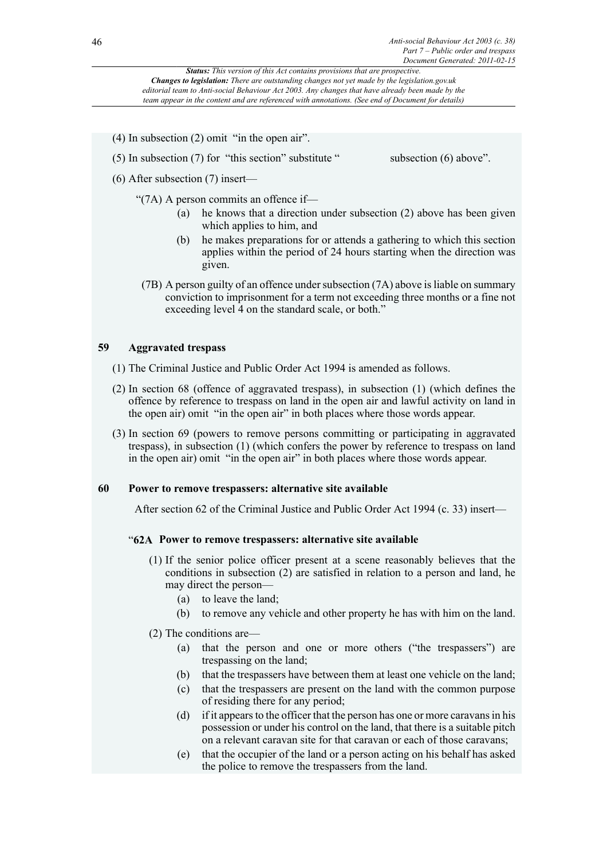- (4) In subsection (2) omit "in the open air".
- (5) In subsection  $(7)$  for "this section" substitute " subsection  $(6)$  above".
- (6) After subsection (7) insert—

"(7A) A person commits an offence if—

- (a) he knows that a direction under subsection (2) above has been given which applies to him, and
- (b) he makes preparations for or attends a gathering to which this section applies within the period of 24 hours starting when the direction was given.
- (7B) A person guilty of an offence under subsection (7A) above is liable on summary conviction to imprisonment for a term not exceeding three months or a fine not exceeding level 4 on the standard scale, or both."

# **59 Aggravated trespass**

- (1) The Criminal Justice and Public Order Act 1994 is amended as follows.
- (2) In section 68 (offence of aggravated trespass), in subsection (1) (which defines the offence by reference to trespass on land in the open air and lawful activity on land in the open air) omit "in the open air" in both places where those words appear.
- (3) In section 69 (powers to remove persons committing or participating in aggravated trespass), in subsection (1) (which confers the power by reference to trespass on land in the open air) omit "in the open air" in both places where those words appear.

# **60 Power to remove trespassers: alternative site available**

After section 62 of the Criminal Justice and Public Order Act 1994 (c. 33) insert—

# "**62A Power to remove trespassers: alternative site available**

- (1) If the senior police officer present at a scene reasonably believes that the conditions in subsection (2) are satisfied in relation to a person and land, he may direct the person—
	- (a) to leave the land;
	- (b) to remove any vehicle and other property he has with him on the land.
- (2) The conditions are—
	- (a) that the person and one or more others ("the trespassers") are trespassing on the land;
	- (b) that the trespassers have between them at least one vehicle on the land;
	- (c) that the trespassers are present on the land with the common purpose of residing there for any period;
	- (d) if it appears to the officer that the person has one or more caravans in his possession or under his control on the land, that there is a suitable pitch on a relevant caravan site for that caravan or each of those caravans;
	- (e) that the occupier of the land or a person acting on his behalf has asked the police to remove the trespassers from the land.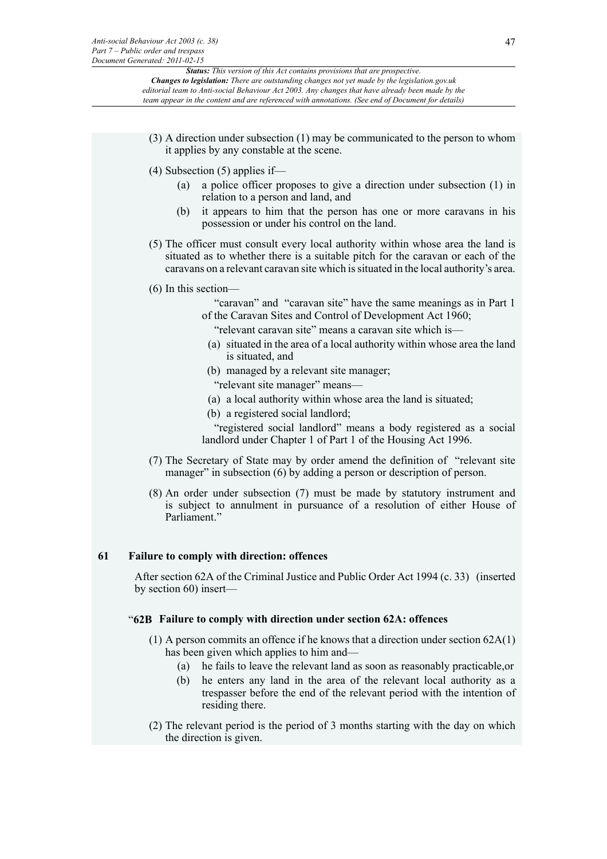- (3) A direction under subsection (1) may be communicated to the person to whom it applies by any constable at the scene.
- (4) Subsection (5) applies if—
	- (a) a police officer proposes to give a direction under subsection (1) in relation to a person and land, and
	- (b) it appears to him that the person has one or more caravans in his possession or under his control on the land.
- (5) The officer must consult every local authority within whose area the land is situated as to whether there is a suitable pitch for the caravan or each of the caravans on a relevant caravan site which is situated in the local authority's area.
- (6) In this section—
	- "caravan" and "caravan site" have the same meanings as in Part 1 of the Caravan Sites and Control of Development Act 1960;

"relevant caravan site" means a caravan site which is—

- (a) situated in the area of a local authority within whose area the land is situated, and
- (b) managed by a relevant site manager; "relevant site manager" means—
- (a) a local authority within whose area the land is situated;
- (b) a registered social landlord;

"registered social landlord" means a body registered as a social landlord under Chapter 1 of Part 1 of the Housing Act 1996.

- (7) The Secretary of State may by order amend the definition of "relevant site manager" in subsection (6) by adding a person or description of person.
- (8) An order under subsection (7) must be made by statutory instrument and is subject to annulment in pursuance of a resolution of either House of Parliament."

# **61 Failure to comply with direction: offences**

After section 62A of the Criminal Justice and Public Order Act 1994 (c. 33) (inserted by section 60) insert—

# "**62B Failure to comply with direction under section 62A: offences**

- (1) A person commits an offence if he knows that a direction under section 62A(1) has been given which applies to him and—
	- (a) he fails to leave the relevant land as soon as reasonably practicable,or
	- (b) he enters any land in the area of the relevant local authority as a trespasser before the end of the relevant period with the intention of residing there.
- (2) The relevant period is the period of 3 months starting with the day on which the direction is given.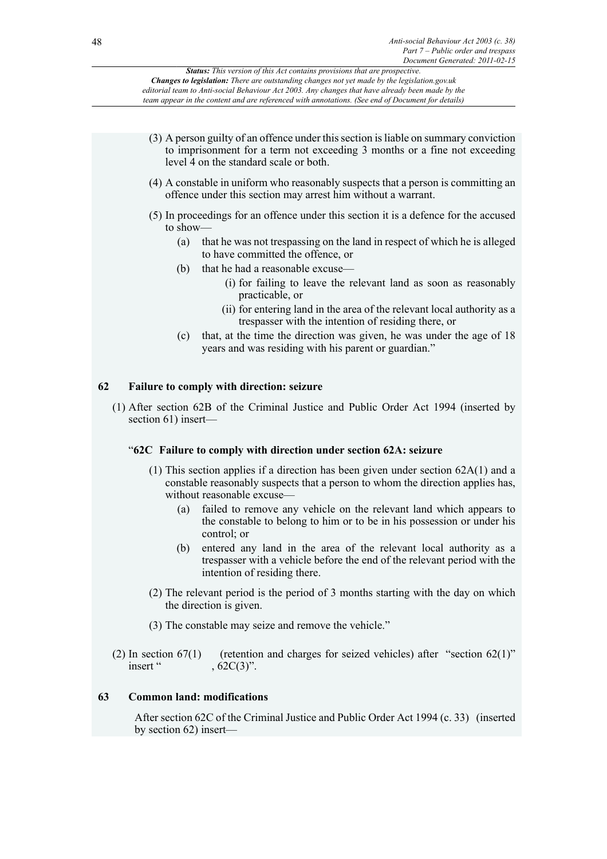

- (3) The constable may seize and remove the vehicle."
- (2) In section  $67(1)$  (retention and charges for seized vehicles) after "section  $62(1)$ " insert " , 62C(3)".

# **63 Common land: modifications**

After section 62C of the Criminal Justice and Public Order Act 1994 (c. 33) (inserted by section 62) insert—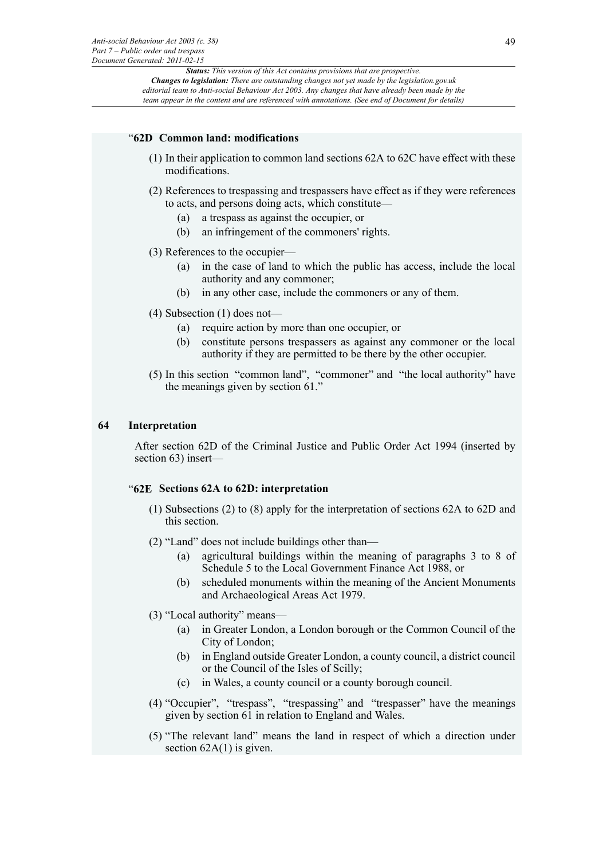### "**62D Common land: modifications**

- (1) In their application to common land sections 62A to 62C have effect with these modifications.
- (2) References to trespassing and trespassers have effect as if they were references to acts, and persons doing acts, which constitute—
	- (a) a trespass as against the occupier, or
	- (b) an infringement of the commoners' rights.
- (3) References to the occupier—
	- (a) in the case of land to which the public has access, include the local authority and any commoner;
	- (b) in any other case, include the commoners or any of them.
- (4) Subsection (1) does not—
	- (a) require action by more than one occupier, or
	- (b) constitute persons trespassers as against any commoner or the local authority if they are permitted to be there by the other occupier.
- (5) In this section "common land", "commoner" and "the local authority" have the meanings given by section 61."

### **64 Interpretation**

After section 62D of the Criminal Justice and Public Order Act 1994 (inserted by section 63) insert—

# "**62E Sections 62A to 62D: interpretation**

- (1) Subsections (2) to (8) apply for the interpretation of sections 62A to 62D and this section.
- (2) "Land" does not include buildings other than—
	- (a) agricultural buildings within the meaning of paragraphs 3 to 8 of Schedule 5 to the Local Government Finance Act 1988, or
	- (b) scheduled monuments within the meaning of the Ancient Monuments and Archaeological Areas Act 1979.
- (3) "Local authority" means—
	- (a) in Greater London, a London borough or the Common Council of the City of London;
	- (b) in England outside Greater London, a county council, a district council or the Council of the Isles of Scilly;
	- (c) in Wales, a county council or a county borough council.
- (4) "Occupier", "trespass", "trespassing" and "trespasser" have the meanings given by section 61 in relation to England and Wales.
- (5) "The relevant land" means the land in respect of which a direction under section  $62A(1)$  is given.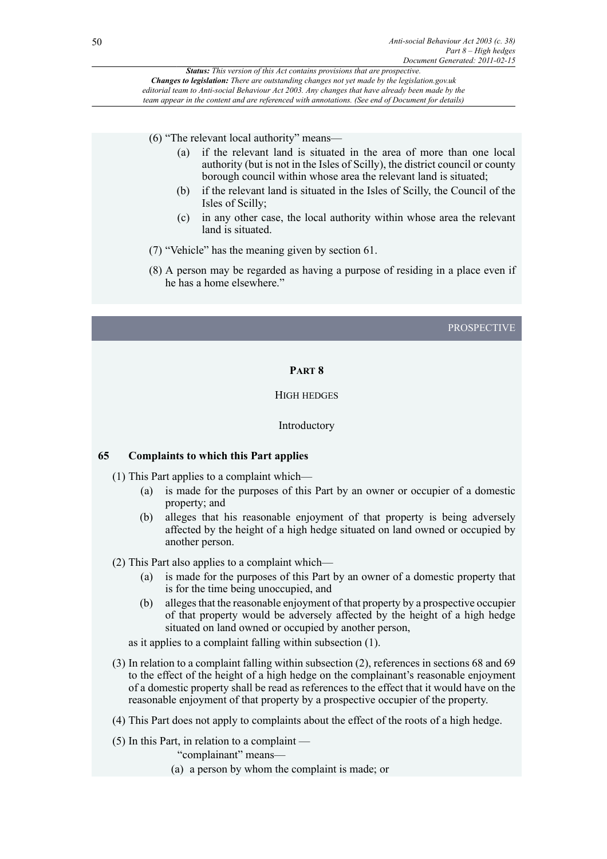(6) "The relevant local authority" means—

- (a) if the relevant land is situated in the area of more than one local authority (but is not in the Isles of Scilly), the district council or county borough council within whose area the relevant land is situated;
- (b) if the relevant land is situated in the Isles of Scilly, the Council of the Isles of Scilly;
- (c) in any other case, the local authority within whose area the relevant land is situated.
- (7) "Vehicle" has the meaning given by section 61.
- (8) A person may be regarded as having a purpose of residing in a place even if he has a home elsewhere."

## PROSPECTIVE

# **PART 8**

## HIGH HEDGES

#### Introductory

### **65 Complaints to which this Part applies**

- (1) This Part applies to a complaint which—
	- (a) is made for the purposes of this Part by an owner or occupier of a domestic property; and
	- (b) alleges that his reasonable enjoyment of that property is being adversely affected by the height of a high hedge situated on land owned or occupied by another person.

(2) This Part also applies to a complaint which—

- (a) is made for the purposes of this Part by an owner of a domestic property that is for the time being unoccupied, and
- (b) alleges that the reasonable enjoyment of that property by a prospective occupier of that property would be adversely affected by the height of a high hedge situated on land owned or occupied by another person,

as it applies to a complaint falling within subsection (1).

- (3) In relation to a complaint falling within subsection (2), references in sections 68 and 69 to the effect of the height of a high hedge on the complainant's reasonable enjoyment of a domestic property shall be read as references to the effect that it would have on the reasonable enjoyment of that property by a prospective occupier of the property.
- (4) This Part does not apply to complaints about the effect of the roots of a high hedge.

(5) In this Part, in relation to a complaint —

"complainant" means—

(a) a person by whom the complaint is made; or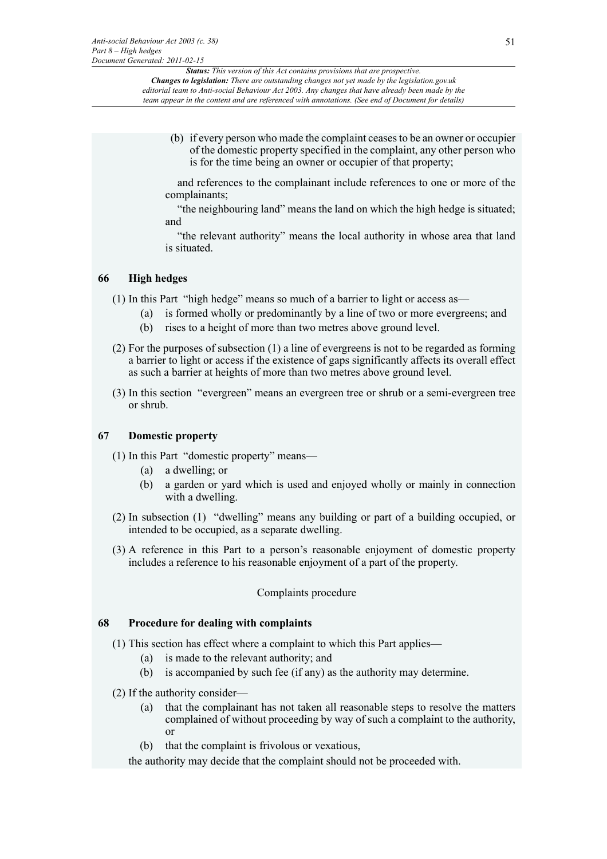(b) if every person who made the complaint ceases to be an owner or occupier of the domestic property specified in the complaint, any other person who is for the time being an owner or occupier of that property;

and references to the complainant include references to one or more of the complainants;

"the neighbouring land" means the land on which the high hedge is situated; and

"the relevant authority" means the local authority in whose area that land is situated.

# **66 High hedges**

- (1) In this Part "high hedge" means so much of a barrier to light or access as—
	- (a) is formed wholly or predominantly by a line of two or more evergreens; and
	- (b) rises to a height of more than two metres above ground level.
- (2) For the purposes of subsection (1) a line of evergreens is not to be regarded as forming a barrier to light or access if the existence of gaps significantly affects its overall effect as such a barrier at heights of more than two metres above ground level.
- (3) In this section "evergreen" means an evergreen tree or shrub or a semi-evergreen tree or shrub.

# **67 Domestic property**

- (1) In this Part "domestic property" means—
	- (a) a dwelling; or
	- (b) a garden or yard which is used and enjoyed wholly or mainly in connection with a dwelling.
- (2) In subsection (1) "dwelling" means any building or part of a building occupied, or intended to be occupied, as a separate dwelling.
- (3) A reference in this Part to a person's reasonable enjoyment of domestic property includes a reference to his reasonable enjoyment of a part of the property.

# Complaints procedure

# **68 Procedure for dealing with complaints**

- (1) This section has effect where a complaint to which this Part applies—
	- (a) is made to the relevant authority; and
	- (b) is accompanied by such fee (if any) as the authority may determine.
- (2) If the authority consider—
	- (a) that the complainant has not taken all reasonable steps to resolve the matters complained of without proceeding by way of such a complaint to the authority, or
	- (b) that the complaint is frivolous or vexatious,

the authority may decide that the complaint should not be proceeded with.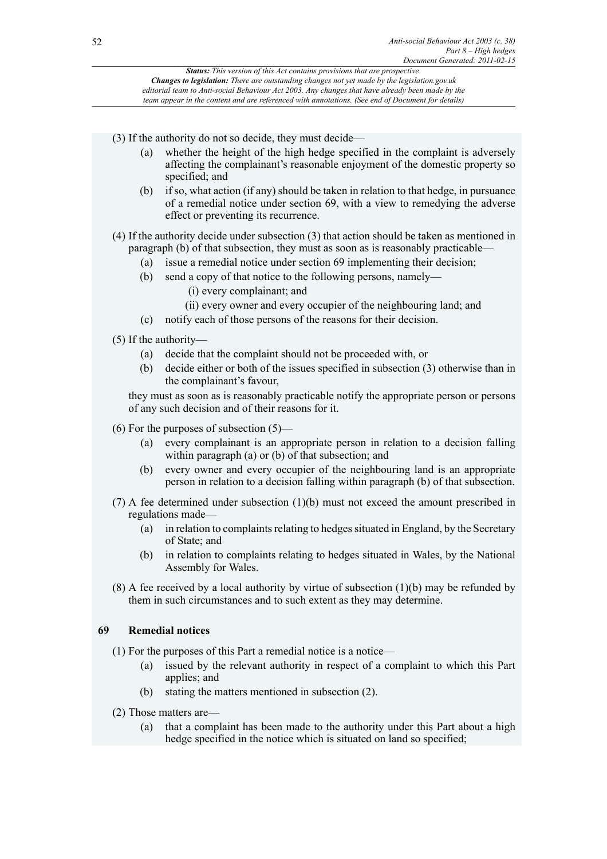(3) If the authority do not so decide, they must decide—

- (a) whether the height of the high hedge specified in the complaint is adversely affecting the complainant's reasonable enjoyment of the domestic property so specified; and
- (b) if so, what action (if any) should be taken in relation to that hedge, in pursuance of a remedial notice under section 69, with a view to remedying the adverse effect or preventing its recurrence.
- (4) If the authority decide under subsection (3) that action should be taken as mentioned in paragraph (b) of that subsection, they must as soon as is reasonably practicable—
	- (a) issue a remedial notice under section 69 implementing their decision;
	- (b) send a copy of that notice to the following persons, namely—
		- (i) every complainant; and
		- (ii) every owner and every occupier of the neighbouring land; and
	- (c) notify each of those persons of the reasons for their decision.
- (5) If the authority—
	- (a) decide that the complaint should not be proceeded with, or
	- (b) decide either or both of the issues specified in subsection (3) otherwise than in the complainant's favour,

they must as soon as is reasonably practicable notify the appropriate person or persons of any such decision and of their reasons for it.

- (6) For the purposes of subsection (5)—
	- (a) every complainant is an appropriate person in relation to a decision falling within paragraph (a) or (b) of that subsection; and
	- (b) every owner and every occupier of the neighbouring land is an appropriate person in relation to a decision falling within paragraph (b) of that subsection.
- (7) A fee determined under subsection (1)(b) must not exceed the amount prescribed in regulations made—
	- (a) in relation to complaints relating to hedges situated in England, by the Secretary of State; and
	- (b) in relation to complaints relating to hedges situated in Wales, by the National Assembly for Wales.
- (8) A fee received by a local authority by virtue of subsection (1)(b) may be refunded by them in such circumstances and to such extent as they may determine.

# **69 Remedial notices**

(1) For the purposes of this Part a remedial notice is a notice—

- (a) issued by the relevant authority in respect of a complaint to which this Part applies; and
- (b) stating the matters mentioned in subsection (2).
- (2) Those matters are—
	- (a) that a complaint has been made to the authority under this Part about a high hedge specified in the notice which is situated on land so specified;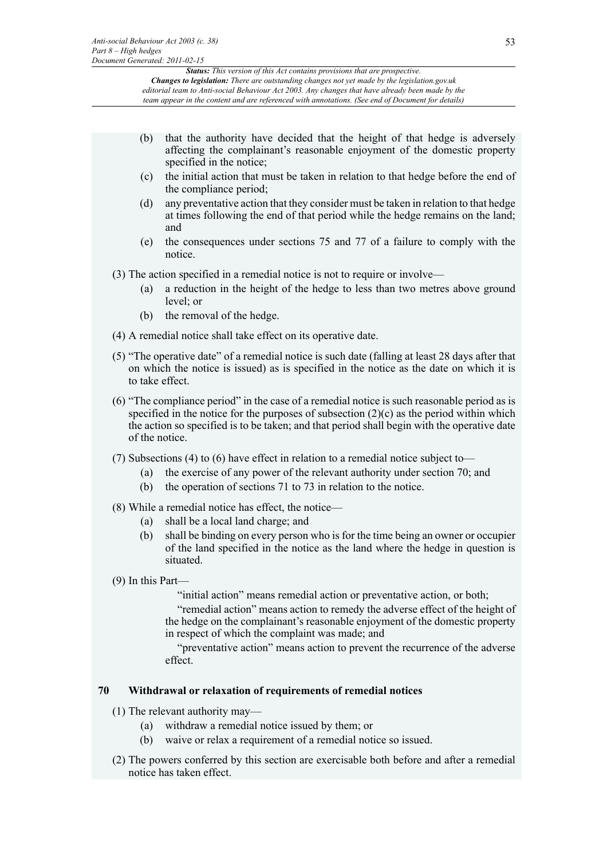- (b) that the authority have decided that the height of that hedge is adversely affecting the complainant's reasonable enjoyment of the domestic property specified in the notice;
- (c) the initial action that must be taken in relation to that hedge before the end of the compliance period;
- (d) any preventative action that they consider must be taken in relation to that hedge at times following the end of that period while the hedge remains on the land; and
- (e) the consequences under sections 75 and 77 of a failure to comply with the notice.

(3) The action specified in a remedial notice is not to require or involve—

- (a) a reduction in the height of the hedge to less than two metres above ground level; or
- (b) the removal of the hedge.

(4) A remedial notice shall take effect on its operative date.

- (5) "The operative date" of a remedial notice is such date (falling at least 28 days after that on which the notice is issued) as is specified in the notice as the date on which it is to take effect.
- (6) "The compliance period" in the case of a remedial notice is such reasonable period as is specified in the notice for the purposes of subsection  $(2)(c)$  as the period within which the action so specified is to be taken; and that period shall begin with the operative date of the notice.
- (7) Subsections (4) to (6) have effect in relation to a remedial notice subject to—
	- (a) the exercise of any power of the relevant authority under section 70; and
	- (b) the operation of sections 71 to 73 in relation to the notice.

(8) While a remedial notice has effect, the notice—

- (a) shall be a local land charge; and
- (b) shall be binding on every person who is for the time being an owner or occupier of the land specified in the notice as the land where the hedge in question is situated.
- (9) In this Part—

"initial action" means remedial action or preventative action, or both;

"remedial action" means action to remedy the adverse effect of the height of the hedge on the complainant's reasonable enjoyment of the domestic property in respect of which the complaint was made; and

"preventative action" means action to prevent the recurrence of the adverse effect.

# **70 Withdrawal or relaxation of requirements of remedial notices**

- (1) The relevant authority may—
	- (a) withdraw a remedial notice issued by them; or
	- (b) waive or relax a requirement of a remedial notice so issued.
- (2) The powers conferred by this section are exercisable both before and after a remedial notice has taken effect.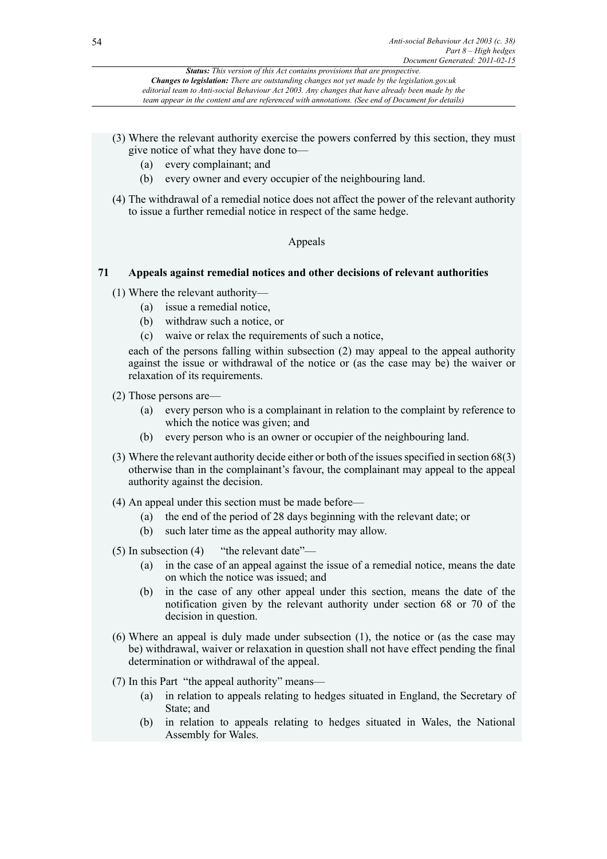- (3) Where the relevant authority exercise the powers conferred by this section, they must give notice of what they have done to—
	- (a) every complainant; and
	- (b) every owner and every occupier of the neighbouring land.
- (4) The withdrawal of a remedial notice does not affect the power of the relevant authority to issue a further remedial notice in respect of the same hedge.

# Appeals

# **71 Appeals against remedial notices and other decisions of relevant authorities**

- (1) Where the relevant authority—
	- (a) issue a remedial notice,
	- (b) withdraw such a notice, or
	- (c) waive or relax the requirements of such a notice,

each of the persons falling within subsection (2) may appeal to the appeal authority against the issue or withdrawal of the notice or (as the case may be) the waiver or relaxation of its requirements.

- (2) Those persons are—
	- (a) every person who is a complainant in relation to the complaint by reference to which the notice was given; and
	- (b) every person who is an owner or occupier of the neighbouring land.
- (3) Where the relevant authority decide either or both of the issues specified in section 68(3) otherwise than in the complainant's favour, the complainant may appeal to the appeal authority against the decision.
- (4) An appeal under this section must be made before—
	- (a) the end of the period of 28 days beginning with the relevant date; or
	- (b) such later time as the appeal authority may allow.
- (5) In subsection (4) "the relevant date"—
	- (a) in the case of an appeal against the issue of a remedial notice, means the date on which the notice was issued; and
	- (b) in the case of any other appeal under this section, means the date of the notification given by the relevant authority under section 68 or 70 of the decision in question.
- (6) Where an appeal is duly made under subsection (1), the notice or (as the case may be) withdrawal, waiver or relaxation in question shall not have effect pending the final determination or withdrawal of the appeal.
- (7) In this Part "the appeal authority" means—
	- (a) in relation to appeals relating to hedges situated in England, the Secretary of State; and
	- (b) in relation to appeals relating to hedges situated in Wales, the National Assembly for Wales.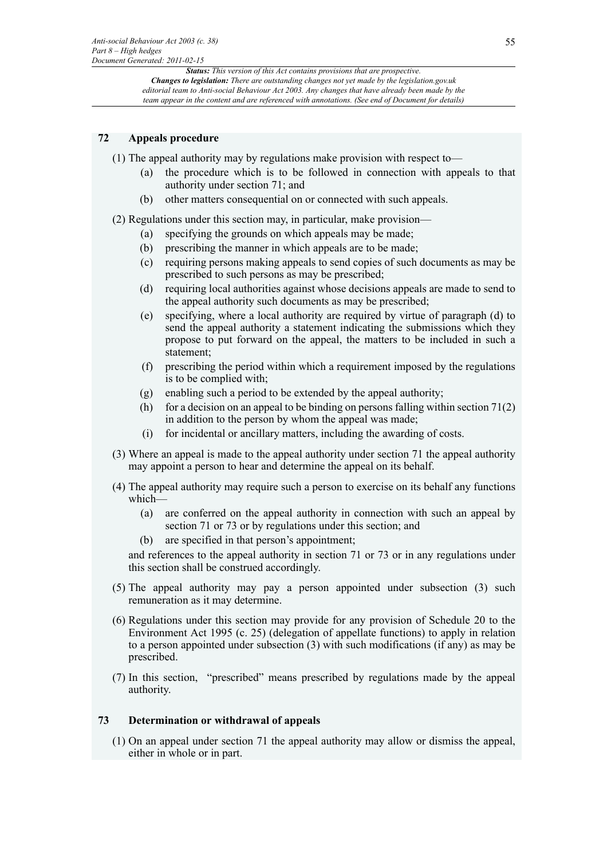# **72 Appeals procedure**

- (1) The appeal authority may by regulations make provision with respect to—
	- (a) the procedure which is to be followed in connection with appeals to that authority under section 71; and
	- (b) other matters consequential on or connected with such appeals.

(2) Regulations under this section may, in particular, make provision—

- (a) specifying the grounds on which appeals may be made;
- (b) prescribing the manner in which appeals are to be made;
- (c) requiring persons making appeals to send copies of such documents as may be prescribed to such persons as may be prescribed;
- (d) requiring local authorities against whose decisions appeals are made to send to the appeal authority such documents as may be prescribed;
- (e) specifying, where a local authority are required by virtue of paragraph (d) to send the appeal authority a statement indicating the submissions which they propose to put forward on the appeal, the matters to be included in such a statement;
- (f) prescribing the period within which a requirement imposed by the regulations is to be complied with;
- (g) enabling such a period to be extended by the appeal authority;
- (h) for a decision on an appeal to be binding on persons falling within section  $71(2)$ in addition to the person by whom the appeal was made;
- (i) for incidental or ancillary matters, including the awarding of costs.
- (3) Where an appeal is made to the appeal authority under section 71 the appeal authority may appoint a person to hear and determine the appeal on its behalf.
- (4) The appeal authority may require such a person to exercise on its behalf any functions which—
	- (a) are conferred on the appeal authority in connection with such an appeal by section 71 or 73 or by regulations under this section; and
	- (b) are specified in that person's appointment;

and references to the appeal authority in section 71 or 73 or in any regulations under this section shall be construed accordingly.

- (5) The appeal authority may pay a person appointed under subsection (3) such remuneration as it may determine.
- (6) Regulations under this section may provide for any provision of Schedule 20 to the Environment Act 1995 (c. 25) (delegation of appellate functions) to apply in relation to a person appointed under subsection (3) with such modifications (if any) as may be prescribed.
- (7) In this section, "prescribed" means prescribed by regulations made by the appeal authority.

### **73 Determination or withdrawal of appeals**

(1) On an appeal under section 71 the appeal authority may allow or dismiss the appeal, either in whole or in part.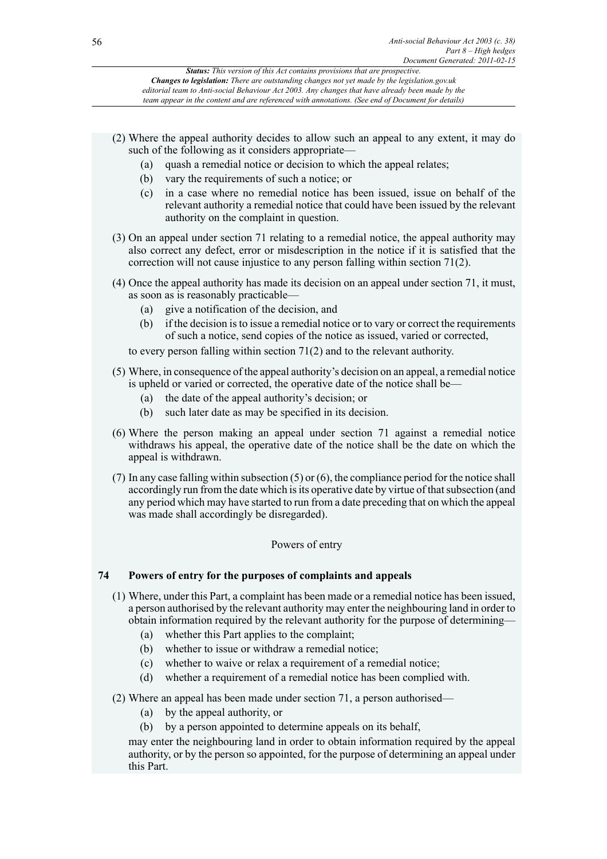- (2) Where the appeal authority decides to allow such an appeal to any extent, it may do such of the following as it considers appropriate—
	- (a) quash a remedial notice or decision to which the appeal relates;
	- (b) vary the requirements of such a notice; or
	- (c) in a case where no remedial notice has been issued, issue on behalf of the relevant authority a remedial notice that could have been issued by the relevant authority on the complaint in question.
- (3) On an appeal under section 71 relating to a remedial notice, the appeal authority may also correct any defect, error or misdescription in the notice if it is satisfied that the correction will not cause injustice to any person falling within section 71(2).
- (4) Once the appeal authority has made its decision on an appeal under section 71, it must, as soon as is reasonably practicable—
	- (a) give a notification of the decision, and
	- (b) if the decision is to issue a remedial notice or to vary or correct the requirements of such a notice, send copies of the notice as issued, varied or corrected,

to every person falling within section 71(2) and to the relevant authority.

- (5) Where, in consequence of the appeal authority's decision on an appeal, a remedial notice is upheld or varied or corrected, the operative date of the notice shall be—
	- (a) the date of the appeal authority's decision; or
	- (b) such later date as may be specified in its decision.
- (6) Where the person making an appeal under section 71 against a remedial notice withdraws his appeal, the operative date of the notice shall be the date on which the appeal is withdrawn.
- (7) In any case falling within subsection (5) or (6), the compliance period for the notice shall accordingly run from the date which is its operative date by virtue of that subsection (and any period which may have started to run from a date preceding that on which the appeal was made shall accordingly be disregarded).

# Powers of entry

# **74 Powers of entry for the purposes of complaints and appeals**

- (1) Where, under this Part, a complaint has been made or a remedial notice has been issued, a person authorised by the relevant authority may enter the neighbouring land in order to obtain information required by the relevant authority for the purpose of determining—
	- (a) whether this Part applies to the complaint;
	- (b) whether to issue or withdraw a remedial notice;
	- (c) whether to waive or relax a requirement of a remedial notice;
	- (d) whether a requirement of a remedial notice has been complied with.
- (2) Where an appeal has been made under section 71, a person authorised—
	- (a) by the appeal authority, or
	- (b) by a person appointed to determine appeals on its behalf,

may enter the neighbouring land in order to obtain information required by the appeal authority, or by the person so appointed, for the purpose of determining an appeal under this Part.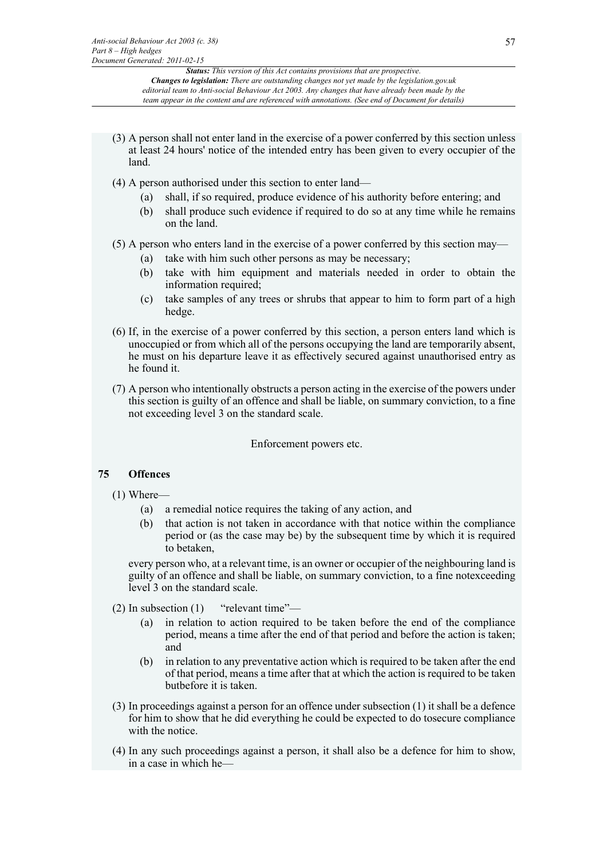- (3) A person shall not enter land in the exercise of a power conferred by this section unless at least 24 hours' notice of the intended entry has been given to every occupier of the land.
- (4) A person authorised under this section to enter land—
	- (a) shall, if so required, produce evidence of his authority before entering; and
	- (b) shall produce such evidence if required to do so at any time while he remains on the land.

# (5) A person who enters land in the exercise of a power conferred by this section may—

- (a) take with him such other persons as may be necessary;
- (b) take with him equipment and materials needed in order to obtain the information required;
- (c) take samples of any trees or shrubs that appear to him to form part of a high hedge.
- (6) If, in the exercise of a power conferred by this section, a person enters land which is unoccupied or from which all of the persons occupying the land are temporarily absent, he must on his departure leave it as effectively secured against unauthorised entry as he found it.
- (7) A person who intentionally obstructs a person acting in the exercise of the powers under this section is guilty of an offence and shall be liable, on summary conviction, to a fine not exceeding level 3 on the standard scale.

Enforcement powers etc.

# **75 Offences**

- (1) Where—
	- (a) a remedial notice requires the taking of any action, and
	- (b) that action is not taken in accordance with that notice within the compliance period or (as the case may be) by the subsequent time by which it is required to betaken,

every person who, at a relevant time, is an owner or occupier of the neighbouring land is guilty of an offence and shall be liable, on summary conviction, to a fine notexceeding level 3 on the standard scale.

- (2) In subsection (1) "relevant time"—
	- (a) in relation to action required to be taken before the end of the compliance period, means a time after the end of that period and before the action is taken; and
	- (b) in relation to any preventative action which is required to be taken after the end of that period, means a time after that at which the action is required to be taken butbefore it is taken.
- (3) In proceedings against a person for an offence under subsection (1) it shall be a defence for him to show that he did everything he could be expected to do tosecure compliance with the notice.
- (4) In any such proceedings against a person, it shall also be a defence for him to show, in a case in which he—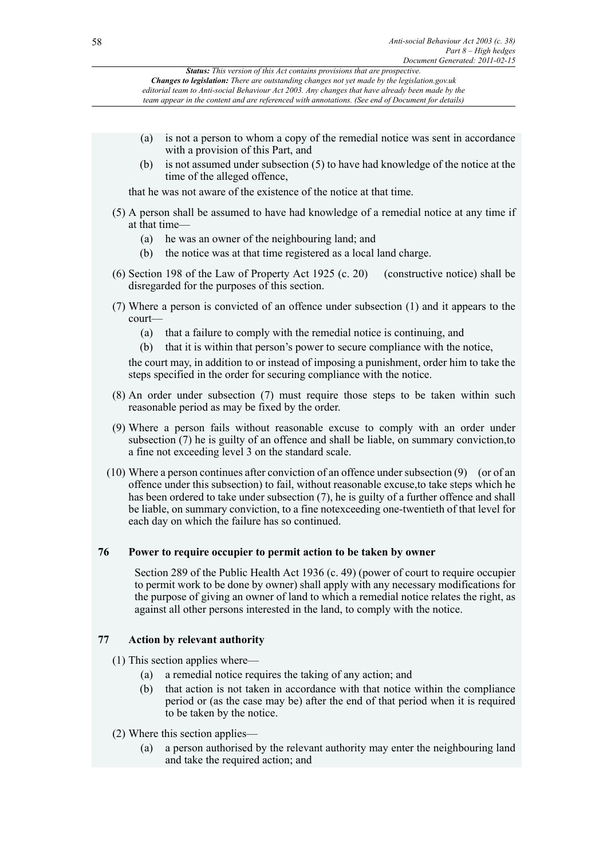| Anti-social Behaviour Act 2003 (c. 38)<br>58<br>Part $8 - High$ hedges |               |                                                                                                                                                                                                                                                                                                                                                                                                                                           |
|------------------------------------------------------------------------|---------------|-------------------------------------------------------------------------------------------------------------------------------------------------------------------------------------------------------------------------------------------------------------------------------------------------------------------------------------------------------------------------------------------------------------------------------------------|
|                                                                        |               | Document Generated: 2011-02-15<br>Status: This version of this Act contains provisions that are prospective.<br><b>Changes to legislation:</b> There are outstanding changes not yet made by the legislation.gov.uk<br>editorial team to Anti-social Behaviour Act 2003. Any changes that have already been made by the<br>team appear in the content and are referenced with annotations. (See end of Document for details)              |
|                                                                        |               |                                                                                                                                                                                                                                                                                                                                                                                                                                           |
|                                                                        | (a)           | is not a person to whom a copy of the remedial notice was sent in accordance<br>with a provision of this Part, and                                                                                                                                                                                                                                                                                                                        |
|                                                                        | (b)           | is not assumed under subsection (5) to have had knowledge of the notice at the<br>time of the alleged offence,                                                                                                                                                                                                                                                                                                                            |
|                                                                        |               | that he was not aware of the existence of the notice at that time.                                                                                                                                                                                                                                                                                                                                                                        |
|                                                                        | at that time- | (5) A person shall be assumed to have had knowledge of a remedial notice at any time if                                                                                                                                                                                                                                                                                                                                                   |
|                                                                        | (a)<br>(b)    | he was an owner of the neighbouring land; and<br>the notice was at that time registered as a local land charge.                                                                                                                                                                                                                                                                                                                           |
|                                                                        |               | $(6)$ Section 198 of the Law of Property Act 1925 (c. 20)<br>(constructive notice) shall be<br>disregarded for the purposes of this section.                                                                                                                                                                                                                                                                                              |
|                                                                        | $court$ —     | (7) Where a person is convicted of an offence under subsection (1) and it appears to the                                                                                                                                                                                                                                                                                                                                                  |
|                                                                        | (a)           | that a failure to comply with the remedial notice is continuing, and                                                                                                                                                                                                                                                                                                                                                                      |
|                                                                        | (b)           | that it is within that person's power to secure compliance with the notice,                                                                                                                                                                                                                                                                                                                                                               |
|                                                                        |               | the court may, in addition to or instead of imposing a punishment, order him to take the<br>steps specified in the order for securing compliance with the notice.                                                                                                                                                                                                                                                                         |
|                                                                        |               | (8) An order under subsection (7) must require those steps to be taken within such<br>reasonable period as may be fixed by the order.                                                                                                                                                                                                                                                                                                     |
|                                                                        |               | (9) Where a person fails without reasonable excuse to comply with an order under<br>subsection (7) he is guilty of an offence and shall be liable, on summary conviction, to<br>a fine not exceeding level 3 on the standard scale.                                                                                                                                                                                                       |
|                                                                        |               | $(10)$ Where a person continues after conviction of an offence under subsection $(9)$ (or of an<br>offence under this subsection) to fail, without reasonable excuse, to take steps which he<br>has been ordered to take under subsection (7), he is guilty of a further offence and shall<br>be liable, on summary conviction, to a fine notexceeding one-twentieth of that level for<br>each day on which the failure has so continued. |
| 76                                                                     |               | Power to require occupier to permit action to be taken by owner                                                                                                                                                                                                                                                                                                                                                                           |
|                                                                        |               | Section 289 of the Public Health Act 1936 (c. 49) (power of court to require occupier<br>to permit work to be done by owner) shall apply with any necessary modifications for<br>the purpose of giving an owner of land to which a remedial notice relates the right, as<br>against all other persons interested in the land, to comply with the notice.                                                                                  |
| 77                                                                     |               | <b>Action by relevant authority</b>                                                                                                                                                                                                                                                                                                                                                                                                       |
|                                                                        |               | $(1)$ This section applies where—                                                                                                                                                                                                                                                                                                                                                                                                         |
|                                                                        | (a)<br>(b)    | a remedial notice requires the taking of any action; and<br>that action is not taken in accordance with that notice within the compliance                                                                                                                                                                                                                                                                                                 |
|                                                                        |               | period or (as the case may be) after the end of that period when it is required<br>to be taken by the notice.                                                                                                                                                                                                                                                                                                                             |
|                                                                        |               | (2) Where this section applies—                                                                                                                                                                                                                                                                                                                                                                                                           |

(a) a person authorised by the relevant authority may enter the neighbouring land and take the required action; and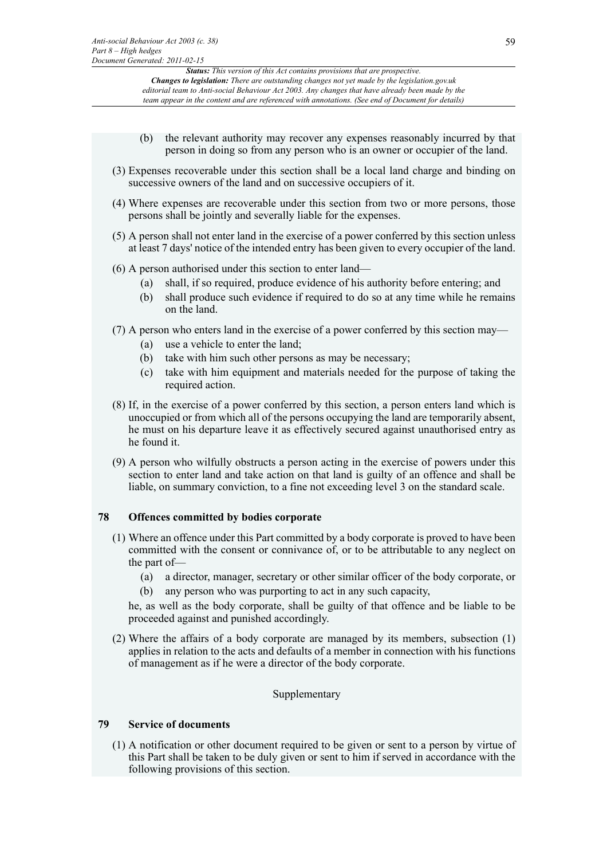- (b) the relevant authority may recover any expenses reasonably incurred by that person in doing so from any person who is an owner or occupier of the land.
- (3) Expenses recoverable under this section shall be a local land charge and binding on successive owners of the land and on successive occupiers of it.
- (4) Where expenses are recoverable under this section from two or more persons, those persons shall be jointly and severally liable for the expenses.
- (5) A person shall not enter land in the exercise of a power conferred by this section unless at least 7 days' notice of the intended entry has been given to every occupier of the land.
- (6) A person authorised under this section to enter land—
	- (a) shall, if so required, produce evidence of his authority before entering; and
	- (b) shall produce such evidence if required to do so at any time while he remains on the land.
- (7) A person who enters land in the exercise of a power conferred by this section may—
	- (a) use a vehicle to enter the land;
	- (b) take with him such other persons as may be necessary;
	- (c) take with him equipment and materials needed for the purpose of taking the required action.
- (8) If, in the exercise of a power conferred by this section, a person enters land which is unoccupied or from which all of the persons occupying the land are temporarily absent, he must on his departure leave it as effectively secured against unauthorised entry as he found it.
- (9) A person who wilfully obstructs a person acting in the exercise of powers under this section to enter land and take action on that land is guilty of an offence and shall be liable, on summary conviction, to a fine not exceeding level 3 on the standard scale.

# **78 Offences committed by bodies corporate**

- (1) Where an offence under this Part committed by a body corporate is proved to have been committed with the consent or connivance of, or to be attributable to any neglect on the part of—
	- (a) a director, manager, secretary or other similar officer of the body corporate, or (b) any person who was purporting to act in any such capacity,

he, as well as the body corporate, shall be guilty of that offence and be liable to be proceeded against and punished accordingly.

(2) Where the affairs of a body corporate are managed by its members, subsection (1) applies in relation to the acts and defaults of a member in connection with his functions of management as if he were a director of the body corporate.

# Supplementary

# **79 Service of documents**

(1) A notification or other document required to be given or sent to a person by virtue of this Part shall be taken to be duly given or sent to him if served in accordance with the following provisions of this section.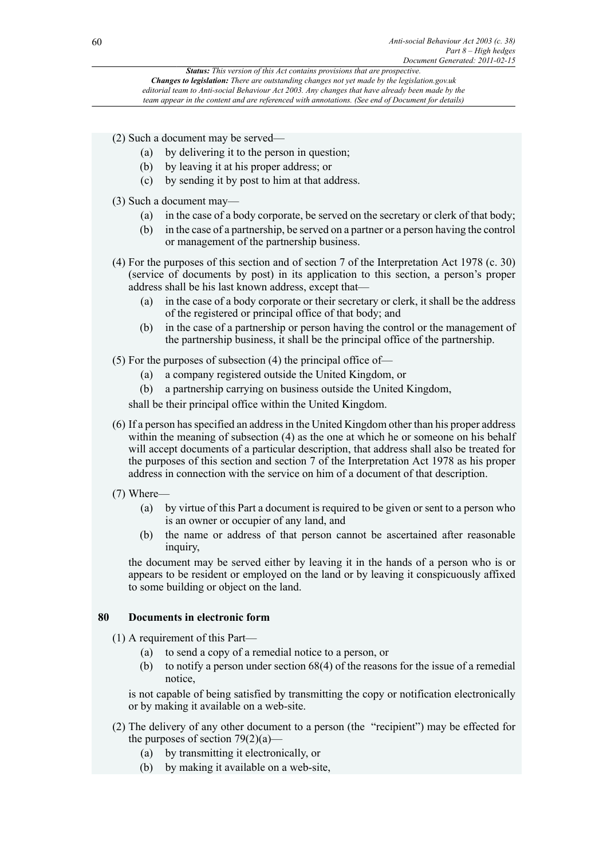(2) Such a document may be served—

- (a) by delivering it to the person in question;
- (b) by leaving it at his proper address; or
- (c) by sending it by post to him at that address.
- (3) Such a document may—
	- (a) in the case of a body corporate, be served on the secretary or clerk of that body;
	- (b) in the case of a partnership, be served on a partner or a person having the control or management of the partnership business.
- (4) For the purposes of this section and of section 7 of the Interpretation Act 1978 (c. 30) (service of documents by post) in its application to this section, a person's proper address shall be his last known address, except that—
	- (a) in the case of a body corporate or their secretary or clerk, it shall be the address of the registered or principal office of that body; and
	- (b) in the case of a partnership or person having the control or the management of the partnership business, it shall be the principal office of the partnership.
- (5) For the purposes of subsection (4) the principal office of—
	- (a) a company registered outside the United Kingdom, or
	- (b) a partnership carrying on business outside the United Kingdom,

shall be their principal office within the United Kingdom.

- (6) If a person has specified an address in the United Kingdom other than his proper address within the meaning of subsection (4) as the one at which he or someone on his behalf will accept documents of a particular description, that address shall also be treated for the purposes of this section and section 7 of the Interpretation Act 1978 as his proper address in connection with the service on him of a document of that description.
- (7) Where—
	- (a) by virtue of this Part a document is required to be given or sent to a person who is an owner or occupier of any land, and
	- (b) the name or address of that person cannot be ascertained after reasonable inquiry,

the document may be served either by leaving it in the hands of a person who is or appears to be resident or employed on the land or by leaving it conspicuously affixed to some building or object on the land.

# **80 Documents in electronic form**

(1) A requirement of this Part—

- (a) to send a copy of a remedial notice to a person, or
- (b) to notify a person under section 68(4) of the reasons for the issue of a remedial notice,

is not capable of being satisfied by transmitting the copy or notification electronically or by making it available on a web-site.

- (2) The delivery of any other document to a person (the "recipient") may be effected for the purposes of section  $79(2)(a)$ —
	- (a) by transmitting it electronically, or
	- (b) by making it available on a web-site,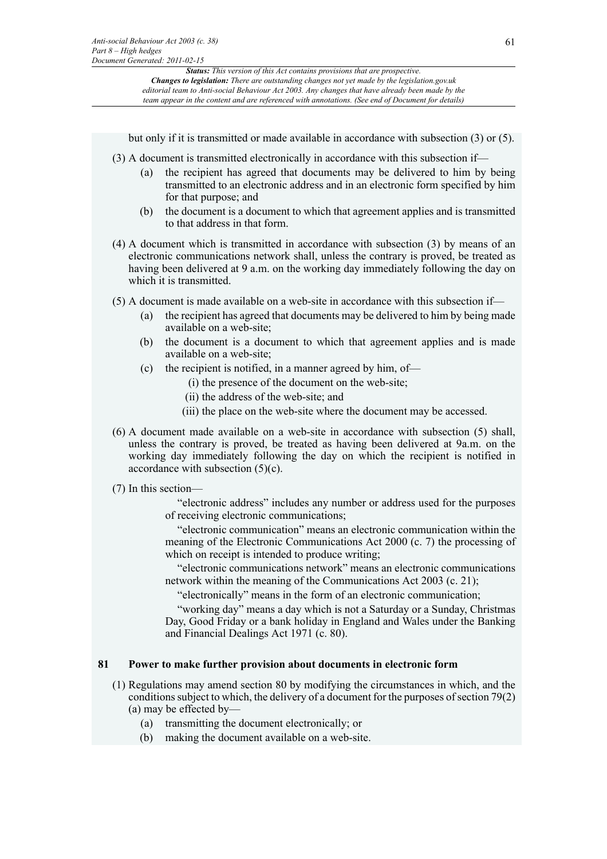but only if it is transmitted or made available in accordance with subsection (3) or (5).

- (3) A document is transmitted electronically in accordance with this subsection if—
	- (a) the recipient has agreed that documents may be delivered to him by being transmitted to an electronic address and in an electronic form specified by him for that purpose; and
	- (b) the document is a document to which that agreement applies and is transmitted to that address in that form.
- (4) A document which is transmitted in accordance with subsection (3) by means of an electronic communications network shall, unless the contrary is proved, be treated as having been delivered at 9 a.m. on the working day immediately following the day on which it is transmitted.
- (5) A document is made available on a web-site in accordance with this subsection if—
	- (a) the recipient has agreed that documents may be delivered to him by being made available on a web-site;
	- (b) the document is a document to which that agreement applies and is made available on a web-site;
	- (c) the recipient is notified, in a manner agreed by him, of—
		- (i) the presence of the document on the web-site;
		- (ii) the address of the web-site; and
		- (iii) the place on the web-site where the document may be accessed.
- (6) A document made available on a web-site in accordance with subsection (5) shall, unless the contrary is proved, be treated as having been delivered at 9a.m. on the working day immediately following the day on which the recipient is notified in accordance with subsection (5)(c).
- (7) In this section—

"electronic address" includes any number or address used for the purposes of receiving electronic communications;

"electronic communication" means an electronic communication within the meaning of the Electronic Communications Act 2000 (c. 7) the processing of which on receipt is intended to produce writing;

"electronic communications network" means an electronic communications network within the meaning of the Communications Act 2003 (c. 21);

"electronically" means in the form of an electronic communication;

"working day" means a day which is not a Saturday or a Sunday, Christmas Day, Good Friday or a bank holiday in England and Wales under the Banking and Financial Dealings Act 1971 (c. 80).

## **81 Power to make further provision about documents in electronic form**

- (1) Regulations may amend section 80 by modifying the circumstances in which, and the conditions subject to which, the delivery of a document for the purposes of section 79(2) (a) may be effected by—
	- (a) transmitting the document electronically; or
	- (b) making the document available on a web-site.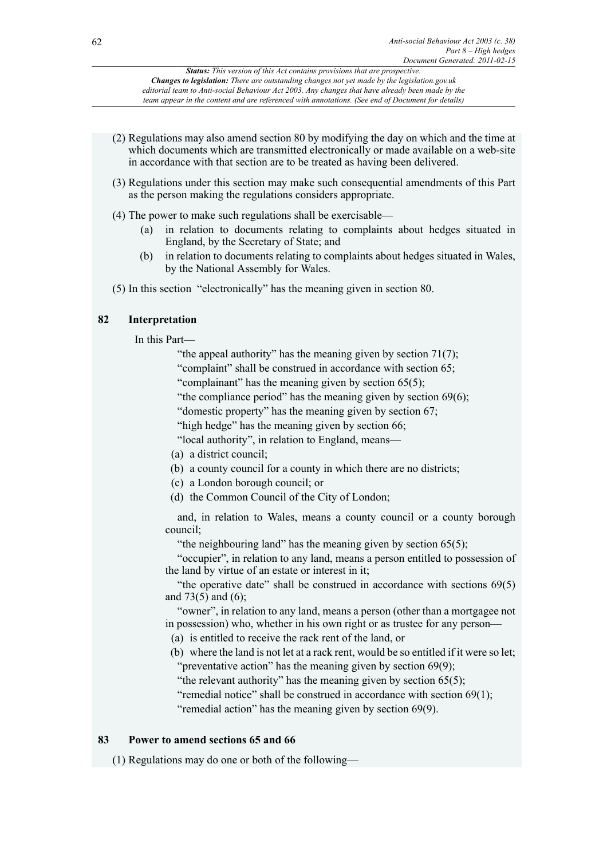- (2) Regulations may also amend section 80 by modifying the day on which and the time at which documents which are transmitted electronically or made available on a web-site in accordance with that section are to be treated as having been delivered.
- (3) Regulations under this section may make such consequential amendments of this Part as the person making the regulations considers appropriate.
- (4) The power to make such regulations shall be exercisable—
	- (a) in relation to documents relating to complaints about hedges situated in England, by the Secretary of State; and
	- (b) in relation to documents relating to complaints about hedges situated in Wales, by the National Assembly for Wales.
- (5) In this section "electronically" has the meaning given in section 80.

# **82 Interpretation**

In this Part—

"the appeal authority" has the meaning given by section  $71(7)$ ;

"complaint" shall be construed in accordance with section 65;

"complainant" has the meaning given by section 65(5);

"the compliance period" has the meaning given by section 69(6);

"domestic property" has the meaning given by section 67;

"high hedge" has the meaning given by section 66;

"local authority", in relation to England, means—

- (a) a district council;
- (b) a county council for a county in which there are no districts;
- (c) a London borough council; or
- (d) the Common Council of the City of London;

and, in relation to Wales, means a county council or a county borough council;

"the neighbouring land" has the meaning given by section 65(5);

"occupier", in relation to any land, means a person entitled to possession of the land by virtue of an estate or interest in it;

"the operative date" shall be construed in accordance with sections  $69(5)$ and 73(5) and (6);

"owner", in relation to any land, means a person (other than a mortgagee not in possession) who, whether in his own right or as trustee for any person—

(a) is entitled to receive the rack rent of the land, or

(b) where the land is not let at a rack rent, would be so entitled if it were so let; "preventative action" has the meaning given by section 69(9);

"the relevant authority" has the meaning given by section  $65(5)$ ;

"remedial notice" shall be construed in accordance with section 69(1);

"remedial action" has the meaning given by section 69(9).

# **83 Power to amend sections 65 and 66**

(1) Regulations may do one or both of the following—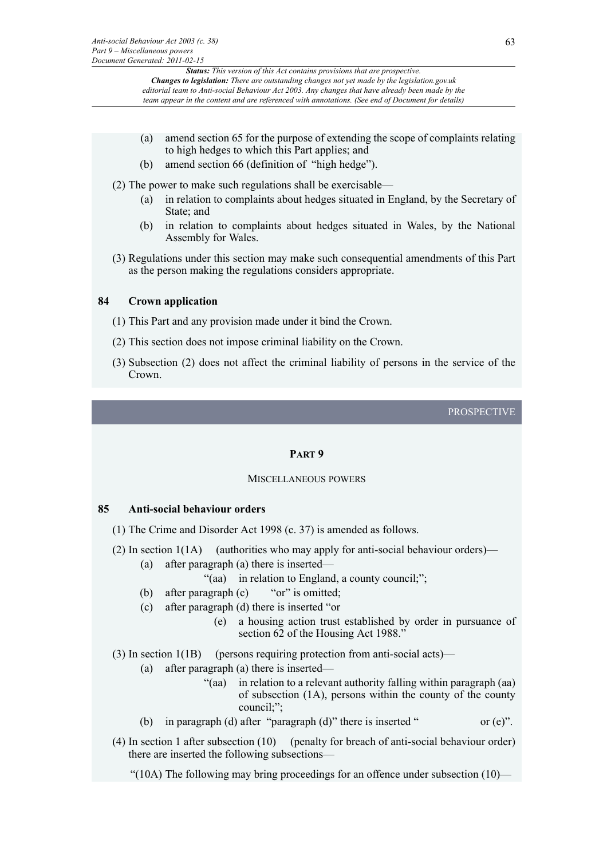- (a) amend section 65 for the purpose of extending the scope of complaints relating to high hedges to which this Part applies; and
- (b) amend section 66 (definition of "high hedge").

(2) The power to make such regulations shall be exercisable—

- (a) in relation to complaints about hedges situated in England, by the Secretary of State; and
- (b) in relation to complaints about hedges situated in Wales, by the National Assembly for Wales.
- (3) Regulations under this section may make such consequential amendments of this Part as the person making the regulations considers appropriate.

# **84 Crown application**

- (1) This Part and any provision made under it bind the Crown.
- (2) This section does not impose criminal liability on the Crown.
- (3) Subsection (2) does not affect the criminal liability of persons in the service of the Crown.

# PROSPECTIVE

# **PART 9**

### MISCELLANEOUS POWERS

### **85 Anti-social behaviour orders**

- (1) The Crime and Disorder Act 1998 (c. 37) is amended as follows.
- (2) In section  $1(1A)$  (authorities who may apply for anti-social behaviour orders)—
	- (a) after paragraph (a) there is inserted—

"(aa) in relation to England, a county council;";

- (b) after paragraph (c) "or" is omitted;
- (c) after paragraph (d) there is inserted "or
	- (e) a housing action trust established by order in pursuance of section 62 of the Housing Act 1988."
- (3) In section 1(1B) (persons requiring protection from anti-social acts)—
	- (a) after paragraph (a) there is inserted—
		- "(aa) in relation to a relevant authority falling within paragraph (aa) of subsection (1A), persons within the county of the county council;";
	- (b) in paragraph (d) after "paragraph (d)" there is inserted " or (e)".
- (4) In section 1 after subsection (10) (penalty for breach of anti-social behaviour order) there are inserted the following subsections—

"(10A) The following may bring proceedings for an offence under subsection  $(10)$ —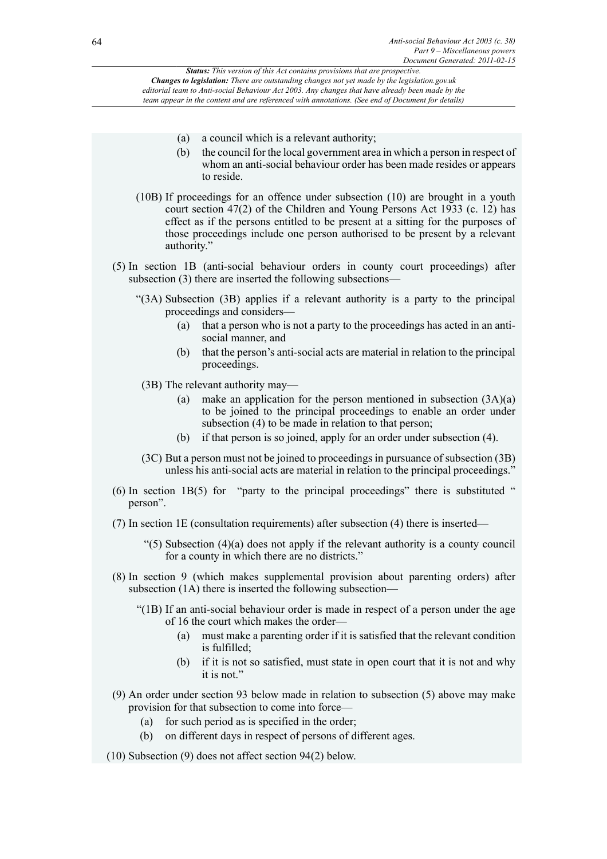- (a) a council which is a relevant authority;
- (b) the council for the local government area in which a person in respect of whom an anti-social behaviour order has been made resides or appears to reside.
- (10B) If proceedings for an offence under subsection (10) are brought in a youth court section 47(2) of the Children and Young Persons Act 1933 (c. 12) has effect as if the persons entitled to be present at a sitting for the purposes of those proceedings include one person authorised to be present by a relevant authority."
- (5) In section 1B (anti-social behaviour orders in county court proceedings) after subsection (3) there are inserted the following subsections—
	- "(3A) Subsection (3B) applies if a relevant authority is a party to the principal proceedings and considers—
		- (a) that a person who is not a party to the proceedings has acted in an antisocial manner, and
		- (b) that the person's anti-social acts are material in relation to the principal proceedings.
	- (3B) The relevant authority may—
		- (a) make an application for the person mentioned in subsection  $(3A)(a)$ to be joined to the principal proceedings to enable an order under subsection (4) to be made in relation to that person;
		- (b) if that person is so joined, apply for an order under subsection (4).
	- (3C) But a person must not be joined to proceedings in pursuance of subsection (3B) unless his anti-social acts are material in relation to the principal proceedings."
- (6) In section 1B(5) for "party to the principal proceedings" there is substituted " person".
- (7) In section 1E (consultation requirements) after subsection (4) there is inserted—
	- $(5)$  Subsection (4)(a) does not apply if the relevant authority is a county council for a county in which there are no districts."
- (8) In section 9 (which makes supplemental provision about parenting orders) after subsection (1A) there is inserted the following subsection—
	- "(1B) If an anti-social behaviour order is made in respect of a person under the age of 16 the court which makes the order—
		- (a) must make a parenting order if it is satisfied that the relevant condition is fulfilled;
		- (b) if it is not so satisfied, must state in open court that it is not and why it is not."
- (9) An order under section 93 below made in relation to subsection (5) above may make provision for that subsection to come into force—
	- (a) for such period as is specified in the order;
	- (b) on different days in respect of persons of different ages.
- (10) Subsection (9) does not affect section 94(2) below.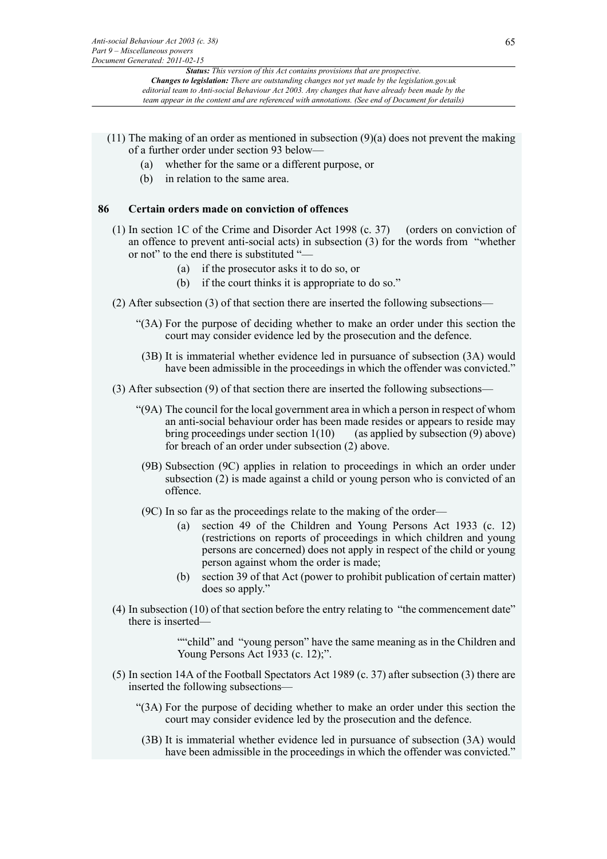- (11) The making of an order as mentioned in subsection (9)(a) does not prevent the making of a further order under section 93 below—
	- (a) whether for the same or a different purpose, or
	- (b) in relation to the same area.

# **86 Certain orders made on conviction of offences**

- (1) In section 1C of the Crime and Disorder Act 1998 (c. 37) (orders on conviction of an offence to prevent anti-social acts) in subsection (3) for the words from "whether or not" to the end there is substituted "—
	- (a) if the prosecutor asks it to do so, or
	- (b) if the court thinks it is appropriate to do so."
- (2) After subsection (3) of that section there are inserted the following subsections—
	- "(3A) For the purpose of deciding whether to make an order under this section the court may consider evidence led by the prosecution and the defence.
	- (3B) It is immaterial whether evidence led in pursuance of subsection (3A) would have been admissible in the proceedings in which the offender was convicted."
- (3) After subsection (9) of that section there are inserted the following subsections—
	- "(9A) The council for the local government area in which a person in respect of whom an anti-social behaviour order has been made resides or appears to reside may bring proceedings under section  $1(10)$  (as applied by subsection (9) above) for breach of an order under subsection (2) above.
	- (9B) Subsection (9C) applies in relation to proceedings in which an order under subsection (2) is made against a child or young person who is convicted of an offence.
	- (9C) In so far as the proceedings relate to the making of the order—
		- (a) section 49 of the Children and Young Persons Act 1933 (c. 12) (restrictions on reports of proceedings in which children and young persons are concerned) does not apply in respect of the child or young person against whom the order is made;
		- (b) section 39 of that Act (power to prohibit publication of certain matter) does so apply."
- (4) In subsection (10) of that section before the entry relating to "the commencement date" there is inserted—

""child" and "young person" have the same meaning as in the Children and Young Persons Act 1933 (c. 12);".

- (5) In section 14A of the Football Spectators Act 1989 (c. 37) after subsection (3) there are inserted the following subsections—
	- "(3A) For the purpose of deciding whether to make an order under this section the court may consider evidence led by the prosecution and the defence.
	- (3B) It is immaterial whether evidence led in pursuance of subsection (3A) would have been admissible in the proceedings in which the offender was convicted."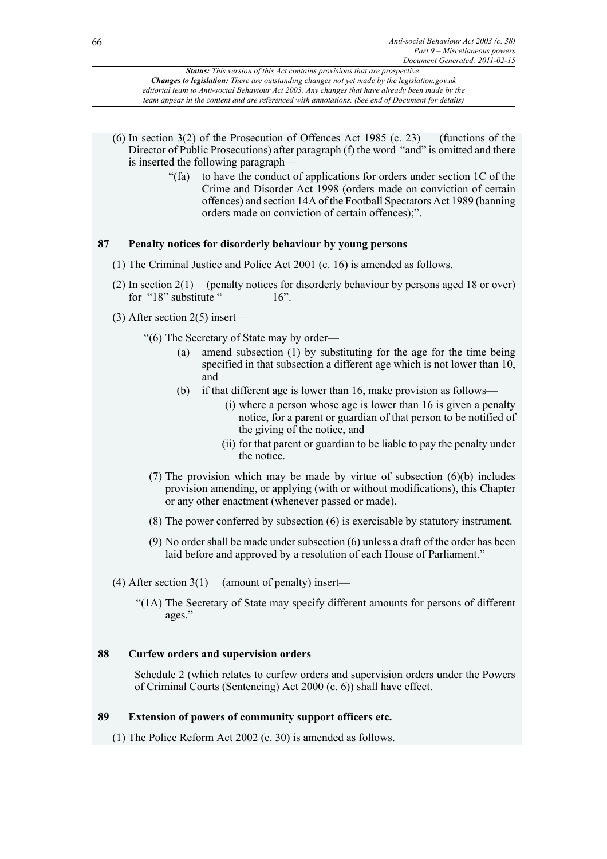- (6) In section 3(2) of the Prosecution of Offences Act 1985 (c. 23) (functions of the Director of Public Prosecutions) after paragraph (f) the word "and" is omitted and there is inserted the following paragraph—
	- "(fa) to have the conduct of applications for orders under section 1C of the Crime and Disorder Act 1998 (orders made on conviction of certain offences) and section 14A of the Football Spectators Act 1989 (banning orders made on conviction of certain offences);".

# **87 Penalty notices for disorderly behaviour by young persons**

- (1) The Criminal Justice and Police Act 2001 (c. 16) is amended as follows.
- (2) In section 2(1) (penalty notices for disorderly behaviour by persons aged 18 or over) for " $18$ " substitute "  $16$ ".
- (3) After section 2(5) insert—

"(6) The Secretary of State may by order—

- (a) amend subsection (1) by substituting for the age for the time being specified in that subsection a different age which is not lower than 10, and
- (b) if that different age is lower than 16, make provision as follows—
	- (i) where a person whose age is lower than 16 is given a penalty notice, for a parent or guardian of that person to be notified of the giving of the notice, and
	- (ii) for that parent or guardian to be liable to pay the penalty under the notice.
- (7) The provision which may be made by virtue of subsection (6)(b) includes provision amending, or applying (with or without modifications), this Chapter or any other enactment (whenever passed or made).
- (8) The power conferred by subsection (6) is exercisable by statutory instrument.
- (9) No order shall be made under subsection (6) unless a draft of the order has been laid before and approved by a resolution of each House of Parliament."
- (4) After section  $3(1)$  (amount of penalty) insert—
	- "(1A) The Secretary of State may specify different amounts for persons of different ages."

# **88 Curfew orders and supervision orders**

Schedule 2 (which relates to curfew orders and supervision orders under the Powers of Criminal Courts (Sentencing) Act 2000 (c. 6)) shall have effect.

# **89 Extension of powers of community support officers etc.**

(1) The Police Reform Act 2002 (c. 30) is amended as follows.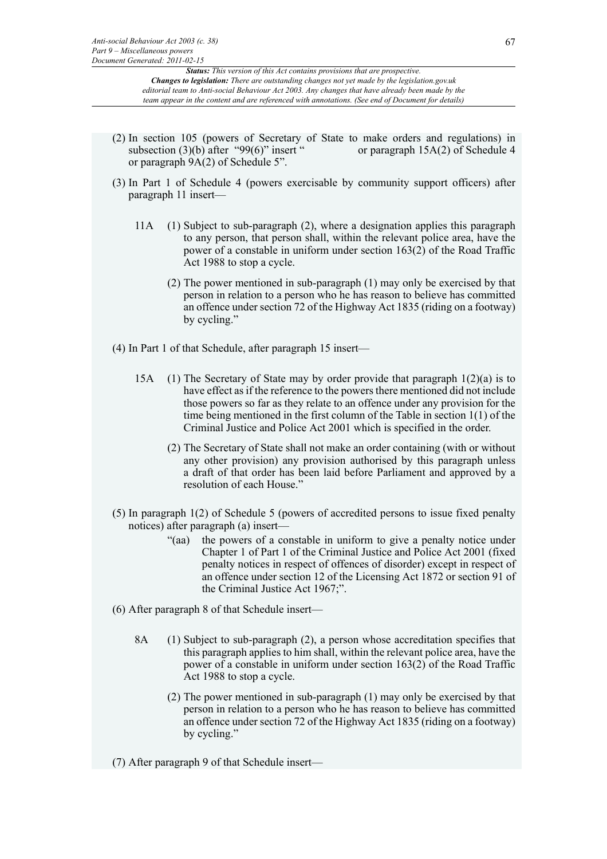- (2) In section 105 (powers of Secretary of State to make orders and regulations) in subsection  $(3)(b)$  after "99(6)" insert " or paragraph 15A(2) of Schedule 4 or paragraph 9A(2) of Schedule 5".
- (3) In Part 1 of Schedule 4 (powers exercisable by community support officers) after paragraph 11 insert—
	- 11A (1) Subject to sub-paragraph (2), where a designation applies this paragraph to any person, that person shall, within the relevant police area, have the power of a constable in uniform under section 163(2) of the Road Traffic Act 1988 to stop a cycle.
		- (2) The power mentioned in sub-paragraph (1) may only be exercised by that person in relation to a person who he has reason to believe has committed an offence under section 72 of the Highway Act 1835 (riding on a footway) by cycling."
- (4) In Part 1 of that Schedule, after paragraph 15 insert—
	- 15A (1) The Secretary of State may by order provide that paragraph  $1(2)(a)$  is to have effect as if the reference to the powers there mentioned did not include those powers so far as they relate to an offence under any provision for the time being mentioned in the first column of the Table in section 1(1) of the Criminal Justice and Police Act 2001 which is specified in the order.
		- (2) The Secretary of State shall not make an order containing (with or without any other provision) any provision authorised by this paragraph unless a draft of that order has been laid before Parliament and approved by a resolution of each House."
- (5) In paragraph 1(2) of Schedule 5 (powers of accredited persons to issue fixed penalty notices) after paragraph (a) insert—
	- "(aa) the powers of a constable in uniform to give a penalty notice under Chapter 1 of Part 1 of the Criminal Justice and Police Act 2001 (fixed penalty notices in respect of offences of disorder) except in respect of an offence under section 12 of the Licensing Act 1872 or section 91 of the Criminal Justice Act 1967;".
- (6) After paragraph 8 of that Schedule insert—
	- 8A (1) Subject to sub-paragraph (2), a person whose accreditation specifies that this paragraph applies to him shall, within the relevant police area, have the power of a constable in uniform under section 163(2) of the Road Traffic Act 1988 to stop a cycle.
		- (2) The power mentioned in sub-paragraph (1) may only be exercised by that person in relation to a person who he has reason to believe has committed an offence under section 72 of the Highway Act 1835 (riding on a footway) by cycling."

(7) After paragraph 9 of that Schedule insert—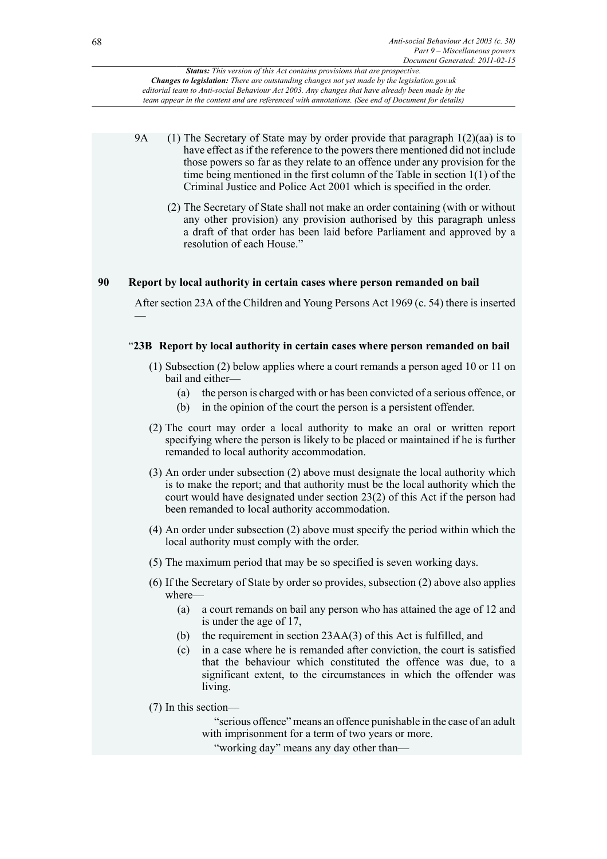- 9A (1) The Secretary of State may by order provide that paragraph 1(2)(aa) is to have effect as if the reference to the powers there mentioned did not include those powers so far as they relate to an offence under any provision for the time being mentioned in the first column of the Table in section 1(1) of the Criminal Justice and Police Act 2001 which is specified in the order.
	- (2) The Secretary of State shall not make an order containing (with or without any other provision) any provision authorised by this paragraph unless a draft of that order has been laid before Parliament and approved by a resolution of each House."

# **90 Report by local authority in certain cases where person remanded on bail**

After section 23A of the Children and Young Persons Act 1969 (c. 54) there is inserted —

# "**23B Report by local authority in certain cases where person remanded on bail**

- (1) Subsection (2) below applies where a court remands a person aged 10 or 11 on bail and either-
	- (a) the person is charged with or has been convicted of a serious offence, or
	- (b) in the opinion of the court the person is a persistent offender.
- (2) The court may order a local authority to make an oral or written report specifying where the person is likely to be placed or maintained if he is further remanded to local authority accommodation.
- (3) An order under subsection (2) above must designate the local authority which is to make the report; and that authority must be the local authority which the court would have designated under section 23(2) of this Act if the person had been remanded to local authority accommodation.
- (4) An order under subsection (2) above must specify the period within which the local authority must comply with the order.
- (5) The maximum period that may be so specified is seven working days.
- (6) If the Secretary of State by order so provides, subsection (2) above also applies where—
	- (a) a court remands on bail any person who has attained the age of 12 and is under the age of 17,
	- (b) the requirement in section 23AA(3) of this Act is fulfilled, and
	- (c) in a case where he is remanded after conviction, the court is satisfied that the behaviour which constituted the offence was due, to a significant extent, to the circumstances in which the offender was living.
- (7) In this section—

"serious offence" means an offence punishable in the case of an adult with imprisonment for a term of two years or more.

"working day" means any day other than—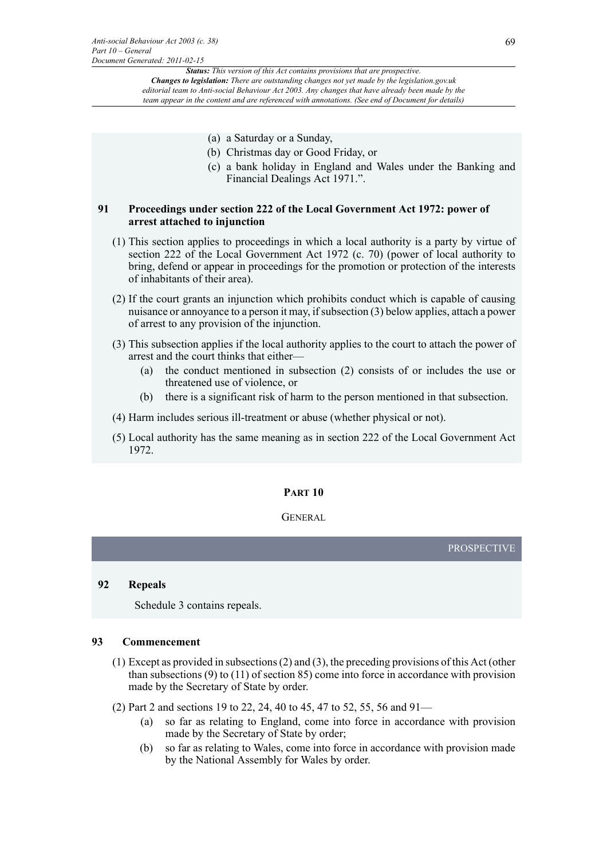- (a) a Saturday or a Sunday,
- (b) Christmas day or Good Friday, or
- (c) a bank holiday in England and Wales under the Banking and Financial Dealings Act 1971.".

# **91 Proceedings under section 222 of the Local Government Act 1972: power of arrest attached to injunction**

- (1) This section applies to proceedings in which a local authority is a party by virtue of section 222 of the Local Government Act 1972 (c. 70) (power of local authority to bring, defend or appear in proceedings for the promotion or protection of the interests of inhabitants of their area).
- (2) If the court grants an injunction which prohibits conduct which is capable of causing nuisance or annoyance to a person it may, if subsection (3) below applies, attach a power of arrest to any provision of the injunction.
- (3) This subsection applies if the local authority applies to the court to attach the power of arrest and the court thinks that either—
	- (a) the conduct mentioned in subsection (2) consists of or includes the use or threatened use of violence, or
	- (b) there is a significant risk of harm to the person mentioned in that subsection.
- (4) Harm includes serious ill-treatment or abuse (whether physical or not).
- (5) Local authority has the same meaning as in section 222 of the Local Government Act 1972.

# **PART 10**

# **GENERAL**

PROSPECTIVE

### **92 Repeals**

Schedule 3 contains repeals.

# **93 Commencement**

- (1) Except as provided in subsections (2) and (3), the preceding provisions of this Act (other than subsections (9) to (11) of section 85) come into force in accordance with provision made by the Secretary of State by order.
- (2) Part 2 and sections 19 to 22, 24, 40 to 45, 47 to 52, 55, 56 and 91—
	- (a) so far as relating to England, come into force in accordance with provision made by the Secretary of State by order;
	- (b) so far as relating to Wales, come into force in accordance with provision made by the National Assembly for Wales by order.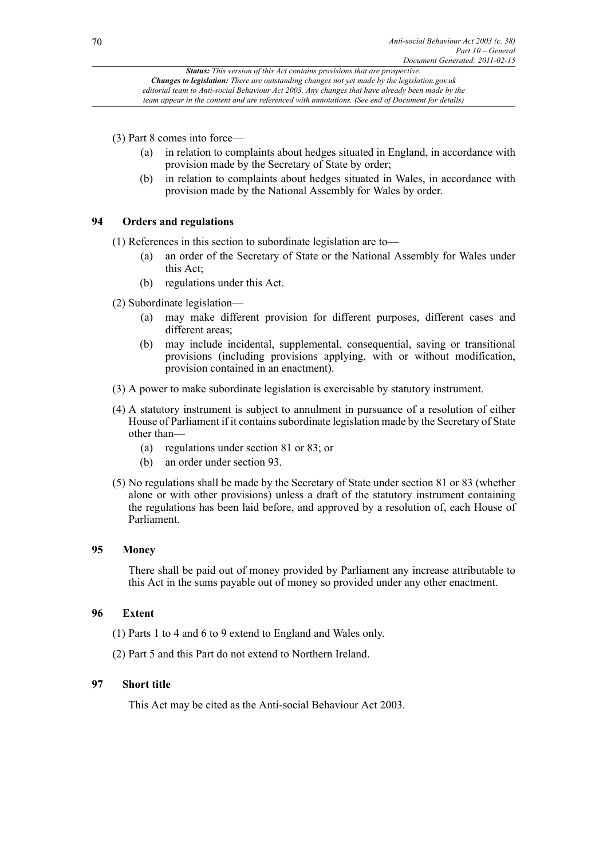(3) Part 8 comes into force—

- (a) in relation to complaints about hedges situated in England, in accordance with provision made by the Secretary of State by order;
- (b) in relation to complaints about hedges situated in Wales, in accordance with provision made by the National Assembly for Wales by order.

# **94 Orders and regulations**

(1) References in this section to subordinate legislation are to—

- (a) an order of the Secretary of State or the National Assembly for Wales under this Act;
- (b) regulations under this Act.
- (2) Subordinate legislation—
	- (a) may make different provision for different purposes, different cases and different areas;
	- (b) may include incidental, supplemental, consequential, saving or transitional provisions (including provisions applying, with or without modification, provision contained in an enactment).
- (3) A power to make subordinate legislation is exercisable by statutory instrument.
- (4) A statutory instrument is subject to annulment in pursuance of a resolution of either House of Parliament if it contains subordinate legislation made by the Secretary of State other than—
	- (a) regulations under section 81 or 83; or
	- (b) an order under section 93.
- (5) No regulations shall be made by the Secretary of State under section 81 or 83 (whether alone or with other provisions) unless a draft of the statutory instrument containing the regulations has been laid before, and approved by a resolution of, each House of Parliament.

# **95 Money**

There shall be paid out of money provided by Parliament any increase attributable to this Act in the sums payable out of money so provided under any other enactment.

# **96 Extent**

- (1) Parts 1 to 4 and 6 to 9 extend to England and Wales only.
- (2) Part 5 and this Part do not extend to Northern Ireland.

# **97 Short title**

This Act may be cited as the Anti-social Behaviour Act 2003.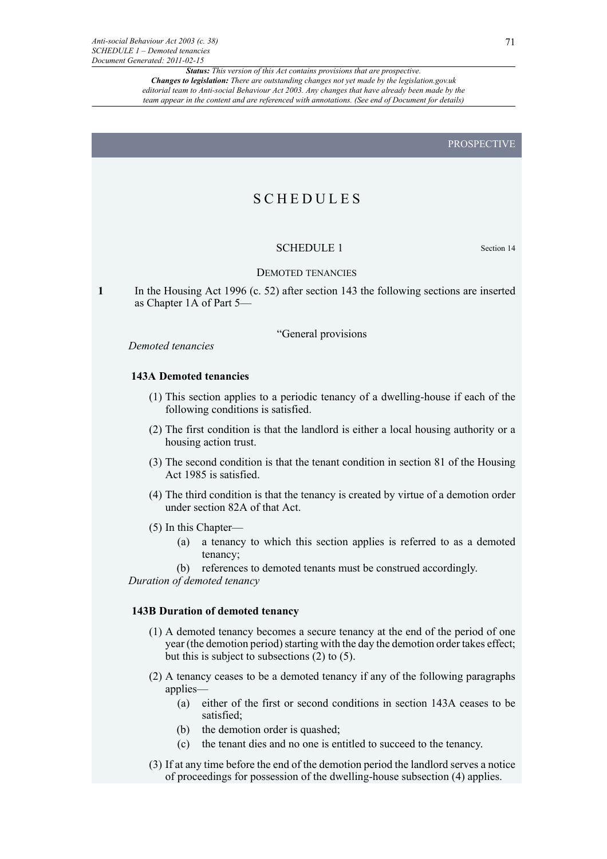# **SCHEDULES**

# SCHEDULE 1 Section 14

### DEMOTED TENANCIES

**1** In the Housing Act 1996 (c. 52) after section 143 the following sections are inserted as Chapter 1A of Part 5—

"General provisions

*Demoted tenancies*

# **143A Demoted tenancies**

- (1) This section applies to a periodic tenancy of a dwelling-house if each of the following conditions is satisfied.
- (2) The first condition is that the landlord is either a local housing authority or a housing action trust.
- (3) The second condition is that the tenant condition in section 81 of the Housing Act 1985 is satisfied.
- (4) The third condition is that the tenancy is created by virtue of a demotion order under section 82A of that Act.
- (5) In this Chapter—
	- (a) a tenancy to which this section applies is referred to as a demoted tenancy;
	- (b) references to demoted tenants must be construed accordingly.

*Duration of demoted tenancy*

### **143B Duration of demoted tenancy**

- (1) A demoted tenancy becomes a secure tenancy at the end of the period of one year (the demotion period) starting with the day the demotion order takes effect; but this is subject to subsections (2) to (5).
- (2) A tenancy ceases to be a demoted tenancy if any of the following paragraphs applies—
	- (a) either of the first or second conditions in section 143A ceases to be satisfied;
	- (b) the demotion order is quashed;
	- (c) the tenant dies and no one is entitled to succeed to the tenancy.
- (3) If at any time before the end of the demotion period the landlord serves a notice of proceedings for possession of the dwelling-house subsection (4) applies.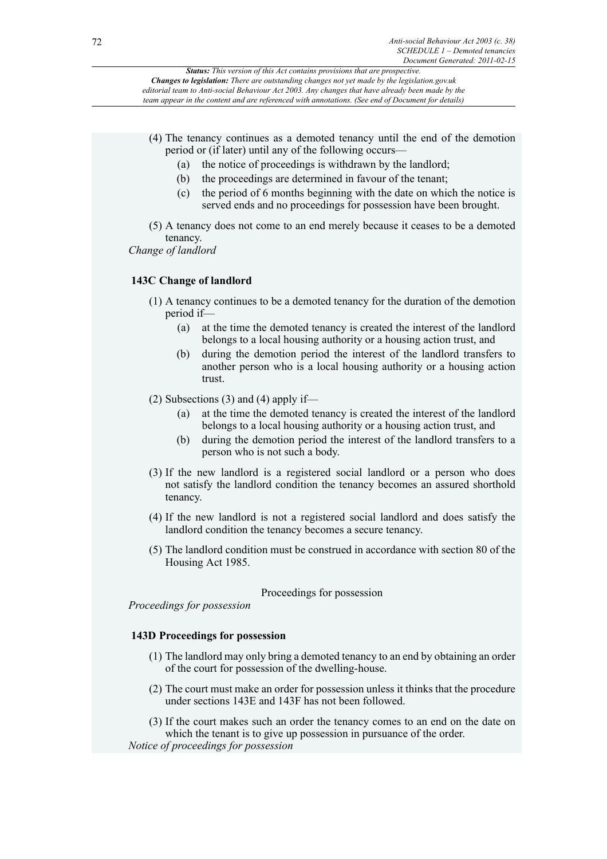- (4) The tenancy continues as a demoted tenancy until the end of the demotion period or (if later) until any of the following occurs—
	- (a) the notice of proceedings is withdrawn by the landlord;
	- (b) the proceedings are determined in favour of the tenant;
	- (c) the period of 6 months beginning with the date on which the notice is served ends and no proceedings for possession have been brought.
- (5) A tenancy does not come to an end merely because it ceases to be a demoted tenancy.

*Change of landlord*

# **143C Change of landlord**

- (1) A tenancy continues to be a demoted tenancy for the duration of the demotion period if—
	- (a) at the time the demoted tenancy is created the interest of the landlord belongs to a local housing authority or a housing action trust, and
	- (b) during the demotion period the interest of the landlord transfers to another person who is a local housing authority or a housing action trust.
- (2) Subsections (3) and (4) apply if—
	- (a) at the time the demoted tenancy is created the interest of the landlord belongs to a local housing authority or a housing action trust, and
	- (b) during the demotion period the interest of the landlord transfers to a person who is not such a body.
- (3) If the new landlord is a registered social landlord or a person who does not satisfy the landlord condition the tenancy becomes an assured shorthold tenancy.
- (4) If the new landlord is not a registered social landlord and does satisfy the landlord condition the tenancy becomes a secure tenancy.
- (5) The landlord condition must be construed in accordance with section 80 of the Housing Act 1985.

# Proceedings for possession

*Proceedings for possession*

# **143D Proceedings for possession**

- (1) The landlord may only bring a demoted tenancy to an end by obtaining an order of the court for possession of the dwelling-house.
- (2) The court must make an order for possession unless it thinks that the procedure under sections 143E and 143F has not been followed.

(3) If the court makes such an order the tenancy comes to an end on the date on which the tenant is to give up possession in pursuance of the order.

*Notice of proceedings for possession*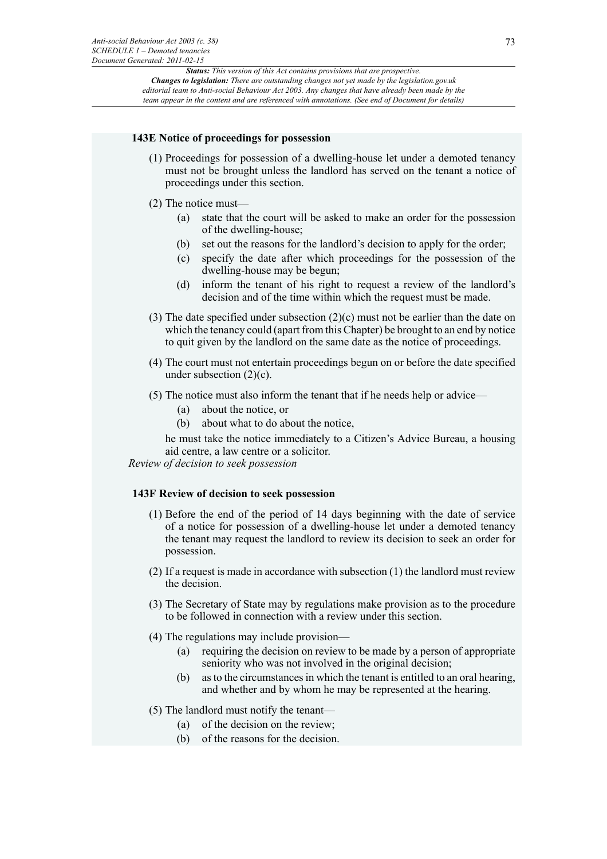#### **143E Notice of proceedings for possession**

- (1) Proceedings for possession of a dwelling-house let under a demoted tenancy must not be brought unless the landlord has served on the tenant a notice of proceedings under this section.
- (2) The notice must—
	- (a) state that the court will be asked to make an order for the possession of the dwelling-house;
	- (b) set out the reasons for the landlord's decision to apply for the order;
	- (c) specify the date after which proceedings for the possession of the dwelling-house may be begun;
	- (d) inform the tenant of his right to request a review of the landlord's decision and of the time within which the request must be made.
- (3) The date specified under subsection (2)(c) must not be earlier than the date on which the tenancy could (apart from this Chapter) be brought to an end by notice to quit given by the landlord on the same date as the notice of proceedings.
- (4) The court must not entertain proceedings begun on or before the date specified under subsection (2)(c).
- (5) The notice must also inform the tenant that if he needs help or advice—
	- (a) about the notice, or
	- (b) about what to do about the notice,

he must take the notice immediately to a Citizen's Advice Bureau, a housing aid centre, a law centre or a solicitor.

*Review of decision to seek possession*

# **143F Review of decision to seek possession**

- (1) Before the end of the period of 14 days beginning with the date of service of a notice for possession of a dwelling-house let under a demoted tenancy the tenant may request the landlord to review its decision to seek an order for possession.
- (2) If a request is made in accordance with subsection (1) the landlord must review the decision.
- (3) The Secretary of State may by regulations make provision as to the procedure to be followed in connection with a review under this section.
- (4) The regulations may include provision—
	- (a) requiring the decision on review to be made by a person of appropriate seniority who was not involved in the original decision;
	- (b) as to the circumstances in which the tenant is entitled to an oral hearing, and whether and by whom he may be represented at the hearing.
- (5) The landlord must notify the tenant—
	- (a) of the decision on the review;
	- (b) of the reasons for the decision.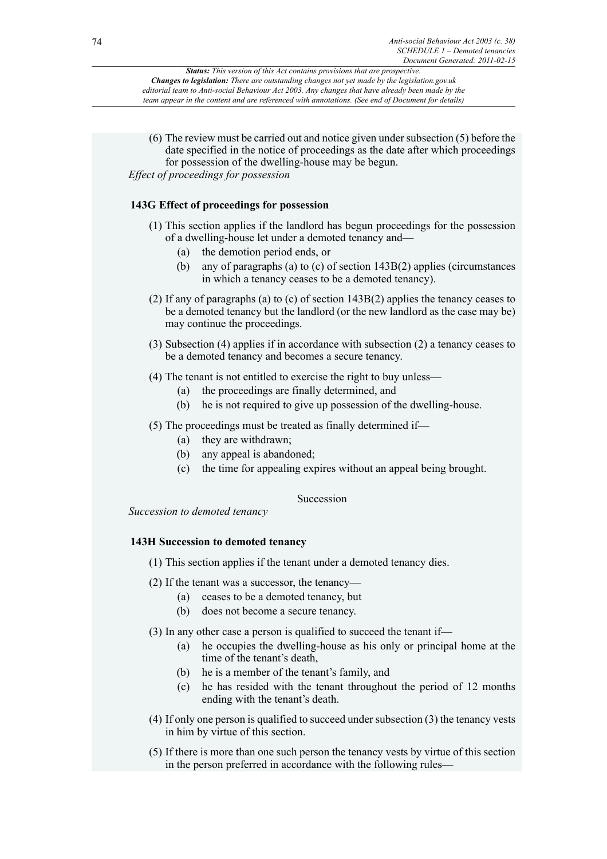(6) The review must be carried out and notice given under subsection (5) before the date specified in the notice of proceedings as the date after which proceedings for possession of the dwelling-house may be begun. *Effect of proceedings for possession*

# **143G Effect of proceedings for possession**

- (1) This section applies if the landlord has begun proceedings for the possession of a dwelling-house let under a demoted tenancy and—
	- (a) the demotion period ends, or
	- (b) any of paragraphs (a) to (c) of section 143B(2) applies (circumstances in which a tenancy ceases to be a demoted tenancy).
- (2) If any of paragraphs (a) to (c) of section 143B(2) applies the tenancy ceases to be a demoted tenancy but the landlord (or the new landlord as the case may be) may continue the proceedings.
- (3) Subsection (4) applies if in accordance with subsection (2) a tenancy ceases to be a demoted tenancy and becomes a secure tenancy.
- (4) The tenant is not entitled to exercise the right to buy unless—
	- (a) the proceedings are finally determined, and
	- (b) he is not required to give up possession of the dwelling-house.
- (5) The proceedings must be treated as finally determined if—
	- (a) they are withdrawn;
	- (b) any appeal is abandoned;
	- (c) the time for appealing expires without an appeal being brought.

Succession

*Succession to demoted tenancy*

# **143H Succession to demoted tenancy**

(1) This section applies if the tenant under a demoted tenancy dies.

- (2) If the tenant was a successor, the tenancy—
	- (a) ceases to be a demoted tenancy, but
	- (b) does not become a secure tenancy.

(3) In any other case a person is qualified to succeed the tenant if—

- (a) he occupies the dwelling-house as his only or principal home at the time of the tenant's death,
- (b) he is a member of the tenant's family, and
- (c) he has resided with the tenant throughout the period of 12 months ending with the tenant's death.
- (4) If only one person is qualified to succeed under subsection (3) the tenancy vests in him by virtue of this section.
- (5) If there is more than one such person the tenancy vests by virtue of this section in the person preferred in accordance with the following rules—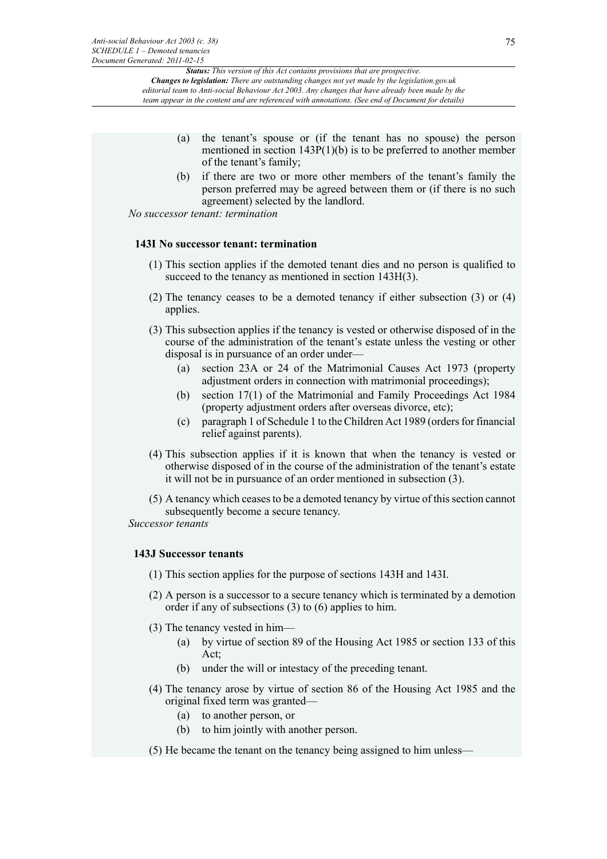- (a) the tenant's spouse or (if the tenant has no spouse) the person mentioned in section  $143P(1)(b)$  is to be preferred to another member of the tenant's family;
- (b) if there are two or more other members of the tenant's family the person preferred may be agreed between them or (if there is no such agreement) selected by the landlord.

*No successor tenant: termination*

#### **143I No successor tenant: termination**

- (1) This section applies if the demoted tenant dies and no person is qualified to succeed to the tenancy as mentioned in section 143H(3).
- (2) The tenancy ceases to be a demoted tenancy if either subsection (3) or (4) applies.
- (3) This subsection applies if the tenancy is vested or otherwise disposed of in the course of the administration of the tenant's estate unless the vesting or other disposal is in pursuance of an order under—
	- (a) section 23A or 24 of the Matrimonial Causes Act 1973 (property adjustment orders in connection with matrimonial proceedings);
	- (b) section 17(1) of the Matrimonial and Family Proceedings Act 1984 (property adjustment orders after overseas divorce, etc);
	- (c) paragraph 1 of Schedule 1 to the Children Act 1989 (orders for financial relief against parents).
- (4) This subsection applies if it is known that when the tenancy is vested or otherwise disposed of in the course of the administration of the tenant's estate it will not be in pursuance of an order mentioned in subsection (3).
- (5) A tenancy which ceases to be a demoted tenancy by virtue of this section cannot subsequently become a secure tenancy.

*Successor tenants*

# **143J Successor tenants**

- (1) This section applies for the purpose of sections 143H and 143I.
- (2) A person is a successor to a secure tenancy which is terminated by a demotion order if any of subsections (3) to (6) applies to him.
- (3) The tenancy vested in him—
	- (a) by virtue of section 89 of the Housing Act 1985 or section 133 of this Act;
	- (b) under the will or intestacy of the preceding tenant.
- (4) The tenancy arose by virtue of section 86 of the Housing Act 1985 and the original fixed term was granted—
	- (a) to another person, or
	- (b) to him jointly with another person.
- (5) He became the tenant on the tenancy being assigned to him unless—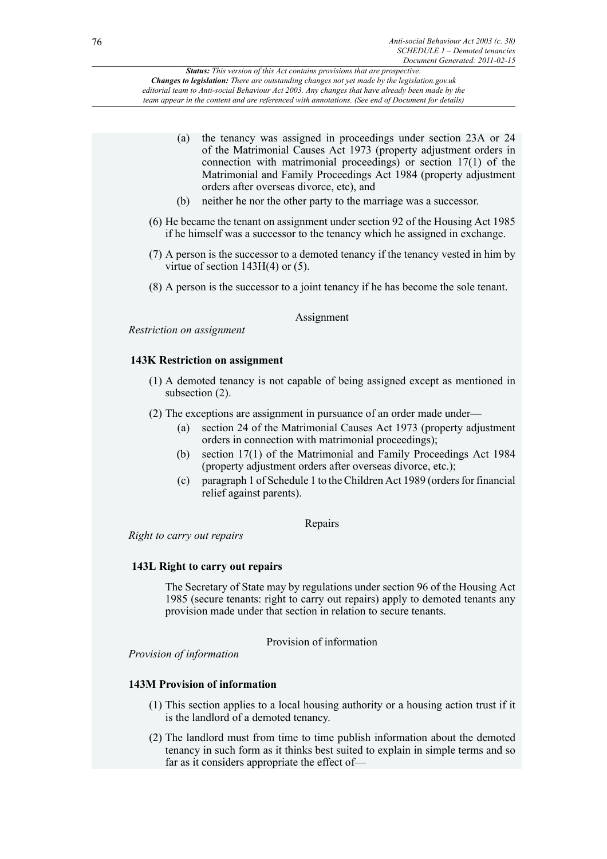| (a)<br>(b)                | the tenancy was assigned in proceedings under section 23A or 24<br>of the Matrimonial Causes Act 1973 (property adjustment orders in<br>connection with matrimonial proceedings) or section $17(1)$ of the<br>Matrimonial and Family Proceedings Act 1984 (property adjustment<br>orders after overseas divorce, etc), and<br>neither he nor the other party to the marriage was a successor.                                                                                                                                                                                                              |
|---------------------------|------------------------------------------------------------------------------------------------------------------------------------------------------------------------------------------------------------------------------------------------------------------------------------------------------------------------------------------------------------------------------------------------------------------------------------------------------------------------------------------------------------------------------------------------------------------------------------------------------------|
|                           | (6) He became the tenant on assignment under section 92 of the Housing Act 1985<br>if he himself was a successor to the tenancy which he assigned in exchange.                                                                                                                                                                                                                                                                                                                                                                                                                                             |
|                           | (7) A person is the successor to a demoted tenancy if the tenancy vested in him by<br>virtue of section $143H(4)$ or (5).                                                                                                                                                                                                                                                                                                                                                                                                                                                                                  |
|                           | (8) A person is the successor to a joint tenancy if he has become the sole tenant.                                                                                                                                                                                                                                                                                                                                                                                                                                                                                                                         |
|                           | Assignment                                                                                                                                                                                                                                                                                                                                                                                                                                                                                                                                                                                                 |
| Restriction on assignment |                                                                                                                                                                                                                                                                                                                                                                                                                                                                                                                                                                                                            |
|                           | <b>143K Restriction on assignment</b>                                                                                                                                                                                                                                                                                                                                                                                                                                                                                                                                                                      |
|                           | (1) A demoted tenancy is not capable of being assigned except as mentioned in<br>subsection $(2)$ .                                                                                                                                                                                                                                                                                                                                                                                                                                                                                                        |
| (a)                       | (2) The exceptions are assignment in pursuance of an order made under—<br>section 24 of the Matrimonial Causes Act 1973 (property adjustment<br>$\mathcal{L} = \mathcal{L} \mathcal{L} = \mathcal{L} \mathcal{L} = \mathcal{L} \mathcal{L} = \mathcal{L} \mathcal{L} = \mathcal{L} \mathcal{L} = \mathcal{L} \mathcal{L} = \mathcal{L} \mathcal{L} = \mathcal{L} \mathcal{L} = \mathcal{L} \mathcal{L} = \mathcal{L} \mathcal{L} = \mathcal{L} \mathcal{L} = \mathcal{L} \mathcal{L} = \mathcal{L} \mathcal{L} = \mathcal{L} \mathcal{L} = \mathcal{L} \mathcal{L} = \mathcal{L} \mathcal{L} = \mathcal{L$ |

- orders in connection with matrimonial proceedings); (b) section 17(1) of the Matrimonial and Family Proceedings Act 1984
- (property adjustment orders after overseas divorce, etc.);
- (c) paragraph 1 of Schedule 1 to the Children Act 1989 (orders for financial relief against parents).

Repairs

*Right to carry out repairs*

# **143L Right to carry out repairs**

The Secretary of State may by regulations under section 96 of the Housing Act 1985 (secure tenants: right to carry out repairs) apply to demoted tenants any provision made under that section in relation to secure tenants.

Provision of information

*Provision of information*

# **143M Provision of information**

- (1) This section applies to a local housing authority or a housing action trust if it is the landlord of a demoted tenancy.
- (2) The landlord must from time to time publish information about the demoted tenancy in such form as it thinks best suited to explain in simple terms and so far as it considers appropriate the effect of—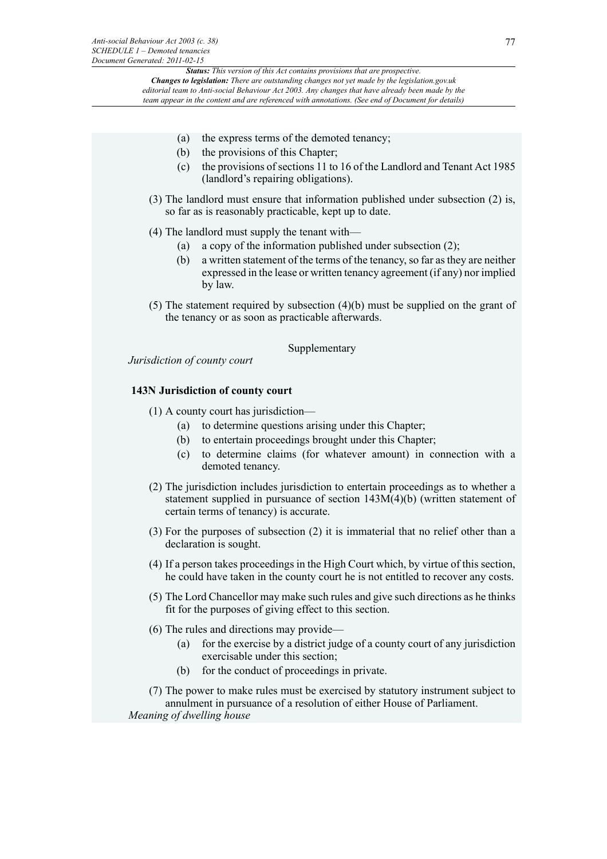*Status: This version of this Act contains provisions that are prospective. Changes to legislation: There are outstanding changes not yet made by the legislation.gov.uk editorial team to Anti-social Behaviour Act 2003. Any changes that have already been made by the*

*team appear in the content and are referenced with annotations. (See end of Document for details)*

- (a) the express terms of the demoted tenancy;
- (b) the provisions of this Chapter;
- (c) the provisions of sections 11 to 16 of the Landlord and Tenant Act 1985 (landlord's repairing obligations).
- (3) The landlord must ensure that information published under subsection (2) is, so far as is reasonably practicable, kept up to date.
- (4) The landlord must supply the tenant with—
	- (a) a copy of the information published under subsection (2);
	- (b) a written statement of the terms of the tenancy, so far as they are neither expressed in the lease or written tenancy agreement (if any) nor implied by law.
- (5) The statement required by subsection (4)(b) must be supplied on the grant of the tenancy or as soon as practicable afterwards.

Supplementary

*Jurisdiction of county court*

# **143N Jurisdiction of county court**

(1) A county court has jurisdiction—

- (a) to determine questions arising under this Chapter;
- (b) to entertain proceedings brought under this Chapter;
- (c) to determine claims (for whatever amount) in connection with a demoted tenancy.
- (2) The jurisdiction includes jurisdiction to entertain proceedings as to whether a statement supplied in pursuance of section 143M(4)(b) (written statement of certain terms of tenancy) is accurate.
- (3) For the purposes of subsection (2) it is immaterial that no relief other than a declaration is sought.
- (4) If a person takes proceedings in the High Court which, by virtue of this section, he could have taken in the county court he is not entitled to recover any costs.
- (5) The Lord Chancellor may make such rules and give such directions as he thinks fit for the purposes of giving effect to this section.
- (6) The rules and directions may provide—
	- (a) for the exercise by a district judge of a county court of any jurisdiction exercisable under this section;
	- (b) for the conduct of proceedings in private.

(7) The power to make rules must be exercised by statutory instrument subject to annulment in pursuance of a resolution of either House of Parliament. *Meaning of dwelling house*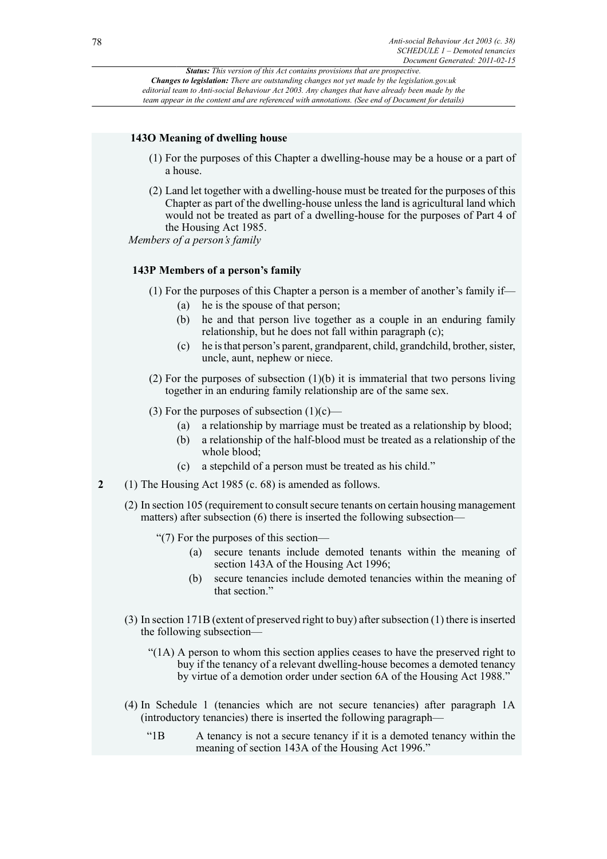# **143O Meaning of dwelling house**

- (1) For the purposes of this Chapter a dwelling-house may be a house or a part of a house.
- (2) Land let together with a dwelling-house must be treated for the purposes of this Chapter as part of the dwelling-house unless the land is agricultural land which would not be treated as part of a dwelling-house for the purposes of Part 4 of the Housing Act 1985.

*Members of a person's family*

# **143P Members of a person's family**

- (1) For the purposes of this Chapter a person is a member of another's family if—
	- (a) he is the spouse of that person;
	- (b) he and that person live together as a couple in an enduring family relationship, but he does not fall within paragraph (c);
	- (c) he is that person's parent, grandparent, child, grandchild, brother, sister, uncle, aunt, nephew or niece.
- (2) For the purposes of subsection  $(1)(b)$  it is immaterial that two persons living together in an enduring family relationship are of the same sex.
- (3) For the purposes of subsection  $(1)(c)$ 
	- (a) a relationship by marriage must be treated as a relationship by blood;
	- (b) a relationship of the half-blood must be treated as a relationship of the whole blood;
	- (c) a stepchild of a person must be treated as his child."
- **2** (1) The Housing Act 1985 (c. 68) is amended as follows.
	- (2) In section 105 (requirement to consult secure tenants on certain housing management matters) after subsection (6) there is inserted the following subsection—
		- "(7) For the purposes of this section—
			- (a) secure tenants include demoted tenants within the meaning of section 143A of the Housing Act 1996;
			- (b) secure tenancies include demoted tenancies within the meaning of that section."
	- (3) In section 171B (extent of preserved right to buy) after subsection (1) there is inserted the following subsection—
		- "(1A) A person to whom this section applies ceases to have the preserved right to buy if the tenancy of a relevant dwelling-house becomes a demoted tenancy by virtue of a demotion order under section 6A of the Housing Act 1988."
	- (4) In Schedule 1 (tenancies which are not secure tenancies) after paragraph 1A (introductory tenancies) there is inserted the following paragraph—
		- "1B A tenancy is not a secure tenancy if it is a demoted tenancy within the meaning of section 143A of the Housing Act 1996."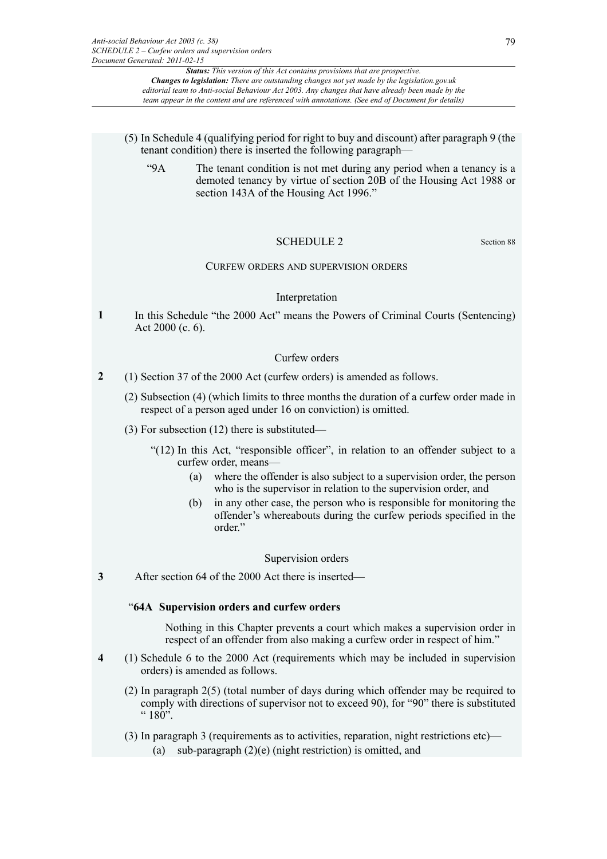- (5) In Schedule 4 (qualifying period for right to buy and discount) after paragraph 9 (the tenant condition) there is inserted the following paragraph—
	- "9A The tenant condition is not met during any period when a tenancy is a demoted tenancy by virtue of section 20B of the Housing Act 1988 or section 143A of the Housing Act 1996."

### SCHEDULE 2 Section 88

### CURFEW ORDERS AND SUPERVISION ORDERS

#### Interpretation

**1** In this Schedule "the 2000 Act" means the Powers of Criminal Courts (Sentencing) Act 2000 (c. 6).

#### Curfew orders

- **2** (1) Section 37 of the 2000 Act (curfew orders) is amended as follows.
	- (2) Subsection (4) (which limits to three months the duration of a curfew order made in respect of a person aged under 16 on conviction) is omitted.
	- (3) For subsection (12) there is substituted—
		- "(12) In this Act, "responsible officer", in relation to an offender subject to a curfew order, means—
			- (a) where the offender is also subject to a supervision order, the person who is the supervisor in relation to the supervision order, and
			- (b) in any other case, the person who is responsible for monitoring the offender's whereabouts during the curfew periods specified in the order."

#### Supervision orders

**3** After section 64 of the 2000 Act there is inserted—

#### "**64A Supervision orders and curfew orders**

Nothing in this Chapter prevents a court which makes a supervision order in respect of an offender from also making a curfew order in respect of him."

- **4** (1) Schedule 6 to the 2000 Act (requirements which may be included in supervision orders) is amended as follows.
	- (2) In paragraph 2(5) (total number of days during which offender may be required to comply with directions of supervisor not to exceed 90), for "90" there is substituted  $" 180"$ .
	- (3) In paragraph 3 (requirements as to activities, reparation, night restrictions etc)— (a) sub-paragraph (2)(e) (night restriction) is omitted, and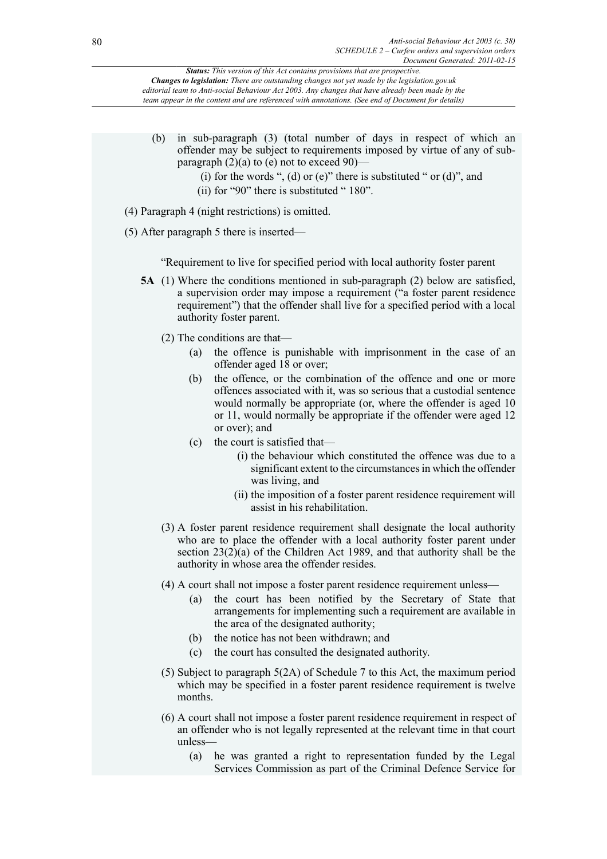- (b) in sub-paragraph (3) (total number of days in respect of which an offender may be subject to requirements imposed by virtue of any of subparagraph  $(2)(a)$  to (e) not to exceed 90)—
	- (i) for the words ", (d) or (e)" there is substituted " or (d)", and
	- (ii) for "90" there is substituted " 180".
- (4) Paragraph 4 (night restrictions) is omitted.
- (5) After paragraph 5 there is inserted—

"Requirement to live for specified period with local authority foster parent

- **5A** (1) Where the conditions mentioned in sub-paragraph (2) below are satisfied, a supervision order may impose a requirement ("a foster parent residence requirement") that the offender shall live for a specified period with a local authority foster parent.
	- (2) The conditions are that—
		- (a) the offence is punishable with imprisonment in the case of an offender aged  $18$  or over;
		- (b) the offence, or the combination of the offence and one or more offences associated with it, was so serious that a custodial sentence would normally be appropriate (or, where the offender is aged 10 or 11, would normally be appropriate if the offender were aged 12 or over); and
		- (c) the court is satisfied that—
			- (i) the behaviour which constituted the offence was due to a significant extent to the circumstances in which the offender was living, and
			- (ii) the imposition of a foster parent residence requirement will assist in his rehabilitation.
	- (3) A foster parent residence requirement shall designate the local authority who are to place the offender with a local authority foster parent under section 23(2)(a) of the Children Act 1989, and that authority shall be the authority in whose area the offender resides.
	- (4) A court shall not impose a foster parent residence requirement unless—
		- (a) the court has been notified by the Secretary of State that arrangements for implementing such a requirement are available in the area of the designated authority;
		- (b) the notice has not been withdrawn; and
		- (c) the court has consulted the designated authority.
	- (5) Subject to paragraph 5(2A) of Schedule 7 to this Act, the maximum period which may be specified in a foster parent residence requirement is twelve months.
	- (6) A court shall not impose a foster parent residence requirement in respect of an offender who is not legally represented at the relevant time in that court unless—
		- (a) he was granted a right to representation funded by the Legal Services Commission as part of the Criminal Defence Service for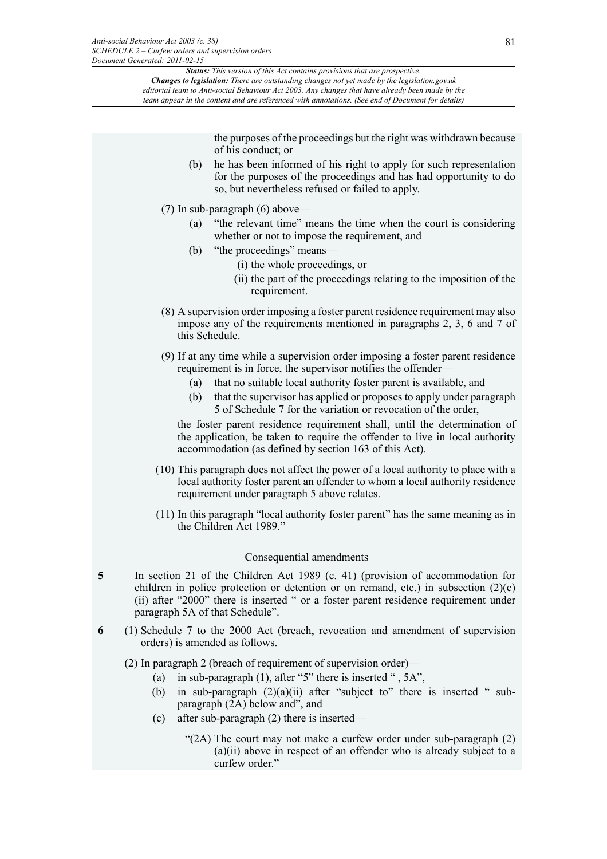> the purposes of the proceedings but the right was withdrawn because of his conduct; or

- (b) he has been informed of his right to apply for such representation for the purposes of the proceedings and has had opportunity to do so, but nevertheless refused or failed to apply.
- (7) In sub-paragraph (6) above—
	- (a) "the relevant time" means the time when the court is considering whether or not to impose the requirement, and
	- (b) "the proceedings" means—
		- (i) the whole proceedings, or
		- (ii) the part of the proceedings relating to the imposition of the requirement.
- (8) A supervision order imposing a foster parent residence requirement may also impose any of the requirements mentioned in paragraphs 2, 3, 6 and 7 of this Schedule.
- (9) If at any time while a supervision order imposing a foster parent residence requirement is in force, the supervisor notifies the offender—
	- (a) that no suitable local authority foster parent is available, and
	- (b) that the supervisor has applied or proposes to apply under paragraph 5 of Schedule 7 for the variation or revocation of the order,

the foster parent residence requirement shall, until the determination of the application, be taken to require the offender to live in local authority accommodation (as defined by section 163 of this Act).

- (10) This paragraph does not affect the power of a local authority to place with a local authority foster parent an offender to whom a local authority residence requirement under paragraph 5 above relates.
- (11) In this paragraph "local authority foster parent" has the same meaning as in the Children Act 1989."

#### Consequential amendments

- **5** In section 21 of the Children Act 1989 (c. 41) (provision of accommodation for children in police protection or detention or on remand, etc.) in subsection  $(2)(c)$ (ii) after "2000" there is inserted " or a foster parent residence requirement under paragraph 5A of that Schedule".
- **6** (1) Schedule 7 to the 2000 Act (breach, revocation and amendment of supervision orders) is amended as follows.

(2) In paragraph 2 (breach of requirement of supervision order)—

- (a) in sub-paragraph (1), after "5" there is inserted " , 5A",
- (b) in sub-paragraph  $(2)(a)(ii)$  after "subject to" there is inserted " subparagraph (2A) below and", and
- (c) after sub-paragraph (2) there is inserted—
	- "(2A) The court may not make a curfew order under sub-paragraph (2) (a)(ii) above in respect of an offender who is already subject to a curfew order."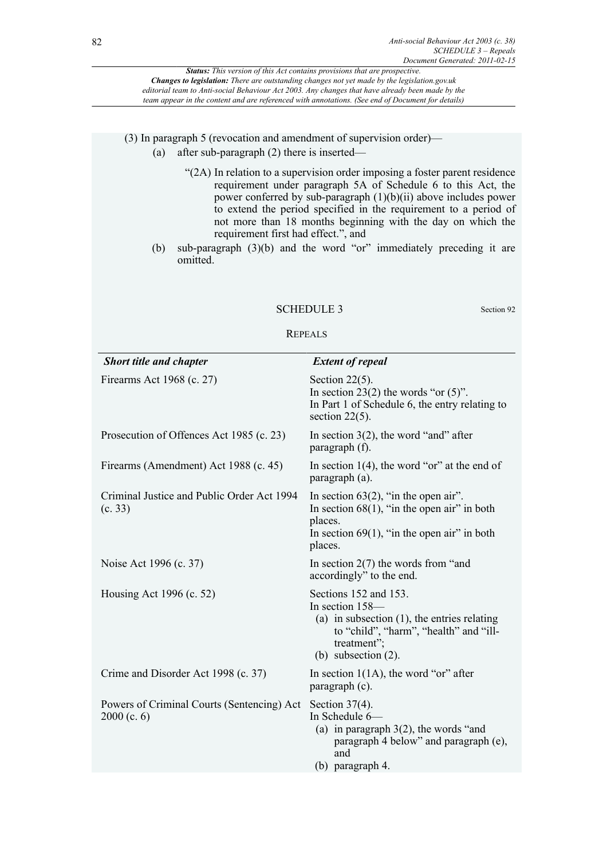(3) In paragraph 5 (revocation and amendment of supervision order)—

- (a) after sub-paragraph (2) there is inserted—
	- "(2A) In relation to a supervision order imposing a foster parent residence requirement under paragraph 5A of Schedule 6 to this Act, the power conferred by sub-paragraph  $(1)(b)(ii)$  above includes power to extend the period specified in the requirement to a period of not more than 18 months beginning with the day on which the requirement first had effect.", and
- (b) sub-paragraph (3)(b) and the word "or" immediately preceding it are omitted.

#### SCHEDULE 3 Section 92

#### REPEALS

| <b>Short title and chapter</b>                              | <b>Extent of repeal</b>                                                                                                                                                       |
|-------------------------------------------------------------|-------------------------------------------------------------------------------------------------------------------------------------------------------------------------------|
| Firearms Act 1968 (c. 27)                                   | Section $22(5)$ .<br>In section 23(2) the words "or $(5)$ ".<br>In Part 1 of Schedule 6, the entry relating to<br>section $22(5)$ .                                           |
| Prosecution of Offences Act 1985 (c. 23)                    | In section $3(2)$ , the word "and" after<br>paragraph (f).                                                                                                                    |
| Firearms (Amendment) Act 1988 (c. 45)                       | In section $1(4)$ , the word "or" at the end of<br>paragraph (a).                                                                                                             |
| Criminal Justice and Public Order Act 1994<br>(c. 33)       | In section $63(2)$ , "in the open air".<br>In section $68(1)$ , "in the open air" in both<br>places.<br>In section $69(1)$ , "in the open air" in both<br>places.             |
| Noise Act 1996 (c. 37)                                      | In section $2(7)$ the words from "and"<br>accordingly" to the end.                                                                                                            |
| Housing Act 1996 (c. 52)                                    | Sections 152 and 153.<br>In section 158-<br>(a) in subsection $(1)$ , the entries relating<br>to "child", "harm", "health" and "ill-<br>treatment";<br>(b) subsection $(2)$ . |
| Crime and Disorder Act 1998 (c. 37)                         | In section $1(1A)$ , the word "or" after<br>paragraph (c).                                                                                                                    |
| Powers of Criminal Courts (Sentencing) Act<br>$2000$ (c. 6) | Section $37(4)$ .<br>In Schedule 6-<br>(a) in paragraph $3(2)$ , the words "and<br>paragraph 4 below" and paragraph (e),<br>and<br>(b) paragraph 4.                           |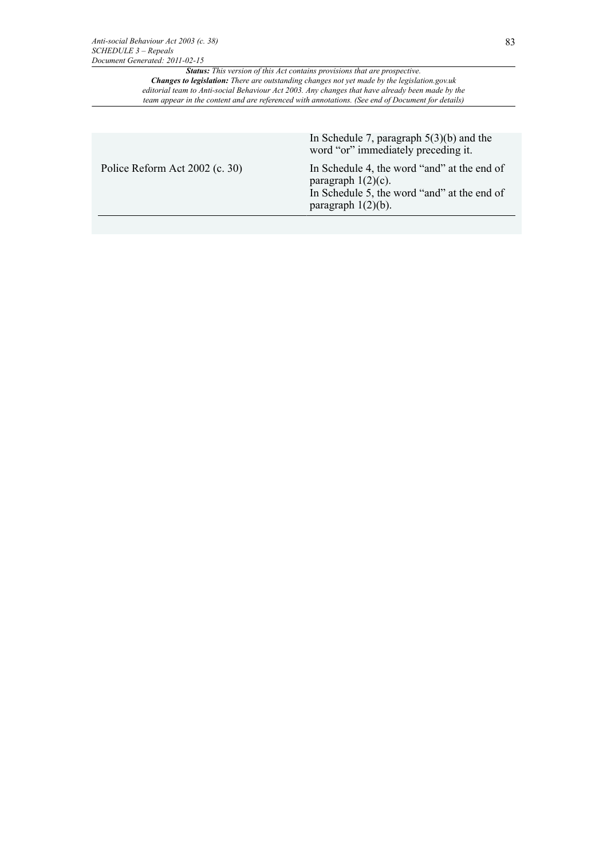|                                | In Schedule 7, paragraph $5(3)(b)$ and the<br>word "or" immediately preceding it.                                                            |
|--------------------------------|----------------------------------------------------------------------------------------------------------------------------------------------|
| Police Reform Act 2002 (c. 30) | In Schedule 4, the word "and" at the end of<br>paragraph $1(2)(c)$ .<br>In Schedule 5, the word "and" at the end of<br>paragraph $1(2)(b)$ . |
|                                |                                                                                                                                              |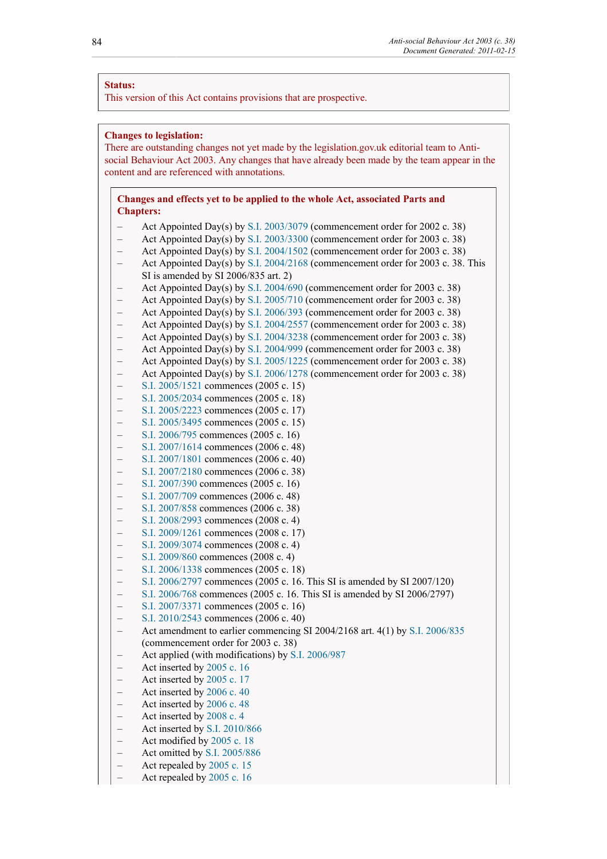### **Status:**

This version of this Act contains provisions that are prospective.

# **Changes to legislation:**

There are outstanding changes not yet made by the legislation.gov.uk editorial team to Antisocial Behaviour Act 2003. Any changes that have already been made by the team appear in the content and are referenced with annotations.

# **Changes and effects yet to be applied to the whole Act, associated Parts and Chapters:**

- Act Appointed Day(s) by [S.I. 2003/3079](http://www.legislation.gov.uk/id/uksi/2003/3079) (commencement order for 2002 c. 38)
- Act Appointed Day(s) by [S.I. 2003/3300](http://www.legislation.gov.uk/id/uksi/2003/3300) (commencement order for 2003 c. 38) Act Appointed Day(s) by [S.I. 2004/1502](http://www.legislation.gov.uk/id/uksi/2004/1502) (commencement order for 2003 c. 38)
- Act Appointed Day(s) by [S.I. 2004/2168](http://www.legislation.gov.uk/id/uksi/2004/2168) (commencement order for 2003 c. 38. This
- SI is amended by SI 2006/835 art. 2)
- Act Appointed Day(s) by [S.I. 2004/690](http://www.legislation.gov.uk/id/uksi/2004/690) (commencement order for 2003 c. 38)
- Act Appointed Day(s) by [S.I. 2005/710](http://www.legislation.gov.uk/id/uksi/2005/710) (commencement order for 2003 c. 38)
- Act Appointed Day(s) by [S.I. 2006/393](http://www.legislation.gov.uk/id/uksi/2006/393) (commencement order for 2003 c. 38)
- Act Appointed Day(s) by [S.I. 2004/2557](http://www.legislation.gov.uk/id/wsi/2004/2557) (commencement order for 2003 c. 38)
- Act Appointed Day(s) by [S.I. 2004/3238](http://www.legislation.gov.uk/id/wsi/2004/3238) (commencement order for 2003 c. 38)
- Act Appointed Day(s) by [S.I. 2004/999](http://www.legislation.gov.uk/id/wsi/2004/999) (commencement order for 2003 c. 38)
- Act Appointed Day(s) by [S.I. 2005/1225](http://www.legislation.gov.uk/id/wsi/2005/1225) (commencement order for 2003 c. 38) – Act Appointed Day(s) by [S.I. 2006/1278](http://www.legislation.gov.uk/id/wsi/2006/1278) (commencement order for 2003 c. 38)
- [S.I. 2005/1521](http://www.legislation.gov.uk/id/uksi/2005/1521) commences (2005 c. 15)
- [S.I. 2005/2034](http://www.legislation.gov.uk/id/uksi/2005/2034) commences (2005 c. 18)
- [S.I. 2005/2223](http://www.legislation.gov.uk/id/uksi/2005/2223) commences (2005 c. 17)
- [S.I. 2005/3495](http://www.legislation.gov.uk/id/uksi/2005/3495) commences (2005 c. 15)
- [S.I. 2006/795](http://www.legislation.gov.uk/id/uksi/2006/795) commences (2005 c. 16)
- [S.I. 2007/1614](http://www.legislation.gov.uk/id/uksi/2007/1614) commences (2006 c. 48)
- [S.I. 2007/1801](http://www.legislation.gov.uk/id/uksi/2007/1801) commences (2006 c. 40)
- [S.I. 2007/2180](http://www.legislation.gov.uk/id/uksi/2007/2180) commences (2006 c. 38)
- [S.I. 2007/390](http://www.legislation.gov.uk/id/uksi/2007/390) commences (2005 c. 16)
- 
- [S.I. 2007/709](http://www.legislation.gov.uk/id/uksi/2007/709) commences (2006 c. 48) – [S.I. 2007/858](http://www.legislation.gov.uk/id/uksi/2007/858) commences (2006 c. 38)
- [S.I. 2008/2993](http://www.legislation.gov.uk/id/uksi/2008/2993) commences (2008 c. 4)
- 
- [S.I. 2009/1261](http://www.legislation.gov.uk/id/uksi/2009/1261) commences (2008 c. 17)
- [S.I. 2009/3074](http://www.legislation.gov.uk/id/uksi/2009/3074) commences (2008 c. 4)
- [S.I. 2009/860](http://www.legislation.gov.uk/id/uksi/2009/860) commences (2008 c. 4)
- [S.I. 2006/1338](http://www.legislation.gov.uk/id/wsi/2006/1338) commences (2005 c. 18)
- [S.I. 2006/2797](http://www.legislation.gov.uk/id/wsi/2006/2797) commences (2005 c. 16. This SI is amended by SI 2007/120)
- [S.I. 2006/768](http://www.legislation.gov.uk/id/wsi/2006/768) commences (2005 c. 16. This SI is amended by SI 2006/2797)
- [S.I. 2007/3371](http://www.legislation.gov.uk/id/wsi/2007/3371) commences (2005 c. 16)
- [S.I. 2010/2543](http://www.legislation.gov.uk/id/wsi/2010/2543) commences (2006 c. 40)
- Act amendment to earlier commencing SI 2004/2168 art. 4(1) by [S.I. 2006/835](http://www.legislation.gov.uk/id/uksi/2006/835) (commencement order for 2003 c. 38)
- Act applied (with modifications) by [S.I. 2006/987](http://www.legislation.gov.uk/id/uksi/2006/987)
- Act inserted by [2005 c. 16](http://www.legislation.gov.uk/id/ukpga/2005/16)
- Act inserted by [2005 c. 17](http://www.legislation.gov.uk/id/ukpga/2005/17)
- Act inserted by [2006 c. 40](http://www.legislation.gov.uk/id/ukpga/2006/40)
- Act inserted by [2006 c. 48](http://www.legislation.gov.uk/id/ukpga/2006/48)
- Act inserted by [2008 c. 4](http://www.legislation.gov.uk/id/ukpga/2008/4)
- Act inserted by [S.I. 2010/866](http://www.legislation.gov.uk/id/uksi/2010/866)
- Act modified by [2005 c. 18](http://www.legislation.gov.uk/id/ukpga/2005/18)
- Act omitted by [S.I. 2005/886](http://www.legislation.gov.uk/id/uksi/2005/886)
- Act repealed by [2005 c. 15](http://www.legislation.gov.uk/id/ukpga/2005/15)
- Act repealed by [2005 c. 16](http://www.legislation.gov.uk/id/ukpga/2005/16)